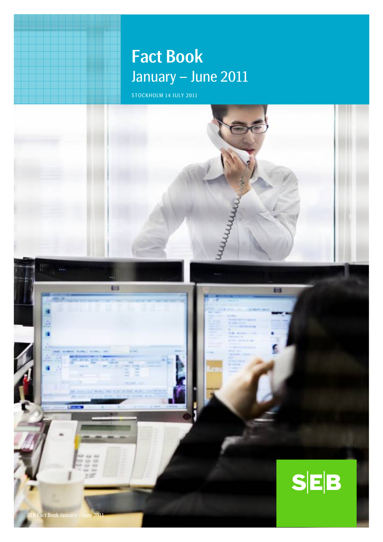# Fact Book January – June 2011

STOCKHOLM 14 JULY 2011

= =

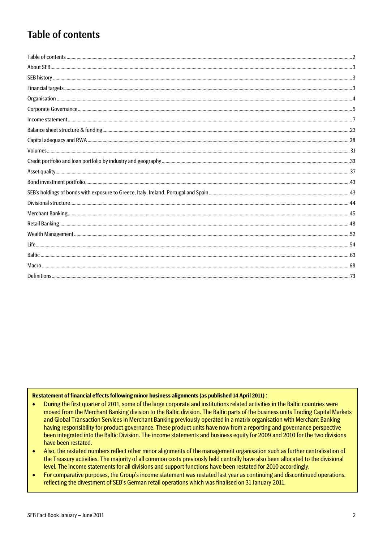## Table of contents

#### Restatement of financial effects following minor business alignments (as published 14 April 2011) :

- During the first quarter of 2011, some of the large corporate and institutions related activities in the Baltic countries were  $\bullet$ moved from the Merchant Banking division to the Baltic division. The Baltic parts of the business units Trading Capital Markets and Global Transaction Services in Merchant Banking previously operated in a matrix organisation with Merchant Banking having responsibility for product governance. These product units have now from a reporting and governance perspective been integrated into the Baltic Division. The income statements and business equity for 2009 and 2010 for the two divisions have been restated.
- Also, the restated numbers reflect other minor alignments of the management organisation such as further centralisation of  $\bullet$ the Treasury activities. The majority of all common costs previously held centrally have also been allocated to the divisional level. The income statements for all divisions and support functions have been restated for 2010 accordingly.
- For comparative purposes, the Group's income statement was restated last year as continuing and discontinued operations,  $\bullet$ reflecting the divestment of SEB's German retail operations which was finalised on 31 January 2011.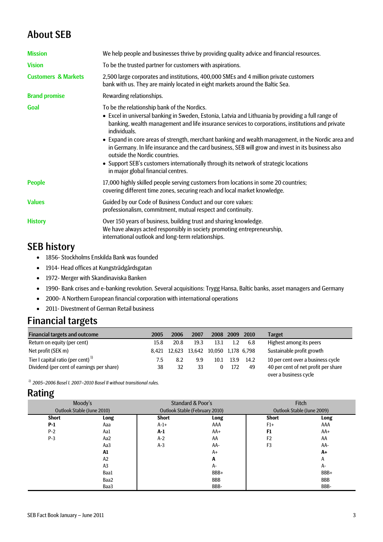## About SEB

| <b>Mission</b><br><b>Vision</b><br>To be the trusted partner for customers with aspirations.<br><b>Customers &amp; Markets</b><br>2,500 large corporates and institutions, 400,000 SMEs and 4 million private customers<br>bank with us. They are mainly located in eight markets around the Baltic Sea.<br><b>Brand promise</b><br>Rewarding relationships.<br>Goal<br>To be the relationship bank of the Nordics.<br>individuals.<br>outside the Nordic countries.<br>• Support SEB's customers internationally through its network of strategic locations<br>in major global financial centres.<br>17,000 highly skilled people serving customers from locations in some 20 countries;<br><b>People</b><br>covering different time zones, securing reach and local market knowledge.<br><b>Values</b><br>Guided by our Code of Business Conduct and our core values:<br>professionalism, commitment, mutual respect and continuity.<br>Over 150 years of business, building trust and sharing knowledge.<br><b>History</b> |                                                                                                                                                                                                                                                                                                                                                                                                                    |
|-------------------------------------------------------------------------------------------------------------------------------------------------------------------------------------------------------------------------------------------------------------------------------------------------------------------------------------------------------------------------------------------------------------------------------------------------------------------------------------------------------------------------------------------------------------------------------------------------------------------------------------------------------------------------------------------------------------------------------------------------------------------------------------------------------------------------------------------------------------------------------------------------------------------------------------------------------------------------------------------------------------------------------|--------------------------------------------------------------------------------------------------------------------------------------------------------------------------------------------------------------------------------------------------------------------------------------------------------------------------------------------------------------------------------------------------------------------|
|                                                                                                                                                                                                                                                                                                                                                                                                                                                                                                                                                                                                                                                                                                                                                                                                                                                                                                                                                                                                                               | We help people and businesses thrive by providing quality advice and financial resources.                                                                                                                                                                                                                                                                                                                          |
|                                                                                                                                                                                                                                                                                                                                                                                                                                                                                                                                                                                                                                                                                                                                                                                                                                                                                                                                                                                                                               |                                                                                                                                                                                                                                                                                                                                                                                                                    |
|                                                                                                                                                                                                                                                                                                                                                                                                                                                                                                                                                                                                                                                                                                                                                                                                                                                                                                                                                                                                                               |                                                                                                                                                                                                                                                                                                                                                                                                                    |
|                                                                                                                                                                                                                                                                                                                                                                                                                                                                                                                                                                                                                                                                                                                                                                                                                                                                                                                                                                                                                               |                                                                                                                                                                                                                                                                                                                                                                                                                    |
|                                                                                                                                                                                                                                                                                                                                                                                                                                                                                                                                                                                                                                                                                                                                                                                                                                                                                                                                                                                                                               | • Excel in universal banking in Sweden, Estonia, Latvia and Lithuania by providing a full range of<br>banking, wealth management and life insurance services to corporations, institutions and private<br>• Expand in core areas of strength, merchant banking and wealth management, in the Nordic area and<br>in Germany. In life insurance and the card business, SEB will grow and invest in its business also |
|                                                                                                                                                                                                                                                                                                                                                                                                                                                                                                                                                                                                                                                                                                                                                                                                                                                                                                                                                                                                                               |                                                                                                                                                                                                                                                                                                                                                                                                                    |
|                                                                                                                                                                                                                                                                                                                                                                                                                                                                                                                                                                                                                                                                                                                                                                                                                                                                                                                                                                                                                               |                                                                                                                                                                                                                                                                                                                                                                                                                    |
| international outlook and long-term relationships.                                                                                                                                                                                                                                                                                                                                                                                                                                                                                                                                                                                                                                                                                                                                                                                                                                                                                                                                                                            | We have always acted responsibly in society promoting entrepreneurship,                                                                                                                                                                                                                                                                                                                                            |

## SEB history

- 1856- Stockholms Enskilda Bank was founded
- 1914- Head offices at Kungsträdgårdsgatan
- 1972- Merger with Skandinaviska Banken
- 1990- Bank crises and e-banking revolution. Several acquisitions: Trygg Hansa, Baltic banks, asset managers and Germany
- 2000- A Northern European financial corporation with international operations
- 2011- Divestment of German Retail business

## Financial targets

| <b>Financial targets and outcome</b>          | 2005 | 2006         | 2007 | 2008                      | 2009 | 2010 | <b>Target</b>                       |
|-----------------------------------------------|------|--------------|------|---------------------------|------|------|-------------------------------------|
| Return on equity (per cent)                   | 15.8 | 20.8         | 19.3 | 13.1                      | 1.2  | 6.8  | Highest among its peers             |
| Net profit (SEK m)                            |      | 8.421 12.623 |      | 13.642 10.050 1.178 6.798 |      |      | Sustainable profit growth           |
| Tier I capital ratio (per cent) <sup>1)</sup> | 7.5  | 8.2          | 9.9  | 10.1                      | 13.9 | 14.2 | 10 per cent over a business cycle   |
| Dividend (per cent of earnings per share)     | 38   | 32           | 33   |                           | 172  | 49   | 40 per cent of net profit per share |
|                                               |      |              |      |                           |      |      | over a business cycle               |

*1) 2005–2006 Basel I. 2007–2010 Basel II without transitional rules.*

## Rating

| Moody's      |                            |                                       | <b>Standard &amp; Poor's</b> | Fitch          |            |  |                            |
|--------------|----------------------------|---------------------------------------|------------------------------|----------------|------------|--|----------------------------|
|              | Outlook Stable (June 2010) | <b>Outlook Stable (February 2010)</b> |                              |                |            |  | Outlook Stable (June 2009) |
| <b>Short</b> | Long                       | <b>Short</b>                          | Long                         | <b>Short</b>   | Long       |  |                            |
| $P-1$        | Aaa                        | $A-1+$                                | AAA                          | $F1+$          | AAA        |  |                            |
| $P-2$        | Aa1                        | $A-1$                                 | $AA+$                        | F <sub>1</sub> | $AA+$      |  |                            |
| $P-3$        | Aa2                        | $A-2$                                 | AA                           | F <sub>2</sub> | AA         |  |                            |
|              | Aa3                        | $A-3$                                 | AA-                          | F <sub>3</sub> | AA-        |  |                            |
|              | A1                         |                                       | $A+$                         |                | $A+$       |  |                            |
|              | A2                         |                                       | Α                            |                | A          |  |                            |
|              | A <sub>3</sub>             |                                       | A-                           |                | $A -$      |  |                            |
|              | Baa1                       |                                       | BBB+                         |                | BBB+       |  |                            |
|              | Baa2                       |                                       | <b>BBB</b>                   |                | <b>BBB</b> |  |                            |
|              | Baa3                       |                                       | BBB-                         |                | BBB-       |  |                            |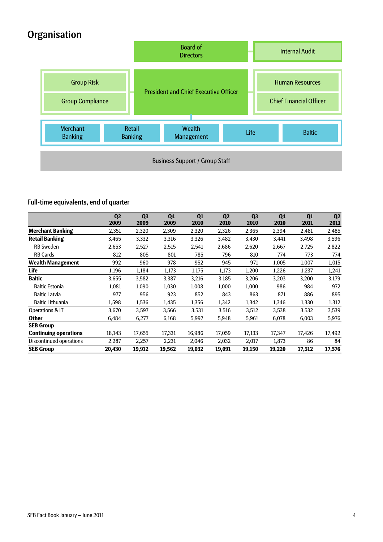# **Organisation**



### Full-time equivalents, end of quarter

|                              | Q <sub>2</sub><br>2009 | Q <sub>3</sub><br>2009 | Q <sub>4</sub><br>2009 | Q1<br>2010 | Q <sub>2</sub><br>2010 | Q <sub>3</sub><br>2010 | Q4<br>2010 | Q1<br>2011 | Q2<br>2011 |
|------------------------------|------------------------|------------------------|------------------------|------------|------------------------|------------------------|------------|------------|------------|
| <b>Merchant Banking</b>      | 2,351                  | 2,320                  | 2,309                  | 2,320      | 2,326                  | 2,365                  | 2,394      | 2,481      | 2,485      |
| <b>Retail Banking</b>        | 3,465                  | 3,332                  | 3,316                  | 3,326      | 3,482                  | 3,430                  | 3,441      | 3,498      | 3,596      |
| <b>RB Sweden</b>             | 2,653                  | 2,527                  | 2,515                  | 2,541      | 2,686                  | 2,620                  | 2.667      | 2,725      | 2,822      |
| <b>RB Cards</b>              | 812                    | 805                    | 801                    | 785        | 796                    | 810                    | 774        | 773        | 774        |
| Wealth Management            | 992                    | 960                    | 978                    | 952        | 945                    | 971                    | 1,005      | 1,007      | 1,015      |
| Life                         | 1,196                  | 1,184                  | 1,173                  | 1,175      | 1,173                  | 1,200                  | 1,226      | 1,237      | 1,241      |
| <b>Baltic</b>                | 3,655                  | 3,582                  | 3,387                  | 3,216      | 3,185                  | 3,206                  | 3,203      | 3,200      | 3,179      |
| <b>Baltic Estonia</b>        | 1,081                  | 1,090                  | 1,030                  | 1,008      | 1,000                  | 1,000                  | 986        | 984        | 972        |
| <b>Baltic Latvia</b>         | 977                    | 956                    | 923                    | 852        | 843                    | 863                    | 871        | 886        | 895        |
| <b>Baltic Lithuania</b>      | 1,598                  | 1,536                  | 1,435                  | 1,356      | 1,342                  | 1,342                  | 1,346      | 1,330      | 1,312      |
| Operations & IT              | 3,670                  | 3,597                  | 3,566                  | 3,531      | 3,516                  | 3,512                  | 3,538      | 3,532      | 3,539      |
| <b>Other</b>                 | 6,484                  | 6,277                  | 6,168                  | 5,997      | 5,948                  | 5,961                  | 6,078      | 6,003      | 5,976      |
| <b>SEB Group</b>             |                        |                        |                        |            |                        |                        |            |            |            |
| <b>Continuing operations</b> | 18,143                 | 17,655                 | 17,331                 | 16,986     | 17,059                 | 17,133                 | 17,347     | 17,426     | 17,492     |
| Discontinued operations      | 2,287                  | 2,257                  | 2,231                  | 2,046      | 2,032                  | 2,017                  | 1,873      | 86         | 84         |
| <b>SEB Group</b>             | 20,430                 | 19,912                 | 19,562                 | 19,032     | 19,091                 | 19,150                 | 19,220     | 17,512     | 17,576     |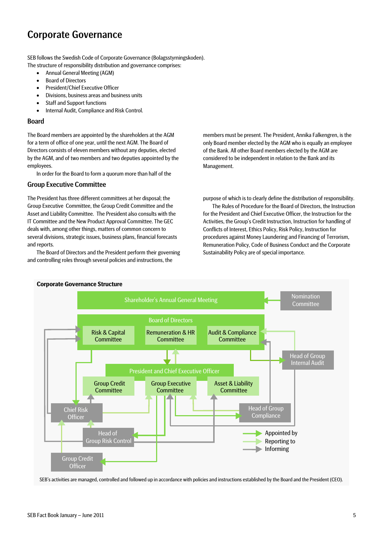## Corporate Governance

SEB follows the Swedish Code of Corporate Governance (Bolagsstyrningskoden). The structure of responsibility distribution and governance comprises:

- Annual General Meeting (AGM)
- Board of Directors
- President/Chief Executive Officer
- Divisions, business areas and business units
- Staff and Support functions
- Internal Audit, Compliance and Risk Control.

#### Board

The Board members are appointed by the shareholders at the AGM for a term of office of one year, until the next AGM. The Board of Directors consists of eleven members without any deputies, elected by the AGM, and of two members and two deputies appointed by the employees.

In order for the Board to form a quorum more than half of the

### Group Executive Committee

The President has three different committees at her disposal; the Group Executive Committee, the Group Credit Committee and the Asset and Liability Committee. The President also consults with the IT Committee and the New Product Approval Committee. The GEC deals with, among other things, matters of common concern to several divisions, strategic issues, business plans, financial forecasts and reports.

The Board of Directors and the President perform their governing and controlling roles through several policies and instructions, the

members must be present. The President, Annika Falkengren, is the only Board member elected by the AGM who is equally an employee of the Bank. All other Board members elected by the AGM are considered to be independent in relation to the Bank and its Management.

purpose of which is to clearly define the distribution of responsibility.

The Rules of Procedure for the Board of Directors, the Instruction for the President and Chief Executive Officer, the Instruction for the Activities, the Group's Credit Instruction, Instruction for handling of Conflicts of Interest, Ethics Policy, Risk Policy, Instruction for procedures against Money Laundering and Financing of Terrorism, Remuneration Policy, Code of Business Conduct and the Corporate Sustainability Policy are of special importance.



SEB's activities are managed, controlled and followed up in accordance with policies and instructions established by the Board and the President (CEO).

#### **Corporate Governance Structure**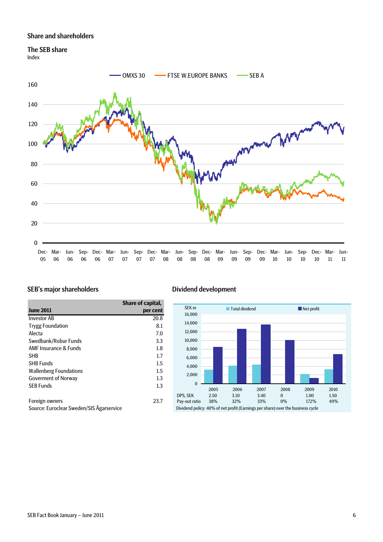### Share and shareholders

### The SEB share

Index



### SEB's major shareholders Dividend development

|                                                                                                                                                                                                                                                                                                        | Share of capital, |
|--------------------------------------------------------------------------------------------------------------------------------------------------------------------------------------------------------------------------------------------------------------------------------------------------------|-------------------|
| <b>June 2011</b>                                                                                                                                                                                                                                                                                       | per cent          |
| <b>Investor AB</b>                                                                                                                                                                                                                                                                                     | 20.8              |
| <b>Trygg Foundation</b>                                                                                                                                                                                                                                                                                | 8.1               |
| Alecta                                                                                                                                                                                                                                                                                                 | 7.0               |
| Swedbank/Robur Funds                                                                                                                                                                                                                                                                                   | 3.3               |
| <b>AMF Insurance &amp; Funds</b>                                                                                                                                                                                                                                                                       | 1.8               |
| <b>SHB</b>                                                                                                                                                                                                                                                                                             | 1.7               |
| <b>SHB Funds</b>                                                                                                                                                                                                                                                                                       | 1.5               |
| <b>Wallenberg Foundations</b>                                                                                                                                                                                                                                                                          | 1.5               |
| <b>Goverment of Norway</b>                                                                                                                                                                                                                                                                             | 1.3               |
| <b>SEB Funds</b>                                                                                                                                                                                                                                                                                       | 1.3               |
|                                                                                                                                                                                                                                                                                                        |                   |
| Foreign owners                                                                                                                                                                                                                                                                                         | 23.7              |
| $C_1$ and $C_2$ is the set of $C_1$ or $C_2$ in the set of $C_1$ $C_2$ $\overset{\circ}{\sim}$ $C_1$ or $C_2$ $\overset{\circ}{\sim}$ $C_1$ or $C_2$ $\overset{\circ}{\sim}$ $C_1$ or $C_2$ $\overset{\circ}{\sim}$ $C_1$ or $C_2$ $\overset{\circ}{\sim}$ $C_1$ or $C_2$ $\overset{\circ}{\sim}$ $C_$ |                   |

Source: Euroclear Sweden/SIS Ägarservice

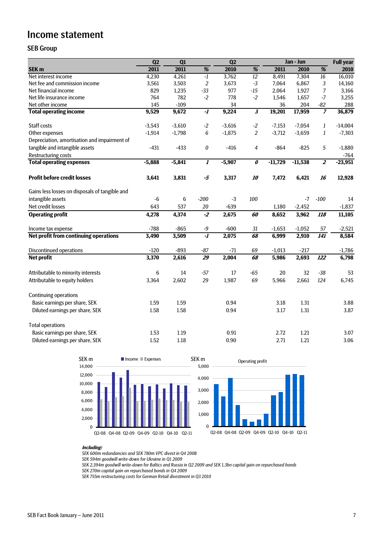### Income statement

### SEB Group

|                                                | Q2       | Q1       |                         | Q2       |                                  | Jan - Jun | <b>Full year</b> |                          |           |
|------------------------------------------------|----------|----------|-------------------------|----------|----------------------------------|-----------|------------------|--------------------------|-----------|
| SEK <sub>m</sub>                               | 2011     | 2011     | $\overline{\%}$         | 2010     | $\overline{\%}$                  | 2011      | 2010             | $\overline{\frac{9}{6}}$ | 2010      |
| Net interest income                            | 4,230    | 4,261    | $-1$                    | 3,762    | $\overline{12}$                  | 8,491     | 7,304            | 16                       | 16,010    |
| Net fee and commission income                  | 3,561    | 3,503    | $\overline{2}$          | 3,673    | $-3$                             | 7,064     | 6,867            | 3                        | 14,160    |
| Net financial income                           | 829      | 1,235    | $-33$                   | 977      | $-15$                            | 2,064     | 1,927            | 7                        | 3,166     |
| Net life insurance income                      | 764      | 782      | $-2$                    | 778      | $-2$                             | 1,546     | 1,657            | $-7$                     | 3,255     |
| Net other income                               | 145      | $-109$   |                         | 34       |                                  | 36        | 204              | $-82$                    | 288       |
| <b>Total operating income</b>                  | 9,529    | 9,672    | $\overline{\cdot l}$    | 9,224    | $\overline{\mathbf{3}}$          | 19,201    | 17,959           |                          | 36,879    |
| Staff costs                                    | $-3,543$ | $-3,610$ | $-2$                    | $-3,616$ | $-2$                             | $-7,153$  | $-7,054$         | 1                        | $-14,004$ |
| Other expenses                                 | $-1,914$ | $-1,798$ | 6                       | $-1,875$ | $\overline{c}$                   | $-3,712$  | $-3,659$         | $\mathbf{1}$             | $-7,303$  |
| Depreciation, amortisation and impairment of   |          |          |                         |          |                                  |           |                  |                          |           |
| tangible and intangible assets                 | $-431$   | $-433$   | 0                       | $-416$   | 4                                | $-864$    | $-825$           | 5                        | $-1,880$  |
| <b>Restructuring costs</b>                     |          |          |                         |          |                                  |           |                  |                          | $-764$    |
| <b>Total operating expenses</b>                | $-5,888$ | $-5,841$ | 1                       | $-5,907$ | $\overline{\boldsymbol{\theta}}$ | $-11,729$ | $-11,538$        | $\overline{\mathbf{z}}$  | $-23,951$ |
| <b>Profit before credit losses</b>             | 3,641    | 3,831    | -5                      | 3,317    | 10                               | 7,472     | 6,421            | 16                       | 12,928    |
| Gains less losses on disposals of tangible and |          |          |                         |          |                                  |           |                  |                          |           |
| intangible assets                              | $-6$     | 6        | $-200$                  | $-3$     | 100                              |           | $-7$             | $-100$                   | 14        |
| Net credit losses                              | 643      | 537      | 20                      | $-639$   |                                  | 1,180     | $-2,452$         |                          | $-1,837$  |
| <b>Operating profit</b>                        | 4,278    | 4,374    | $-2$                    | 2,675    | 60                               | 8,652     | 3,962            | 118                      | 11,105    |
| Income tax expense                             | $-788$   | $-865$   | $-9$                    | $-600$   | 31                               | $-1,653$  | $-1,052$         | 57                       | $-2,521$  |
| Net profit from continuing operations          | 3,490    | 3,509    | $\overline{\mathbf{1}}$ | 2,075    | 68                               | 6,999     | 2,910            | <b>141</b>               | 8,584     |
| <b>Discontinued operations</b>                 | $-120$   | $-893$   | $-87$                   | $-71$    | 69                               | $-1,013$  | $-217$           |                          | $-1,786$  |
| <b>Net profit</b>                              | 3,370    | 2,616    | $\overline{29}$         | 2,004    | 68                               | 5,986     | 2,693            | $\overline{122}$         | 6,798     |
| Attributable to minority interests             | 6        | 14       | $-57$                   | 17       | $-65$                            | 20        | 32               | $-38$                    | 53        |
| Attributable to equity holders                 | 3,364    | 2,602    | 29                      | 1,987    | 69                               | 5,966     | 2,661            | 124                      | 6,745     |
| <b>Continuing operations</b>                   |          |          |                         |          |                                  |           |                  |                          |           |
| Basic earnings per share, SEK                  | 1.59     | 1.59     |                         | 0.94     |                                  | 3.18      | 1.31             |                          | 3.88      |
| Diluted earnings per share, SEK                | 1.58     | 1.58     |                         | 0.94     |                                  | 3.17      | 1.31             |                          | 3.87      |
| <b>Total operations</b>                        |          |          |                         |          |                                  |           |                  |                          |           |
| Basic earnings per share, SEK                  | 1.53     | 1.19     |                         | 0.91     |                                  | 2.72      | 1.21             |                          | 3.07      |
| Diluted earnings per share, SEK                | 1.52     | 1.18     |                         | 0.90     |                                  | 2.71      | 1.21             |                          | 3.06      |





#### **Including:**

*SEK 600m redundancies and SEK 780m VPC divest in Q4 2008*

*SEK 594m goodwill write-down for Ukraine in Q1 2009*

*SEK 2,394m goodwill write-down for Baltics and Russia in Q2 2009 and SEK 1,3bn capital gain on repurchased bonds*

*SEK 270m capital gain on repurchased bonds in Q4 2009*

*SEK 755m restructuring costs for German Retail divestment in Q3 2010*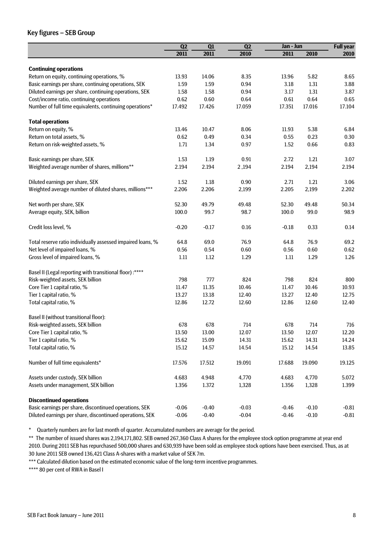### Key figures – SEB Group

|                                                             | Q2<br>Q1<br>Q2 |         |         | Jan - Jun |         | <b>Full year</b> |
|-------------------------------------------------------------|----------------|---------|---------|-----------|---------|------------------|
|                                                             | 2011           | 2011    | 2010    | 2011      | 2010    | 2010             |
|                                                             |                |         |         |           |         |                  |
| <b>Continuing operations</b>                                |                |         |         |           |         |                  |
| Return on equity, continuing operations, %                  | 13.93          | 14.06   | 8.35    | 13.96     | 5.82    | 8.65             |
| Basic earnings per share, continuing operations, SEK        | 1.59           | 1.59    | 0.94    | 3.18      | 1.31    | 3.88             |
| Diluted earnings per share, continuing operations, SEK      | 1.58           | 1.58    | 0.94    | 3.17      | 1.31    | 3.87             |
| Cost/income ratio, continuing operations                    | 0.62           | 0.60    | 0.64    | 0.61      | 0.64    | 0.65             |
| Number of full time equivalents, continuing operations*     | 17.492         | 17.426  | 17.059  | 17.351    | 17.016  | 17.104           |
| <b>Total operations</b>                                     |                |         |         |           |         |                  |
| Return on equity, %                                         | 13.46          | 10.47   | 8.06    | 11.93     | 5.38    | 6.84             |
| Return on total assets, %                                   | 0.62           | 0.49    | 0.34    | 0.55      | 0.23    | 0.30             |
| Return on risk-weighted assets, %                           | 1.71           | 1.34    | 0.97    | 1.52      | 0.66    | 0.83             |
|                                                             |                |         |         |           |         |                  |
| Basic earnings per share, SEK                               | 1.53           | 1.19    | 0.91    | 2.72      | 1.21    | 3.07             |
| Weighted average number of shares, millions**               | 2.194          | 2.194   | 2,194   | 2.194     | 2,194   | 2.194            |
|                                                             |                | 1.18    | 0.90    | 2.71      | 1.21    | 3.06             |
| Diluted earnings per share, SEK                             | 1.52           |         |         |           |         |                  |
| Weighted average number of diluted shares, millions***      | 2.206          | 2.206   | 2,199   | 2.205     | 2,199   | 2.202            |
| Net worth per share, SEK                                    | 52.30          | 49.79   | 49.48   | 52.30     | 49.48   | 50.34            |
| Average equity, SEK, billion                                | 100.0          | 99.7    | 98.7    | 100.0     | 99.0    | 98.9             |
| Credit loss level, %                                        | $-0.20$        | $-0.17$ | 0.16    | $-0.18$   | 0.33    | 0.14             |
|                                                             |                |         |         |           |         |                  |
| Total reserve ratio individually assessed impaired loans, % | 64.8           | 69.0    | 76.9    | 64.8      | 76.9    | 69.2             |
| Net level of impaired loans, %                              | 0.56           | 0.54    | 0.60    | 0.56      | 0.60    | 0.62             |
| Gross level of impaired loans, %                            | 1.11           | 1.12    | 1.29    | 1.11      | 1.29    | 1.26             |
| Basel II (Legal reporting with transitional floor) :****    |                |         |         |           |         |                  |
| Risk-weighted assets, SEK billion                           | 798            | 777     | 824     | 798       | 824     | 800              |
| Core Tier 1 capital ratio, %                                | 11.47          | 11.35   | 10.46   | 11.47     | 10.46   | 10.93            |
| Tier 1 capital ratio, %                                     | 13.27          | 13.18   | 12.40   | 13.27     | 12.40   | 12.75            |
| Total capital ratio, %                                      | 12.86          | 12.72   | 12.60   | 12.86     | 12.60   | 12.40            |
|                                                             |                |         |         |           |         |                  |
| Basel II (without transitional floor):                      |                |         |         |           |         |                  |
| Risk-weighted assets, SEK billion                           | 678            | 678     | 714     | 678       | 714     | 716              |
| Core Tier 1 capital ratio, %                                | 13.50          | 13.00   | 12.07   | 13.50     | 12.07   | 12.20            |
| Tier 1 capital ratio, %                                     | 15.62          | 15.09   | 14.31   | 15.62     | 14.31   | 14.24            |
| Total capital ratio, %                                      | 15.12          | 14.57   | 14.54   | 15.12     | 14.54   | 13.85            |
| Number of full time equivalents*                            | 17.576         | 17.512  | 19.091  | 17.688    | 19.090  | 19.125           |
| Assets under custody, SEK billion                           | 4.683          | 4.948   | 4,770   | 4.683     | 4,770   | 5.072            |
| Assets under management, SEK billion                        | 1.356          | 1.372   | 1,328   | 1.356     | 1,328   | 1.399            |
| <b>Discontinued operations</b>                              |                |         |         |           |         |                  |
| Basic earnings per share, discontinued operations, SEK      | $-0.06$        | $-0.40$ | $-0.03$ | $-0.46$   | $-0.10$ | $-0.81$          |
| Diluted earnings per share, discontinued operations, SEK    | $-0.06$        | $-0.40$ | $-0.04$ | $-0.46$   | $-0.10$ | $-0.81$          |
|                                                             |                |         |         |           |         |                  |

\* Quarterly numbers are for last month of quarter. Accumulated numbers are average for the period.

\*\* The number of issued shares was 2,194,171,802. SEB owned 267,360 Class A shares for the employee stock option programme at year end 2010. During 2011 SEB has repurchased 500,000 shares and 630,939 have been sold as employee stock options have been exercised. Thus, as at 30 June 2011 SEB owned 136,421 Class A-shares with a market value of SEK 7m.

\*\*\* Calculated dilution based on the estimated economic value of the long-term incentive programmes.

\*\*\*\* 80 per cent of RWA in Basel I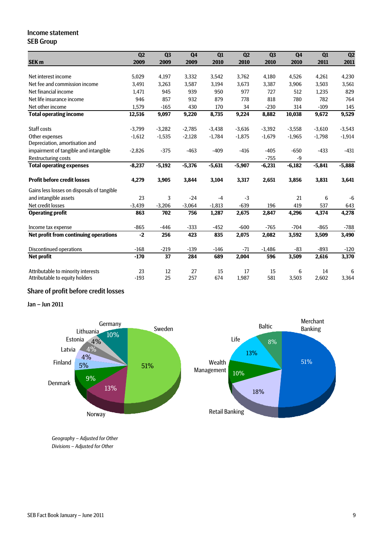### Income statement SEB Group

|                                            | Q2       | Q3       | Q <sub>4</sub> | $\overline{Q1}$ | Q2       | Q3       | Q <sub>4</sub> | Q1       | Q2       |
|--------------------------------------------|----------|----------|----------------|-----------------|----------|----------|----------------|----------|----------|
| SEK <sub>m</sub>                           | 2009     | 2009     | 2009           | 2010            | 2010     | 2010     | 2010           | 2011     | 2011     |
|                                            |          |          |                |                 |          |          |                |          |          |
| Net interest income                        | 5,029    | 4,197    | 3,332          | 3,542           | 3,762    | 4,180    | 4,526          | 4,261    | 4,230    |
| Net fee and commission income              | 3,491    | 3,263    | 3,587          | 3,194           | 3,673    | 3,387    | 3,906          | 3,503    | 3,561    |
| Net financial income                       | 1,471    | 945      | 939            | 950             | 977      | 727      | 512            | 1,235    | 829      |
| Net life insurance income                  | 946      | 857      | 932            | 879             | 778      | 818      | 780            | 782      | 764      |
| Net other income                           | 1,579    | $-165$   | 430            | 170             | 34       | $-230$   | 314            | $-109$   | 145      |
| <b>Total operating income</b>              | 12,516   | 9,097    | 9,220          | 8,735           | 9,224    | 8,882    | 10,038         | 9,672    | 9,529    |
| Staff costs                                | $-3,799$ | $-3,282$ | $-2,785$       | $-3,438$        | $-3,616$ | $-3,392$ | $-3,558$       | $-3,610$ | $-3,543$ |
| Other expenses                             | $-1,612$ | $-1,535$ | $-2,128$       | $-1,784$        | $-1,875$ | $-1,679$ | $-1,965$       | $-1,798$ | $-1,914$ |
| Depreciation, amortisation and             |          |          |                |                 |          |          |                |          |          |
| impairment of tangible and intangible      | $-2.826$ | $-375$   | $-463$         | $-409$          | $-416$   | $-405$   | $-650$         | $-433$   | $-431$   |
| <b>Restructuring costs</b>                 |          |          |                |                 |          | $-755$   | $-9$           |          |          |
| <b>Total operating expenses</b>            | $-8,237$ | $-5,192$ | $-5,376$       | $-5,631$        | $-5,907$ | $-6,231$ | $-6,182$       | $-5,841$ | $-5,888$ |
| <b>Profit before credit losses</b>         | 4,279    | 3,905    | 3,844          | 3,104           | 3,317    | 2,651    | 3,856          | 3,831    | 3,641    |
| Gains less losses on disposals of tangible |          |          |                |                 |          |          |                |          |          |
| and intangible assets                      | 23       | 3        | $-24$          | $-4$            | $-3$     |          | 21             | 6        | $-6$     |
| Net credit losses                          | $-3,439$ | $-3,206$ | $-3,064$       | $-1,813$        | $-639$   | 196      | 419            | 537      | 643      |
| <b>Operating profit</b>                    | 863      | 702      | 756            | 1,287           | 2,675    | 2,847    | 4,296          | 4,374    | 4,278    |
| Income tax expense                         | $-865$   | $-446$   | $-333$         | $-452$          | $-600$   | $-765$   | $-704$         | $-865$   | $-788$   |
| Net profit from continuing operations      | $-2$     | 256      | 423            | 835             | 2,075    | 2,082    | 3,592          | 3,509    | 3,490    |
| <b>Discontinued operations</b>             | $-168$   | $-219$   | $-139$         | $-146$          | $-71$    | $-1,486$ | $-83$          | $-893$   | $-120$   |
| <b>Net profit</b>                          | $-170$   | 37       | 284            | 689             | 2,004    | 596      | 3,509          | 2,616    | 3,370    |
| Attributable to minority interests         | 23       | 12       | 27             | 15              | 17       | 15       | 6              | 14       | 6        |
| Attributable to equity holders             | $-193$   | 25       | 257            | 674             | 1,987    | 581      | 3,503          | 2,602    | 3,364    |

### Share of profit before credit losses

Jan – Jun 2011



*Geography – Adjusted for Other Divisions – Adjusted for Other*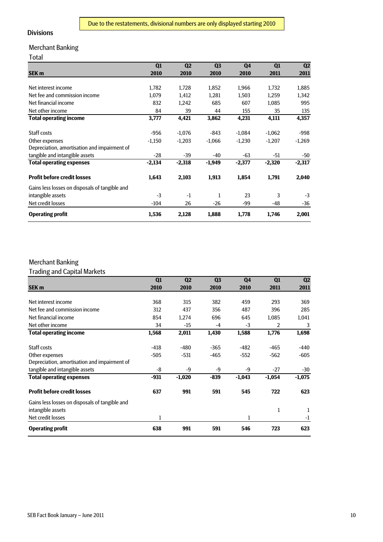### Divisions

### Merchant Banking

### Total

|                                                | Q1       | Q <sub>2</sub> | Q <sub>3</sub> | Q4       | Q1       | Q2       |
|------------------------------------------------|----------|----------------|----------------|----------|----------|----------|
| <b>SEK m</b>                                   | 2010     | 2010           | 2010           | 2010     | 2011     | 2011     |
|                                                |          |                |                |          |          |          |
| Net interest income                            | 1,782    | 1,728          | 1,852          | 1,966    | 1,732    | 1,885    |
| Net fee and commission income                  | 1,079    | 1,412          | 1,281          | 1,503    | 1,259    | 1,342    |
| Net financial income                           | 832      | 1,242          | 685            | 607      | 1,085    | 995      |
| Net other income                               | 84       | 39             | 44             | 155      | 35       | 135      |
| <b>Total operating income</b>                  | 3,777    | 4,421          | 3,862          | 4,231    | 4,111    | 4,357    |
| Staff costs                                    | $-956$   | $-1,076$       | $-843$         | $-1.084$ | $-1,062$ | -998     |
| Other expenses                                 | $-1,150$ | $-1,203$       | $-1,066$       | $-1,230$ | $-1,207$ | $-1,269$ |
| Depreciation, amortisation and impairment of   |          |                |                |          |          |          |
| tangible and intangible assets                 | $-28$    | -39            | $-40$          | $-63$    | -51      | -50      |
| <b>Total operating expenses</b>                | $-2,134$ | $-2,318$       | $-1,949$       | $-2,377$ | $-2,320$ | $-2,317$ |
| <b>Profit before credit losses</b>             | 1,643    | 2,103          | 1,913          | 1,854    | 1,791    | 2,040    |
| Gains less losses on disposals of tangible and |          |                |                |          |          |          |
| intangible assets                              | $-3$     | $-1$           | $\mathbf{1}$   | 23       | 3        | $-3$     |
| Net credit losses                              | $-104$   | 26             | $-26$          | -99      | -48      | -36      |
| <b>Operating profit</b>                        | 1,536    | 2,128          | 1,888          | 1,778    | 1,746    | 2,001    |

### Merchant Banking

Trading and Capital Markets

|                                                | Q1     | Q <sub>2</sub> | Q <sub>3</sub> | Q <sub>4</sub> | Q1       | Q2       |
|------------------------------------------------|--------|----------------|----------------|----------------|----------|----------|
| <b>SEK m</b>                                   | 2010   | 2010           | 2010           | 2010           | 2011     | 2011     |
|                                                |        |                |                |                |          |          |
| Net interest income                            | 368    | 315            | 382            | 459            | 293      | 369      |
| Net fee and commission income                  | 312    | 437            | 356            | 487            | 396      | 285      |
| Net financial income                           | 854    | 1,274          | 696            | 645            | 1,085    | 1,041    |
| Net other income                               | 34     | -15            | $-4$           | $-3$           | 2        | 3        |
| <b>Total operating income</b>                  | 1,568  | 2,011          | 1,430          | 1,588          | 1,776    | 1,698    |
| Staff costs                                    | $-418$ | -480           | $-365$         | $-482$         | $-465$   | -440     |
| Other expenses                                 | $-505$ | $-531$         | $-465$         | $-552$         | $-562$   | $-605$   |
| Depreciation, amortisation and impairment of   |        |                |                |                |          |          |
| tangible and intangible assets                 | -8     | -9             | -9             | -9             | $-27$    | $-30$    |
| <b>Total operating expenses</b>                | $-931$ | $-1,020$       | $-839$         | $-1,043$       | $-1,054$ | $-1,075$ |
| <b>Profit before credit losses</b>             | 637    | 991            | 591            | 545            | 722      | 623      |
| Gains less losses on disposals of tangible and |        |                |                |                |          |          |
| intangible assets                              |        |                |                |                | 1        | 1        |
| Net credit losses                              | 1      |                |                | 1              |          | $-1$     |
| <b>Operating profit</b>                        | 638    | 991            | 591            | 546            | 723      | 623      |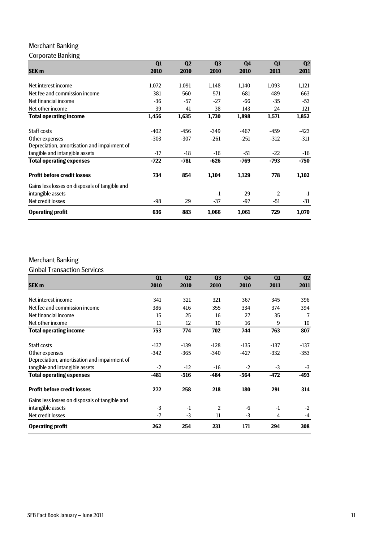### Merchant Banking

### Corporate Banking

|                                                | Q1     | Q <sub>2</sub> | Q <sub>3</sub> | Q <sub>4</sub> | Q1     | Q2     |
|------------------------------------------------|--------|----------------|----------------|----------------|--------|--------|
| <b>SEK m</b>                                   | 2010   | 2010           | 2010           | 2010           | 2011   | 2011   |
|                                                |        |                |                |                |        |        |
| Net interest income                            | 1,072  | 1,091          | 1,148          | 1,140          | 1,093  | 1,121  |
| Net fee and commission income                  | 381    | 560            | 571            | 681            | 489    | 663    |
| Net financial income                           | $-36$  | $-57$          | $-27$          | $-66$          | $-35$  | $-53$  |
| Net other income                               | 39     | 41             | 38             | 143            | 24     | 121    |
| <b>Total operating income</b>                  | 1,456  | 1,635          | 1,730          | 1,898          | 1,571  | 1,852  |
| Staff costs                                    | $-402$ | -456           | $-349$         | $-467$         | -459   | -423   |
| Other expenses                                 | $-303$ | $-307$         | $-261$         | -251           | $-312$ | $-311$ |
| Depreciation, amortisation and impairment of   |        |                |                |                |        |        |
| tangible and intangible assets                 | $-17$  | $-18$          | $-16$          | -51            | $-22$  | $-16$  |
| <b>Total operating expenses</b>                | $-722$ | $-781$         | $-626$         | $-769$         | $-793$ | $-750$ |
| <b>Profit before credit losses</b>             | 734    | 854            | 1,104          | 1,129          | 778    | 1,102  |
| Gains less losses on disposals of tangible and |        |                |                |                |        |        |
| intangible assets                              |        |                | $-1$           | 29             | 2      | $-1$   |
| Net credit losses                              | -98    | 29             | $-37$          | -97            | -51    | $-31$  |
| <b>Operating profit</b>                        | 636    | 883            | 1,066          | 1,061          | 729    | 1,070  |

### Merchant Banking

Global Transaction Services

|                                                | Q1     | Q <sub>2</sub> | Q <sub>3</sub> | Q <sub>4</sub> | Q1     | Q <sub>2</sub> |
|------------------------------------------------|--------|----------------|----------------|----------------|--------|----------------|
| <b>SEK m</b>                                   | 2010   | 2010           | 2010           | 2010           | 2011   | 2011           |
|                                                |        |                |                |                |        |                |
| Net interest income                            | 341    | 321            | 321            | 367            | 345    | 396            |
| Net fee and commission income                  | 386    | 416            | 355            | 334            | 374    | 394            |
| Net financial income                           | 15     | 25             | 16             | 27             | 35     | $\overline{7}$ |
| Net other income                               | 11     | 12             | 10             | 16             | 9      | 10             |
| <b>Total operating income</b>                  | 753    | 774            | 702            | 744            | 763    | 807            |
| Staff costs                                    | $-137$ | $-139$         | $-128$         | $-135$         | $-137$ | $-137$         |
| Other expenses                                 | $-342$ | $-365$         | $-340$         | $-427$         | $-332$ | $-353$         |
| Depreciation, amortisation and impairment of   |        |                |                |                |        |                |
| tangible and intangible assets                 | $-2$   | $-12$          | $-16$          | $-2$           | $-3$   | $-3$           |
| <b>Total operating expenses</b>                | $-481$ | $-516$         | $-484$         | $-564$         | $-472$ | -493           |
| <b>Profit before credit losses</b>             | 272    | 258            | 218            | 180            | 291    | 314            |
| Gains less losses on disposals of tangible and |        |                |                |                |        |                |
| intangible assets                              | $-3$   | $-1$           | 2              | -6             | $-1$   | $-2$           |
| Net credit losses                              | $-7$   | $-3$           | 11             | -3             | 4      | $-4$           |
| <b>Operating profit</b>                        | 262    | 254            | 231            | 171            | 294    | 308            |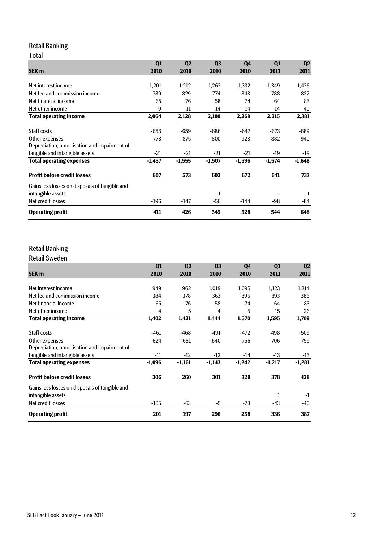### Retail Banking

### Total

|                                                | Q1       | Q <sub>2</sub> | Q <sub>3</sub> | Q <sub>4</sub> | Q1       | Q <sub>2</sub> |
|------------------------------------------------|----------|----------------|----------------|----------------|----------|----------------|
| <b>SEK m</b>                                   | 2010     | 2010           | 2010           | 2010           | 2011     | 2011           |
|                                                |          |                |                |                |          |                |
| Net interest income                            | 1,201    | 1,212          | 1,263          | 1,332          | 1.349    | 1,436          |
| Net fee and commission income                  | 789      | 829            | 774            | 848            | 788      | 822            |
| Net financial income                           | 65       | 76             | 58             | 74             | 64       | 83             |
| Net other income                               | 9        | 11             | 14             | 14             | 14       | 40             |
| <b>Total operating income</b>                  | 2,064    | 2,128          | 2,109          | 2,268          | 2,215    | 2,381          |
| Staff costs                                    | $-658$   | $-659$         | $-686$         | $-647$         | $-673$   | $-689$         |
| Other expenses                                 | -778     | $-875$         | $-800$         | $-928$         | $-882$   | -940           |
| Depreciation, amortisation and impairment of   |          |                |                |                |          |                |
| tangible and intangible assets                 | $-21$    | $-21$          | $-21$          | $-21$          | $-19$    | -19            |
| <b>Total operating expenses</b>                | $-1,457$ | $-1,555$       | $-1,507$       | $-1,596$       | $-1,574$ | $-1,648$       |
| <b>Profit before credit losses</b>             | 607      | 573            | 602            | 672            | 641      | 733            |
| Gains less losses on disposals of tangible and |          |                |                |                |          |                |
| intangible assets                              |          |                | $-1$           |                | 1        | $-1$           |
| Net credit losses                              | $-196$   | $-147$         | -56            | $-144$         | -98      | -84            |
| <b>Operating profit</b>                        | 411      | 426            | 545            | 528            | 544      | 648            |

### Retail Banking

Retail Sweden

|                                                | Q1       | Q <sub>2</sub> | Q <sub>3</sub> | Q <sub>4</sub> | Q1       | Q <sub>2</sub> |
|------------------------------------------------|----------|----------------|----------------|----------------|----------|----------------|
| SEK <sub>m</sub>                               | 2010     | 2010           | 2010           | 2010           | 2011     | 2011           |
|                                                |          |                |                |                |          |                |
| Net interest income                            | 949      | 962            | 1,019          | 1,095          | 1,123    | 1,214          |
| Net fee and commission income                  | 384      | 378            | 363            | 396            | 393      | 386            |
| Net financial income                           | 65       | 76             | 58             | 74             | 64       | 83             |
| Net other income                               | 4        | 5              | 4              | 5              | 15       | 26             |
| <b>Total operating income</b>                  | 1,402    | 1,421          | 1,444          | 1,570          | 1,595    | 1,709          |
| Staff costs                                    | $-461$   | $-468$         | $-491$         | $-472$         | $-498$   | -509           |
| Other expenses                                 | $-624$   | $-681$         | $-640$         | -756           | $-706$   | -759           |
| Depreciation, amortisation and impairment of   |          |                |                |                |          |                |
| tangible and intangible assets                 | -11      | $-12$          | $-12$          | $-14$          | $-13$    | $-13$          |
| <b>Total operating expenses</b>                | $-1,096$ | $-1,161$       | $-1,143$       | $-1,242$       | $-1,217$ | $-1,281$       |
| <b>Profit before credit losses</b>             | 306      | 260            | 301            | 328            | 378      | 428            |
| Gains less losses on disposals of tangible and |          |                |                |                |          |                |
| intangible assets                              |          |                |                |                | 1        | $-1$           |
| Net credit losses                              | $-105$   | $-63$          | -5             | $-70$          | -43      | -40            |
| <b>Operating profit</b>                        | 201      | 197            | 296            | 258            | 336      | 387            |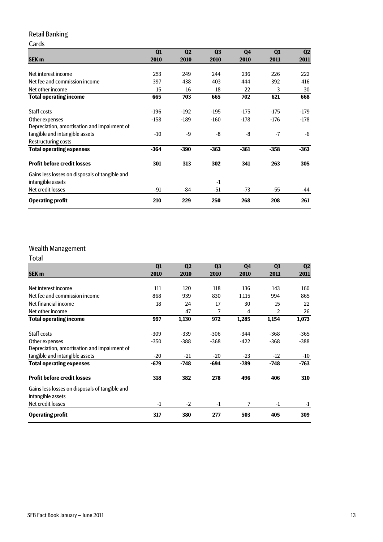### Retail Banking

#### Cards **SEK m Q1 2010 Q2 2010 Q3 2010 Q4 2010 Q1 2011 Q2 2011** Net interest income 253 249 244 236 226 222 Net fee and commission income 397 438 403 444 392 416 Net other income<br>
Net other income<br>
Net other income<br>
Total operating income<br>
Total operating income<br>
C65 703 665 702 621 668 **Total operating income** Staff costs -196 -192 -195 -175 -175 -179 Other expenses -158 -189 -160 -178 -176 -178 Depreciation, amortisation and impairment of tangible and intangible assets  $-10$   $-9$   $-8$   $-8$   $-7$   $-6$ Restructuring costs **Total operating expenses -364 -390 -363 -361 -358 -363 Profit before credit losses 301 313 302 341 263 305** Gains less losses on disposals of tangible and intangible assets  $-1$ Net credit losses -91 -84 -51 -73 -55 -44 **Operating profit 210 229 250 268 208 261**

### Wealth Management

| Total                                                               |        |                |                |                |        |                |
|---------------------------------------------------------------------|--------|----------------|----------------|----------------|--------|----------------|
|                                                                     | Q1     | Q <sub>2</sub> | Q <sub>3</sub> | Q <sub>4</sub> | Q1     | Q <sub>2</sub> |
| <b>SEK m</b>                                                        | 2010   | 2010           | 2010           | 2010           | 2011   | 2011           |
| Net interest income                                                 | 111    | 120            | 118            | 136            | 143    | 160            |
| Net fee and commission income                                       | 868    | 939            | 830            | 1,115          | 994    | 865            |
| Net financial income                                                | 18     | 24             | 17             | 30             | 15     | 22             |
| Net other income                                                    |        | 47             | 7              | 4              | 2      | 26             |
| <b>Total operating income</b>                                       | 997    | 1,130          | 972            | 1,285          | 1,154  | 1,073          |
| Staff costs                                                         | $-309$ | $-339$         | $-306$         | $-344$         | $-368$ | $-365$         |
| Other expenses                                                      | $-350$ | $-388$         | $-368$         | $-422$         | $-368$ | $-388$         |
| Depreciation, amortisation and impairment of                        |        |                |                |                |        |                |
| tangible and intangible assets                                      | $-20$  | $-21$          | $-20$          | $-23$          | $-12$  | $-10$          |
| <b>Total operating expenses</b>                                     | $-679$ | $-748$         | $-694$         | $-789$         | $-748$ | $-763$         |
| <b>Profit before credit losses</b>                                  | 318    | 382            | 278            | 496            | 406    | 310            |
| Gains less losses on disposals of tangible and<br>intangible assets |        |                |                |                |        |                |
| Net credit losses                                                   | $-1$   | $-2$           | $-1$           | 7              | $-1$   | $-1$           |
| <b>Operating profit</b>                                             | 317    | 380            | 277            | 503            | 405    | 309            |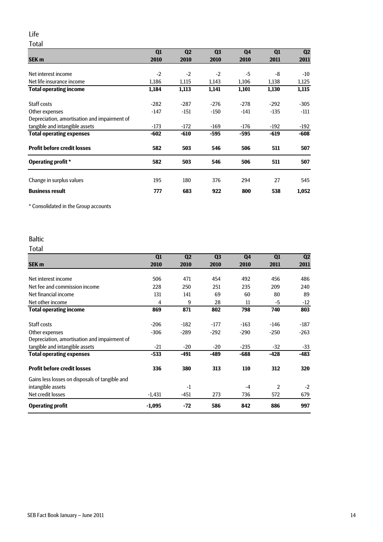### Life

Total

|                                              | Q1     | Q <sub>2</sub> | Q <sub>3</sub> | Q <sub>4</sub> | Q1     | Q <sub>2</sub> |
|----------------------------------------------|--------|----------------|----------------|----------------|--------|----------------|
| <b>SEK m</b>                                 | 2010   | 2010           | 2010           | 2010           | 2011   | 2011           |
|                                              |        |                |                |                |        |                |
| Net interest income                          | $-2$   | $-2$           | $-2$           | -5             | -8     | $-10$          |
| Net life insurance income                    | 1,186  | 1,115          | 1,143          | 1,106          | 1,138  | 1,125          |
| <b>Total operating income</b>                | 1,184  | 1,113          | 1,141          | 1,101          | 1,130  | 1,115          |
| Staff costs                                  | $-282$ | $-287$         | $-276$         | $-278$         | $-292$ | $-305$         |
| Other expenses                               | $-147$ | $-151$         | $-150$         | $-141$         | $-135$ | $-111$         |
| Depreciation, amortisation and impairment of |        |                |                |                |        |                |
| tangible and intangible assets               | $-173$ | $-172$         | $-169$         | $-176$         | $-192$ | -192           |
| <b>Total operating expenses</b>              | $-602$ | $-610$         | -595           | -595           | $-619$ | -608           |
| <b>Profit before credit losses</b>           | 582    | 503            | 546            | 506            | 511    | 507            |
| <b>Operating profit</b> *                    | 582    | 503            | 546            | 506            | 511    | 507            |
| Change in surplus values                     | 195    | 180            | 376            | 294            | 27     | 545            |
|                                              |        |                |                |                |        |                |
| <b>Business result</b>                       | 777    | 683            | 922            | 800            | 538    | 1,052          |

\* Consolidated in the Group accounts

### Baltic

### Total

|                                                | Q1       | Q <sub>2</sub> | Q <sub>3</sub> | Q4     | Q <sub>1</sub> | Q <sub>2</sub> |
|------------------------------------------------|----------|----------------|----------------|--------|----------------|----------------|
| <b>SEK m</b>                                   | 2010     | 2010           | 2010           | 2010   | 2011           | 2011           |
|                                                |          |                |                |        |                |                |
| Net interest income                            | 506      | 471            | 454            | 492    | 456            | 486            |
| Net fee and commission income                  | 228      | 250            | 251            | 235    | 209            | 240            |
| Net financial income                           | 131      | 141            | 69             | 60     | 80             | 89             |
| Net other income                               | 4        | 9              | 28             | 11     | -5             | $-12$          |
| <b>Total operating income</b>                  | 869      | 871            | 802            | 798    | 740            | 803            |
| Staff costs                                    | $-206$   | $-182$         | $-177$         | $-163$ | $-146$         | -187           |
| Other expenses                                 | $-306$   | $-289$         | $-292$         | $-290$ | $-250$         | $-263$         |
| Depreciation, amortisation and impairment of   |          |                |                |        |                |                |
| tangible and intangible assets                 | $-21$    | $-20$          | $-20$          | $-235$ | $-32$          | $-33$          |
| <b>Total operating expenses</b>                | $-533$   | -491           | $-489$         | $-688$ | -428           | -483           |
| <b>Profit before credit losses</b>             | 336      | 380            | 313            | 110    | 312            | 320            |
| Gains less losses on disposals of tangible and |          |                |                |        |                |                |
| intangible assets                              |          | $-1$           |                | $-4$   | 2              | $-2$           |
| Net credit losses                              | $-1,431$ | -451           | 273            | 736    | 572            | 679            |
| <b>Operating profit</b>                        | $-1,095$ | $-72$          | 586            | 842    | 886            | 997            |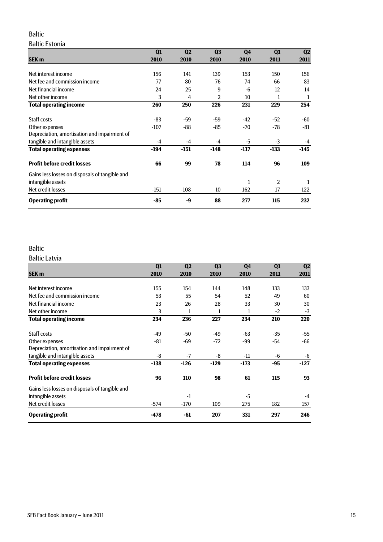### Baltic

#### Baltic Estonia

|                                                | Q1     | Q <sub>2</sub> | Q <sub>3</sub> | Q <sub>4</sub> | Q1     | Q2   |
|------------------------------------------------|--------|----------------|----------------|----------------|--------|------|
| <b>SEK m</b>                                   | 2010   | 2010           | 2010           | 2010           | 2011   | 2011 |
|                                                |        |                |                |                |        |      |
| Net interest income                            | 156    | 141            | 139            | 153            | 150    | 156  |
| Net fee and commission income                  | 77     | 80             | 76             | 74             | 66     | 83   |
| Net financial income                           | 24     | 25             | 9              | $-6$           | 12     | 14   |
| Net other income                               | 3      | 4              | 2              | 10             | 1      | 1    |
| <b>Total operating income</b>                  | 260    | 250            | 226            | 231            | 229    | 254  |
| Staff costs                                    | -83    | -59            | -59            | $-42$          | $-52$  | -60  |
| Other expenses                                 | $-107$ | -88            | -85            | -70            | -78    | -81  |
| Depreciation, amortisation and impairment of   |        |                |                |                |        |      |
| tangible and intangible assets                 | $-4$   | $-4$           | $-4$           | -5             | $-3$   | $-4$ |
| <b>Total operating expenses</b>                | $-194$ | $-151$         | $-148$         | -117           | $-133$ | -145 |
| <b>Profit before credit losses</b>             | 66     | 99             | 78             | 114            | 96     | 109  |
| Gains less losses on disposals of tangible and |        |                |                |                |        |      |
| intangible assets                              |        |                |                | 1              | 2      | 1    |
| Net credit losses                              | -151   | $-108$         | 10             | 162            | 17     | 122  |
| <b>Operating profit</b>                        | -85    | -9             | 88             | 277            | 115    | 232  |

### Baltic

#### Baltic Latvia

|                                                | Q1     | Q <sub>2</sub> | Q <sub>3</sub> | Q <sub>4</sub> | Q1    | Q <sub>2</sub> |
|------------------------------------------------|--------|----------------|----------------|----------------|-------|----------------|
| <b>SEK m</b>                                   | 2010   | 2010           | 2010           | 2010           | 2011  | 2011           |
|                                                |        |                |                |                |       |                |
| Net interest income                            | 155    | 154            | 144            | 148            | 133   | 133            |
| Net fee and commission income                  | 53     | 55             | 54             | 52             | 49    | 60             |
| Net financial income                           | 23     | 26             | 28             | 33             | 30    | 30             |
| Net other income                               | 3      | 1              | 1              | 1              | $-2$  | $-3$           |
| <b>Total operating income</b>                  | 234    | 236            | 227            | 234            | 210   | 220            |
| Staff costs                                    | -49    | -50            | -49            | $-63$          | $-35$ | -55            |
| Other expenses                                 | -81    | -69            | $-72$          | -99            | -54   | $-66$          |
| Depreciation, amortisation and impairment of   |        |                |                |                |       |                |
| tangible and intangible assets                 | -8     | $-7$           | -8             | $-11$          | -6    | -6             |
| <b>Total operating expenses</b>                | $-138$ | $-126$         | $-129$         | $-173$         | -95   | -127           |
| <b>Profit before credit losses</b>             | 96     | 110            | 98             | 61             | 115   | 93             |
| Gains less losses on disposals of tangible and |        |                |                |                |       |                |
| intangible assets                              |        | $-1$           |                | -5             |       | $-4$           |
| Net credit losses                              | $-574$ | $-170$         | 109            | 275            | 182   | 157            |
| <b>Operating profit</b>                        | $-478$ | -61            | 207            | 331            | 297   | 246            |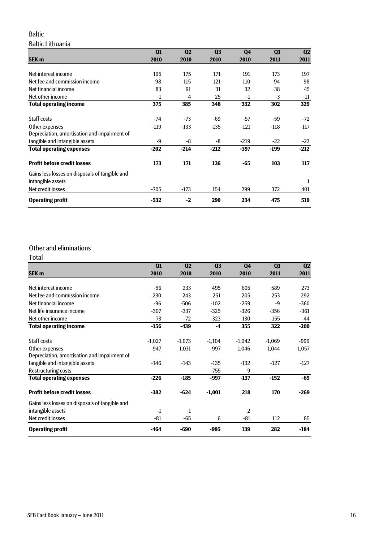### Baltic

### Baltic Lithuania

|                                                | Q1     | Q <sub>2</sub> | Q <sub>3</sub> | Q4     | Q1     | Q <sub>2</sub> |
|------------------------------------------------|--------|----------------|----------------|--------|--------|----------------|
| <b>SEK m</b>                                   | 2010   | 2010           | 2010           | 2010   | 2011   | 2011           |
|                                                |        |                |                |        |        |                |
| Net interest income                            | 195    | 175            | 171            | 191    | 173    | 197            |
| Net fee and commission income                  | 98     | 115            | 121            | 110    | 94     | 98             |
| Net financial income                           | 83     | 91             | 31             | 32     | 38     | 45             |
| Net other income                               | $-1$   | 4              | 25             | -1     | $-3$   | $-11$          |
| <b>Total operating income</b>                  | 375    | 385            | 348            | 332    | 302    | 329            |
| Staff costs                                    | $-74$  | $-73$          | $-69$          | -57    | -59    | $-72$          |
| Other expenses                                 | $-119$ | $-133$         | $-135$         | $-121$ | $-118$ | $-117$         |
| Depreciation, amortisation and impairment of   |        |                |                |        |        |                |
| tangible and intangible assets                 | -9     | -8             | -8             | $-219$ | $-22$  | $-23$          |
| <b>Total operating expenses</b>                | $-202$ | $-214$         | $-212$         | $-397$ | $-199$ | $-212$         |
| <b>Profit before credit losses</b>             | 173    | 171            | 136            | -65    | 103    | 117            |
| Gains less losses on disposals of tangible and |        |                |                |        |        |                |
| intangible assets                              |        |                |                |        |        | 1              |
| Net credit losses                              | $-705$ | $-173$         | 154            | 299    | 372    | 401            |
| <b>Operating profit</b>                        | $-532$ | $-2$           | 290            | 234    | 475    | 519            |

### Other and eliminations

| Total                                          |          |                |                |                |          |                |
|------------------------------------------------|----------|----------------|----------------|----------------|----------|----------------|
|                                                | Q1       | Q <sub>2</sub> | Q <sub>3</sub> | Q4             | Q1       | Q <sub>2</sub> |
| <b>SEK m</b>                                   | 2010     | 2010           | 2010           | 2010           | 2011     | 2011           |
| Net interest income                            | $-56$    | 233            | 495            | 605            | 589      | 273            |
| Net fee and commission income                  | 230      | 243            | 251            | 205            | 253      | 292            |
| Net financial income                           | $-96$    | $-506$         | $-102$         | $-259$         | $-9$     | $-360$         |
| Net life insurance income                      | $-307$   | $-337$         | $-325$         | $-326$         | $-356$   | $-361$         |
| Net other income                               | 73       | $-72$          | $-323$         | 130            | $-155$   | $-44$          |
| <b>Total operating income</b>                  | $-156$   | $-439$         | $-4$           | 355            | 322      | $-200$         |
| Staff costs                                    | $-1,027$ | $-1,073$       | $-1,104$       | $-1,042$       | $-1,069$ | -999           |
| Other expenses                                 | 947      | 1,031          | 997            | 1,046          | 1,044    | 1,057          |
| Depreciation, amortisation and impairment of   |          |                |                |                |          |                |
| tangible and intangible assets                 | $-146$   | $-143$         | $-135$         | $-132$         | $-127$   | $-127$         |
| <b>Restructuring costs</b>                     |          |                | $-755$         | -9             |          |                |
| <b>Total operating expenses</b>                | $-226$   | $-185$         | -997           | $-137$         | $-152$   | -69            |
| <b>Profit before credit losses</b>             | $-382$   | $-624$         | $-1,001$       | 218            | 170      | $-269$         |
| Gains less losses on disposals of tangible and |          |                |                |                |          |                |
| intangible assets                              | $-1$     | $-1$           |                | $\overline{2}$ |          |                |
| Net credit losses                              | $-81$    | -65            | 6              | $-81$          | 112      | 85             |
| <b>Operating profit</b>                        | -464     | -690           | $-995$         | 139            | 282      | $-184$         |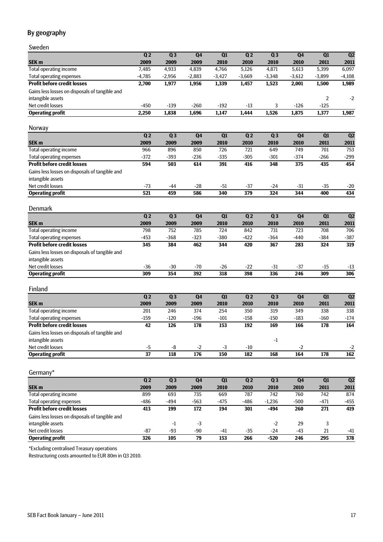### By geography

Sweden

|                                                | Q <sub>2</sub>  | Q3            | Q <sub>4</sub> | $\overline{Q1}$ | Q <sub>2</sub> | Q3             | Q <sub>4</sub> | Q1               | Q2               |
|------------------------------------------------|-----------------|---------------|----------------|-----------------|----------------|----------------|----------------|------------------|------------------|
| SEK <sub>m</sub>                               | 2009            | 2009          | 2009           | 2010            | 2010           | 2010           | 2010           | 2011             | 2011             |
| <b>Total operating income</b>                  | 7,485           | 4,933         | 4,839          | 4,766           | 5,126          | 4,871          | 5,613          | 5,399            | 6,097            |
| <b>Total operating expenses</b>                | $-4,785$        | $-2,956$      | $-2,883$       | $-3,427$        | $-3,669$       | $-3,348$       | $-3,612$       | $-3,899$         | $-4,108$         |
| <b>Profit before credit losses</b>             | 2,700           | 1,977         | 1,956          | 1,339           | 1,457          | 1,523          | 2,001          | 1,500            | 1,989            |
| Gains less losses on disposals of tangible and |                 |               |                |                 |                |                |                |                  |                  |
| intangible assets                              |                 |               |                |                 |                |                |                | 2                | $-2$             |
| Net credit losses                              | -450            | $-139$        | $-260$         | $-192$          | $-13$          | 3              | $-126$         | $-125$           |                  |
| <b>Operating profit</b>                        | 2,250           | 1,838         | 1,696          | 1,147           | 1,444          | 1,526          | 1,875          | 1,377            | 1,987            |
| <b>Norway</b>                                  |                 |               |                |                 |                |                |                |                  |                  |
|                                                | Q <sub>2</sub>  | Q3            | Q <sub>4</sub> | $\overline{Q1}$ | Q <sub>2</sub> | Q3             | Q <sub>4</sub> | $\overline{Q1}$  | Q <sub>2</sub>   |
| SEK <sub>m</sub>                               | 2009            | 2009          | 2009           | 2010            | 2010           | 2010           | 2010           | 2011             | 2011             |
| Total operating income                         | 966             | 896           | 850            | 726             | 721            | 649            | 749            | 701              | 753              |
| <b>Total operating expenses</b>                | $-372$          | $-393$        | $-236$         | $-335$          | $-305$         | $-301$         | $-374$         | $-266$           | $-299$           |
| <b>Profit before credit losses</b>             | 594             | 503           | 614            | 391             | 416            | 348            | 375            | 435              | 454              |
| Gains less losses on disposals of tangible and |                 |               |                |                 |                |                |                |                  |                  |
| intangible assets                              |                 |               |                |                 |                |                |                |                  |                  |
| Net credit losses                              | $-73$           | -44           | $-28$          | $-51$           | $-37$          | $-24$          | $-31$          | $-35$            | $-20$            |
| <b>Operating profit</b>                        | 521             | 459           | 586            | 340             | 379            | 324            | 344            | 400              | 434              |
|                                                |                 |               |                |                 |                |                |                |                  |                  |
| <b>Denmark</b>                                 |                 |               |                |                 |                |                |                |                  |                  |
|                                                | Q <sub>2</sub>  | Q3            | Q4             | $\overline{Q1}$ | Q <sub>2</sub> | Q3             | Q <sub>4</sub> | Q1               | Q2               |
| SEK <sub>m</sub>                               | 2009            | 2009          | 2009           | 2010            | 2010           | 2010           | 2010           | 2011             | 2011             |
| <b>Total operating income</b>                  | 798             | 752           | 785            | 724             | 842            | 731            | 723            | 708              | 706              |
| <b>Total operating expenses</b>                | $-453$          | $-368$        | $-323$         | $-380$          | $-422$         | $-364$         | $-440$         | $-384$           | $-387$           |
| <b>Profit before credit losses</b>             | 345             | 384           | 462            | 344             | 420            | 367            | 283            | 324              | 319              |
| Gains less losses on disposals of tangible and |                 |               |                |                 |                |                |                |                  |                  |
| intangible assets                              |                 |               |                |                 |                |                |                |                  |                  |
| Net credit losses                              | $-36$           | $-30$         | $-70$          | $-26$           | $-22$          | $-31$          | $-37$          | $-15$            | $-13$            |
| <b>Operating profit</b>                        | 309             | 354           | 392            | 318             | 398            | 336            | 246            | 309              | 306              |
|                                                |                 |               |                |                 |                |                |                |                  |                  |
| Finland                                        |                 |               |                |                 |                |                |                |                  |                  |
|                                                | Q <sub>2</sub>  | Q3            | Q <sub>4</sub> | Q1              | Q <sub>2</sub> | Q <sub>3</sub> | Q <sub>4</sub> | $\overline{Q1}$  | Q2               |
| SEK <sub>m</sub>                               | 2009            | 2009          | 2009           | 2010            | 2010           | 2010           | 2010           | 2011             | 2011             |
| Total operating income                         | 201             | 246           | 374            | 254             | 350            | 319            | 349            | 338              | 338              |
| <b>Total operating expenses</b>                | $-159$          | $-120$        | $-196$         | $-101$          | $-158$         | $-150$         | $-183$         | $-160$           | $-174$           |
| <b>Profit before credit losses</b>             | 42              | 126           | 178            | 153             | 192            | 169            | 166            | 178              | 164              |
| Gains less losses on disposals of tangible and |                 |               |                |                 |                |                |                |                  |                  |
| intangible assets                              |                 |               |                |                 |                | -1             |                |                  |                  |
| Net credit losses                              | $-5$            | $-8$          | $-2$           | $-3$            | $-10$          |                | $-2$           |                  | $-2$             |
| <b>Operating profit</b>                        | $\overline{37}$ | 118           | 176            | 150             | 182            | 168            | 164            | 178              | 162              |
|                                                |                 |               |                |                 |                |                |                |                  |                  |
| Germany*                                       |                 |               |                |                 |                |                |                |                  |                  |
|                                                | Q <sub>2</sub>  | Q3            | Q4             | $\overline{Q1}$ | Q <sub>2</sub> | Q3             | Q <sub>4</sub> | $\overline{Q1}$  | Q2               |
| SEK <sub>m</sub>                               | 2009            | 2009          | 2009           | 2010            | 2010           | 2010           | 2010           | 2011             | 2011             |
| <b>Total operating income</b>                  | 899             | 693           | 735            | 669             | 787            | 742            | 760            | $\overline{742}$ | 874              |
| <b>Total operating expenses</b>                | $-486$          | $-494$        | $-563$         | $-475$          | $-486$         | $-1,236$       | $-500$         | $-471$           | $-455$           |
| <b>Profit before credit losses</b>             | 413             | 199           | $\frac{1}{2}$  | 194             | 301            | $-494$         | 260            | $\overline{271}$ | 419              |
| Gains less losses on disposals of tangible and |                 |               |                |                 |                |                |                |                  |                  |
| intangible assets                              |                 | $\textbf{-1}$ | $-3$           |                 |                | $-2$           | 29             | 3                |                  |
| Net credit losses                              | $-87$           | $-93$         | $-90$          | $-41$           | $-35$          | $-24$          | $-43$          | 21               | -41              |
| <b>Operating profit</b>                        | 326             | 105           | 79             | 153             | 266            | $-520$         | 246            | 295              | $\overline{378}$ |
|                                                |                 |               |                |                 |                |                |                |                  |                  |

\*Excluding centralised Treasury operations

Restructuring costs amounted to EUR 80m in Q3 2010.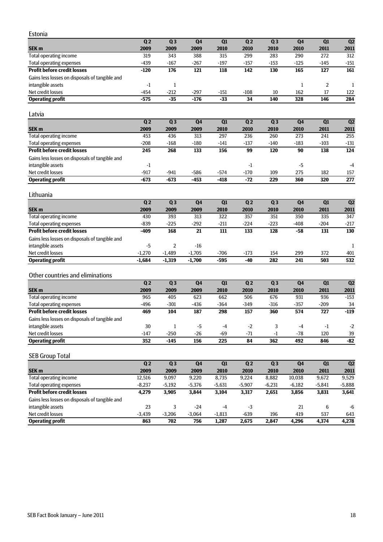| Estonia |  |
|---------|--|

| Q <sub>2</sub> | Q <sub>3</sub> | Q <sub>4</sub> | Q <sub>1</sub> | Q <sub>2</sub> | Q <sub>3</sub> | Q <sub>4</sub> | Q <sub>1</sub> | Q <sub>2</sub> |
|----------------|----------------|----------------|----------------|----------------|----------------|----------------|----------------|----------------|
| 2009           | 2009           | 2009           | 2010           | 2010           | 2010           | 2010           | 2011           | 2011           |
| 319            | 343            | 388            | 315            | 299            | 283            | 290            | 272            | 312            |
| $-439$         | $-167$         | $-267$         | $-197$         | $-157$         | $-153$         | $-125$         | $-145$         | $-151$         |
| $-120$         | 176            | 121            | 118            | 142            | 130            | 165            | 127            | 161            |
|                |                |                |                |                |                |                |                |                |
| $-1$           |                |                |                |                |                |                |                |                |
| $-454$         | $-212$         | $-297$         | $-151$         | $-108$         | 10             | 162            |                | 122            |
| $-575$         | $-35$          | $-176$         | $-33$          | 34             | 140            | 328            | 146            | 284            |
|                |                |                |                |                |                |                |                |                |

### Latvia

|                                                | Q <sub>2</sub> | Q <sub>3</sub> | Q4     | Q <sub>1</sub> | Q <sub>2</sub> | $Q_3$  | Q <sub>4</sub> | Q1     | Q <sub>2</sub> |
|------------------------------------------------|----------------|----------------|--------|----------------|----------------|--------|----------------|--------|----------------|
| <b>SEK m</b>                                   | 2009           | 2009           | 2009   | 2010           | 2010           | 2010   | 2010           | 2011   | 2011           |
| Total operating income                         | 453            | 436            | 313    | 297            | 236            | 260    | 273            | 241    | 255            |
| <b>Total operating expenses</b>                | $-208$         | $-168$         | $-180$ | $-141$         | $-137$         | $-140$ | $-183$         | $-103$ | $-131$         |
| <b>Profit before credit losses</b>             | 245            | 268            | 133    | 156            | 99             | 120    | 90             | 138    | 124            |
| Gains less losses on disposals of tangible and |                |                |        |                |                |        |                |        |                |
| intangible assets                              | $-1$           |                |        |                | - 1            |        | -5             |        | $-4$           |
| Net credit losses                              | $-917$         | $-941$         | $-586$ | $-574$         | $-170$         | 109    | 275            | 182    | 157            |
| <b>Operating profit</b>                        | $-673$         | -673           | $-453$ | -418           | $-72$          | 229    | 360            | 320    | 277            |

#### Lithuania

|                                                | Q <sub>2</sub> | Q <sub>3</sub> | Q <sub>4</sub> | Q <sub>1</sub> | Q <sub>2</sub> | Q <sub>3</sub> | Q <sub>4</sub> | Q <sub>1</sub> | Q <sub>2</sub> |
|------------------------------------------------|----------------|----------------|----------------|----------------|----------------|----------------|----------------|----------------|----------------|
| <b>SEK m</b>                                   | 2009           | 2009           | 2009           | 2010           | 2010           | 2010           | 2010           | 2011           | 2011           |
| Total operating income                         | 430            | 393            | 313            | 322            | 357            | 351            | 350            | 335            | 347            |
| Total operating expenses                       | $-839$         | $-225$         | $-292$         | $-211$         | $-224$         | $-223$         | $-408$         | $-204$         | $-217$         |
| <b>Profit before credit losses</b>             | -409           | 168            | 21             | 111            | 133            | 128            | -58            | 131            | 130            |
| Gains less losses on disposals of tangible and |                |                |                |                |                |                |                |                |                |
| intangible assets                              | -5             |                | $-16$          |                |                |                |                |                |                |
| Net credit losses                              | $-1.270$       | $-1.489$       | $-1.705$       | -706           | $-173$         | 154            | 299            | 372            | 401            |
| <b>Operating profit</b>                        | $-1.684$       | $-1.319$       | $-1.700$       | $-595$         | -40            | 282            | 241            | 503            | 532            |

### Other countries and eliminations

|                                                | Q <sub>2</sub> | Q <sub>3</sub> | Q <sub>4</sub> | Q <sub>1</sub> | Q <sub>2</sub> | $Q_3$  | Q <sub>4</sub> | Q1     | Q <sub>2</sub> |
|------------------------------------------------|----------------|----------------|----------------|----------------|----------------|--------|----------------|--------|----------------|
| <b>SEK m</b>                                   | 2009           | 2009           | 2009           | 2010           | 2010           | 2010   | 2010           | 2011   | 2011           |
| <b>Total operating income</b>                  | 965            | 405            | 623            | 662            | 506            | 676    | 931            | 936    | -153           |
| <b>Total operating expenses</b>                | -496           | $-301$         | $-436$         | $-364$         | $-349$         | $-316$ | $-357$         | $-209$ | 34             |
| <b>Profit before credit losses</b>             | 469            | 104            | 187            | 298            | 157            | 360    | 574            | 727    | $-119$         |
| Gains less losses on disposals of tangible and |                |                |                |                |                |        |                |        |                |
| intangible assets                              | 30             |                | -5             | $-4$           | $-2$           |        | $-4$           | $-1$   | $-2$           |
| Net credit losses                              | $-147$         | $-250$         | $-26$          | -69            | $-71$          | -1     | -78            | 120    | 39             |
| <b>Operating profit</b>                        | 352            | -145           | 156            | 225            | 84             | 362    | 492            | 846    | $-82$          |

#### SEB Group Total

|                                                | Q <sub>2</sub> | Q <sub>3</sub> | Q <sub>4</sub> | Q <sub>1</sub> | Q <sub>2</sub> | Q <sub>3</sub> | Q <sub>4</sub> | Q <sub>1</sub> | Q <sub>2</sub> |
|------------------------------------------------|----------------|----------------|----------------|----------------|----------------|----------------|----------------|----------------|----------------|
| <b>SEK m</b>                                   | 2009           | 2009           | 2009           | 2010           | 2010           | 2010           | 2010           | 2011           | 2011           |
| Total operating income                         | 12.516         | 9.097          | 9,220          | 8.735          | 9,224          | 8,882          | 10,038         | 9,672          | 9,529          |
| Total operating expenses                       | $-8.237$       | $-5.192$       | $-5.376$       | $-5.631$       | $-5.907$       | $-6.231$       | $-6.182$       | $-5.841$       | $-5,888$       |
| <b>Profit before credit losses</b>             | 4.279          | 3,905          | 3,844          | 3,104          | 3,317          | 2,651          | 3,856          | 3,831          | 3,641          |
| Gains less losses on disposals of tangible and |                |                |                |                |                |                |                |                |                |
| intangible assets                              | 23             | 3              | $-24$          | $-4$           | -3             |                | 21             | 6              | -6             |
| Net credit losses                              | $-3,439$       | $-3,206$       | $-3.064$       | $-1,813$       | $-639$         | 196            | 419            | 537            | 643            |
| <b>Operating profit</b>                        | 863            | 702            | 756            | 1,287          | 2.675          | 2.847          | 4,296          | 4,374          | 4,278          |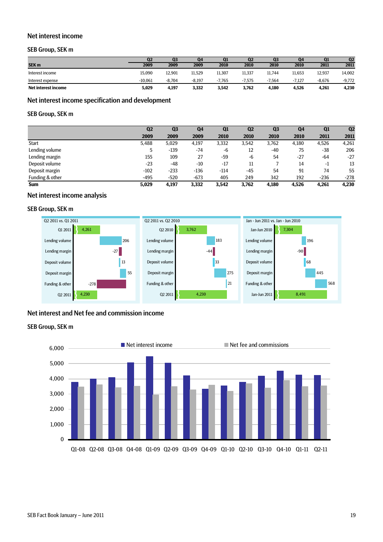#### Net interest income

#### SEB Group, SEK m

|                     | Q <sub>2</sub> | Q <sub>3</sub> | Q4       | Q1       | Q <sub>2</sub> | Q <sub>3</sub> | Q <sub>4</sub> | Q1       | Q <sub>2</sub> |
|---------------------|----------------|----------------|----------|----------|----------------|----------------|----------------|----------|----------------|
| SEK <sub>m</sub>    | 2009           | 2009           | 2009     | 2010     | 2010           | 2010           | 2010           | 2011     | 2011           |
| Interest income     | 15.090         | 12.901         | 11.529   | 11.307   | 11.337         | 11.744         | 11.653         | 12.937   | 14,002         |
| Interest expense    | $-10.061$      | $-8.704$       | $-8.197$ | $-7.765$ | $-7.575$       | $-7.564$       | $-7.127$       | $-8.676$ | $-9.772$       |
| Net interest income | 5,029          | 4,197          | 3,332    | 3,542    | 3.762          | 4,180          | 4,526          | 4,261    | 4,230          |

### Net interest income specification and development

#### SEB Group, SEK m

|                 | Q <sub>2</sub> | Q <sub>3</sub> | Q <sub>4</sub> | Q <sub>1</sub> | Q <sub>2</sub> | Q <sub>3</sub> | Q <sub>4</sub> | Q1     | Q <sub>2</sub> |
|-----------------|----------------|----------------|----------------|----------------|----------------|----------------|----------------|--------|----------------|
|                 | 2009           | 2009           | 2009           | 2010           | 2010           | 2010           | 2010           | 2011   | 2011           |
| Start           | 5,488          | 5,029          | 4,197          | 3,332          | 3,542          | 3,762          | 4,180          | 4,526  | 4,261          |
| Lending volume  | 5              | $-139$         | $-74$          | -6             | 12             | $-40$          | 75             | -38    | 206            |
| Lending margin  | 155            | 109            | 27             | $-59$          | -6             | 54             | $-27$          | -64    | $-27$          |
| Deposit volume  | $-23$          | $-48$          | $-10$          | $-17$          | 11             |                | 14             | $-1$   | 13             |
| Deposit margin  | $-102$         | $-233$         | $-136$         | $-114$         | $-45$          | 54             | 91             | 74     | 55             |
| Funding & other | $-495$         | $-520$         | $-673$         | 405            | 249            | 342            | 192            | $-236$ | $-278$         |
| <b>Sum</b>      | 5,029          | 4,197          | 3,332          | 3,542          | 3,762          | 4,180          | 4,526          | 4,261  | 4,230          |

#### Net interest income analysis

#### SEB Group, SEK m



#### Net interest and Net fee and commission income

#### SEB Group, SEK m

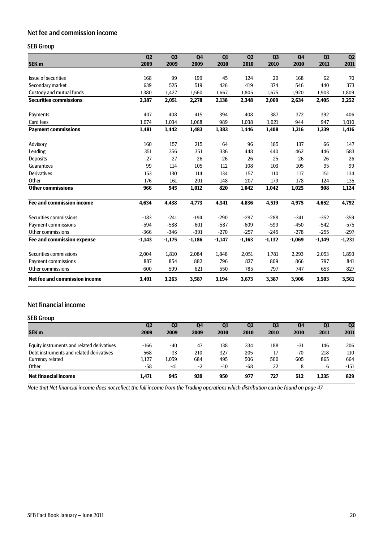### Net fee and commission income

### SEB Group

|                                  | Q <sub>2</sub> | Q <sub>3</sub> | <b>Q4</b> | Q1       | Q <sub>2</sub> | Q <sub>3</sub> | Q <sub>4</sub> | Q1       | Q2       |
|----------------------------------|----------------|----------------|-----------|----------|----------------|----------------|----------------|----------|----------|
| SEK <sub>m</sub>                 | 2009           | 2009           | 2009      | 2010     | 2010           | 2010           | 2010           | 2011     | 2011     |
| Issue of securities              | 168            | 99             | 199       | 45       | 124            | 20             | 168            | 62       | 70       |
| Secondary market                 | 639            | 525            | 519       | 426      | 419            | 374            | 546            | 440      | 373      |
| Custody and mutual funds         | 1,380          | 1,427          | 1,560     | 1,667    | 1,805          | 1,675          | 1,920          | 1,903    | 1,809    |
| <b>Securities commissions</b>    | 2,187          | 2,051          | 2,278     | 2,138    | 2,348          | 2,069          | 2,634          | 2,405    | 2,252    |
| Payments                         | 407            | 408            | 415       | 394      | 408            | 387            | 372            | 392      | 406      |
| Card fees                        | 1,074          | 1,034          | 1,068     | 989      | 1,038          | 1,021          | 944            | 947      | 1,010    |
| <b>Payment commissions</b>       | 1,481          | 1,442          | 1,483     | 1,383    | 1,446          | 1,408          | 1,316          | 1,339    | 1,416    |
| Advisory                         | 160            | 157            | 215       | 64       | 96             | 185            | 137            | 66       | 147      |
| Lending                          | 351            | 356            | 351       | 336      | 448            | 440            | 462            | 446      | 583      |
| <b>Deposits</b>                  | 27             | 27             | 26        | 26       | 26             | 25             | 26             | 26       | 26       |
| Guarantees                       | 99             | 114            | 105       | 112      | 108            | 103            | 105            | 95       | 99       |
| <b>Derivatives</b>               | 153            | 130            | 114       | 134      | 157            | 110            | 117            | 151      | 134      |
| Other                            | 176            | 161            | 201       | 148      | 207            | 179            | 178            | 124      | 135      |
| <b>Other commissions</b>         | 966            | 945            | 1,012     | 820      | 1,042          | 1,042          | 1,025          | 908      | 1,124    |
| <b>Fee and commission income</b> | 4,634          | 4,438          | 4,773     | 4,341    | 4,836          | 4,519          | 4,975          | 4,652    | 4,792    |
| Securities commissions           | $-183$         | $-241$         | $-194$    | $-290$   | $-297$         | $-288$         | $-341$         | $-352$   | $-359$   |
| Payment commissions              | $-594$         | $-588$         | $-601$    | $-587$   | $-609$         | $-599$         | $-450$         | $-542$   | $-575$   |
| Other commissions                | $-366$         | $-346$         | $-391$    | $-270$   | $-257$         | $-245$         | $-278$         | $-255$   | $-297$   |
| Fee and commission expense       | $-1,143$       | $-1,175$       | $-1,186$  | $-1,147$ | $-1,163$       | $-1,132$       | $-1,069$       | $-1,149$ | $-1,231$ |
| Securities commissions           | 2,004          | 1,810          | 2,084     | 1,848    | 2,051          | 1,781          | 2,293          | 2,053    | 1,893    |
| Payment commissions              | 887            | 854            | 882       | 796      | 837            | 809            | 866            | 797      | 841      |
| Other commissions                | 600            | 599            | 621       | 550      | 785            | 797            | 747            | 653      | 827      |
| Net fee and commission income    | 3,491          | 3,263          | 3,587     | 3,194    | 3,673          | 3,387          | 3,906          | 3,503    | 3,561    |

### Net financial income

#### SEB Group

|                                            | Q <sub>2</sub> | Q <sub>3</sub> | Q4   | Q <sub>1</sub> | Q <sub>2</sub> | Q <sub>3</sub> | Q4    | Q <sub>1</sub> | Q <sub>2</sub> |
|--------------------------------------------|----------------|----------------|------|----------------|----------------|----------------|-------|----------------|----------------|
| <b>SEK m</b>                               | 2009           | 2009           | 2009 | 2010           | 2010           | 2010           | 2010  | 2011           | 2011           |
|                                            |                |                |      |                |                |                |       |                |                |
| Equity instruments and related derivatives | -166           | -40            | 47   | 138            | 334            | 188            | $-31$ | 146            | 206            |
| Debt instruments and related derivatives   | 568            | $-33$          | 210  | 327            | 205            | 17             | $-70$ | 218            | 110            |
| Currency related                           | 1.127          | 1,059          | 684  | 495            | 506            | 500            | 605   | 865            | 664            |
| Other                                      | -58            | $-41$          | $-2$ | $-10$          | $-68$          | 22             | 8     | 6              | $-151$         |
| Net financial income                       | 1,471          | 945            | 939  | 950            | 977            | 727            | 512   | 1.235          | 829            |

*Note that Net financial income does not reflect the full income from the Trading operations which distribution can be found on page 47.*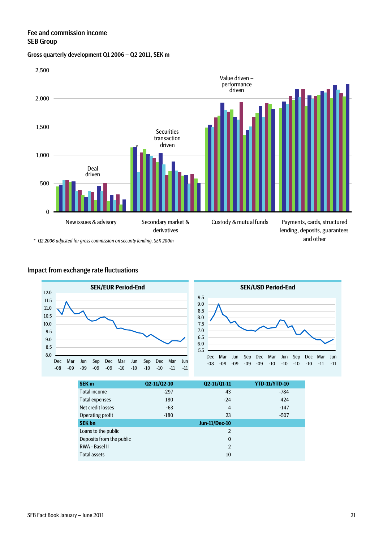### Fee and commission income SEB Group

#### Gross quarterly development Q1 2006 – Q2 2011, SEK m



*\* Q2 2006 adjusted for gross commission on security lending, SEK 200m*

### Impact from exchange rate fluctuations





| <b>SEK m</b>             | Q2-11/Q2-10 | Q2-11/Q1-11          | <b>YTD-11/YTD-10</b> |
|--------------------------|-------------|----------------------|----------------------|
| <b>Total income</b>      | $-297$      | 43                   | $-784$               |
| <b>Total expenses</b>    | 180         | $-24$                | 424                  |
| Net credit losses        | $-63$       | $\overline{4}$       | $-147$               |
| Operating profit         | $-180$      | 23                   | $-507$               |
| <b>SEK bn</b>            |             | <b>Jun-11/Dec-10</b> |                      |
| Loans to the public      |             | $\overline{2}$       |                      |
| Deposits from the public |             | $\mathbf{0}$         |                      |
| RWA - Basel II           |             | $\overline{2}$       |                      |
| <b>Total assets</b>      |             | 10                   |                      |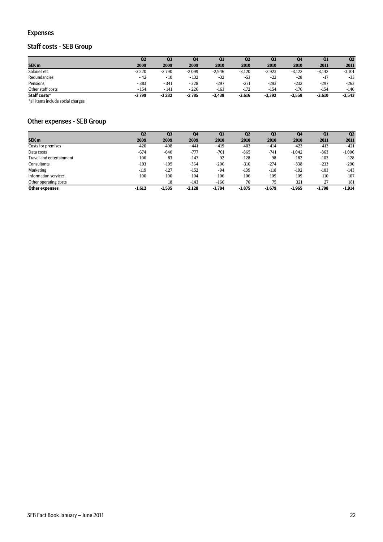### Expenses

### Staff costs - SEB Group

|                   | Q <sub>2</sub> | Q <sub>3</sub> | Q4      | Q1       | Q <sub>2</sub> | Q <sub>3</sub> | Q4       | Q1       | Q <sub>2</sub> |
|-------------------|----------------|----------------|---------|----------|----------------|----------------|----------|----------|----------------|
| SEK <sub>m</sub>  | 2009           | 2009           | 2009    | 2010     | 2010           | 2010           | 2010     | 2011     | 2011           |
| Salaries etc      | $-3220$        | $-2790$        | -2099   | $-2.946$ | $-3,120$       | $-2,923$       | $-3,122$ | $-3.142$ | $-3,101$       |
| Redundancies      | $-42$          | $-10$          | $-132$  | $-32$    | $-53$          | $-22$          | $-28$    | $-17$    | $-33$          |
| Pensions          | $-383$         | $-341$         | $-328$  | $-297$   | $-271$         | $-293$         | $-232$   | $-297$   | $-263$         |
| Other staff costs | $-154$         | $-141$         | - 226   | $-163$   | $-172$         | $-154$         | $-176$   | $-154$   | $-146$         |
| Staff costs*      | $-3799$        | $-3282$        | $-2785$ | $-3,438$ | $-3,616$       | $-3,392$       | $-3,558$ | $-3,610$ | $-3,543$       |

\*all items include social charges

### Other expenses - SEB Group

|                          | Q <sub>2</sub> | Q <sub>3</sub> | Q <sub>4</sub> | Q1       | Q <sub>2</sub> | Q <sub>3</sub> | Q <sub>4</sub> | Q1       | Q <sub>2</sub> |
|--------------------------|----------------|----------------|----------------|----------|----------------|----------------|----------------|----------|----------------|
| SEK <sub>m</sub>         | 2009           | 2009           | 2009           | 2010     | 2010           | 2010           | 2010           | 2011     | 2011           |
| Costs for premises       | $-420$         | $-408$         | $-441$         | $-419$   | $-403$         | $-414$         | $-423$         | $-413$   | $-421$         |
| Data costs               | $-674$         | $-640$         | $-777$         | $-701$   | $-865$         | $-741$         | $-1,042$       | $-863$   | $-1,006$       |
| Travel and entertainment | $-106$         | -83            | $-147$         | $-92$    | $-128$         | $-98$          | $-182$         | $-103$   | $-128$         |
| Consultants              | $-193$         | $-195$         | $-364$         | $-206$   | $-310$         | $-274$         | $-338$         | $-233$   | $-290$         |
| Marketing                | $-119$         | $-127$         | $-152$         | $-94$    | $-139$         | $-118$         | $-192$         | $-103$   | $-143$         |
| Information services     | $-100$         | $-100$         | $-104$         | $-106$   | $-106$         | $-109$         | $-109$         | $-110$   | $-107$         |
| Other operating costs    |                | 18             | $-143$         | $-166$   | 76             | 75             | 321            | 27       | 181            |
| <b>Other expenses</b>    | $-1.612$       | $-1,535$       | $-2,128$       | $-1.784$ | $-1,875$       | $-1,679$       | $-1,965$       | $-1,798$ | $-1,914$       |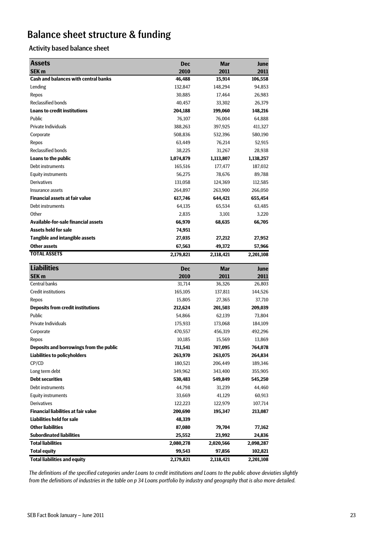# Balance sheet structure & funding

### Activity based balance sheet

| <b>Assets</b>                               | <b>Dec</b> | Mar       | June              |
|---------------------------------------------|------------|-----------|-------------------|
| <b>SEK m</b>                                | 2010       | 2011      | 2011              |
| <b>Cash and balances with central banks</b> | 46,488     | 15,914    | 106,558           |
| Lending                                     | 132,847    | 148,294   | 94,853            |
| Repos                                       | 30,885     | 17,464    | 26,983            |
| <b>Reclassified bonds</b>                   | 40,457     | 33,302    | 26,379            |
| <b>Loans to credit institutions</b>         | 204,188    | 199,060   | 148,216           |
| Public                                      | 76,107     | 76,004    | 64,888            |
| Private Individuals                         | 388,263    | 397,925   | 411,327           |
| Corporate                                   | 508,836    | 532,396   | 580,190           |
| Repos                                       | 63,449     | 76,214    | 52,915            |
| <b>Reclassified bonds</b>                   | 38,225     | 31,267    | 28,938            |
| Loans to the public                         | 1,074,879  | 1,113,807 | 1,138,257         |
| Debt instruments                            | 165,516    | 177,477   | 187,032           |
| <b>Equity instruments</b>                   | 56,275     | 78,676    | 89,788            |
| <b>Derivatives</b>                          | 131,058    | 124,369   | 112,585           |
| Insurance assets                            | 264,897    | 263,900   | 266,050           |
| <b>Financial assets at fair value</b>       | 617,746    | 644,421   | 655,454           |
| Debt instruments                            | 64,135     | 65,534    | 63,485            |
| Other                                       | 2,835      | 3,101     | 3,220             |
| <b>Available-for-sale financial assets</b>  | 66,970     | 68,635    | 66,705            |
| <b>Assets held for sale</b>                 | 74,951     |           |                   |
| <b>Tangible and intangible assets</b>       | 27,035     | 27,212    | 27,952            |
| <b>Other assets</b>                         | 67,563     | 49,372    | 57,966            |
| <b>TOTAL ASSETS</b>                         | 2,179,821  | 2,118,421 | 2,201,108         |
|                                             |            |           |                   |
| <b>Liabilities</b>                          | <b>Dec</b> | Mar       | June              |
| <b>SEK m</b>                                | 2010       | 2011      | 2011              |
| <b>Central banks</b>                        | 31,714     | 36,326    | 26,803            |
| <b>Credit institutions</b>                  | 165,105    | 137,811   | 144,526           |
| Repos                                       | 15,805     | 27,365    | 37,710            |
| <b>Deposits from credit institutions</b>    | 212,624    | 201,503   | 209,039           |
| Public                                      | 54,866     | 62,139    | 73,804            |
| Private Individuals                         | 175,933    | 173,068   | 184,109           |
| Corporate                                   | 470,557    | 456,319   | 492,296           |
| Repos                                       | 10,185     | 15,569    | 13,869            |
| Deposits and borrowings from the public     | 711,541    | 707,095   | 764,078           |
| <b>Liabilities to policyholders</b>         | 263,970    | 263,075   | 264,834           |
| CP/CD                                       | 180,521    | 206,449   | 189,346           |
| Long term debt                              | 349,962    | 343,400   | 355,905           |
| <b>Debt securities</b>                      | 530,483    | 549,849   | 545,250           |
| Debt instruments                            | 44,798     | 31,239    | 44,460            |
| <b>Equity instruments</b>                   | 33,669     | 41,129    |                   |
| <b>Derivatives</b>                          | 122,223    | 122,979   | 60,913<br>107,714 |
| <b>Financial liabilities at fair value</b>  | 200,690    |           |                   |
| <b>Liabilities held for sale</b>            | 48,339     | 195,347   | 213,087           |
| <b>Other liabilities</b>                    | 87,080     | 79,704    | 77,162            |
| <b>Subordinated liabilities</b>             | 25,552     | 23,992    | 24,836            |
| <b>Total liabilities</b>                    | 2,080,278  | 2,020,566 | 2,098,287         |
| <b>Total equity</b>                         | 99,543     | 97,856    | 102,821           |

*The definitions of the specified categories under Loans to credit institutions and Loans to the public above deviaties slightly from the definitions of industries in the table on p 34 Loans portfolio by industry and geography that is also more detailed.*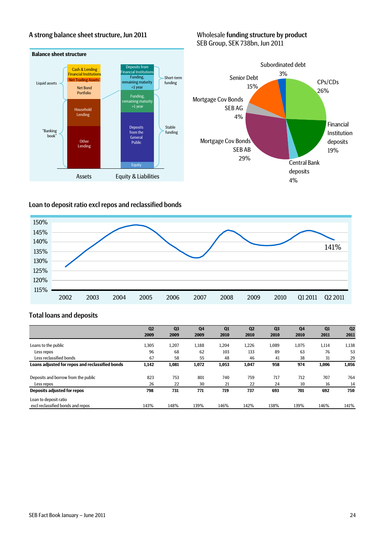### A strong balance sheet structure, Jun 2011 Wholesale funding structure by product SEB Group, SEK 738bn, Jun 2011



### Loan to deposit ratio excl repos and reclassified bonds



### Total loans and deposits

|                                                 | Q <sub>2</sub> | Q <sub>3</sub> | Q <sub>4</sub> | Q1    | Q <sub>2</sub> | Q <sub>3</sub> | Q <sub>4</sub> | Q1    | Q <sub>2</sub> |
|-------------------------------------------------|----------------|----------------|----------------|-------|----------------|----------------|----------------|-------|----------------|
|                                                 | 2009           | 2009           | 2009           | 2010  | 2010           | 2010           | 2010           | 2011  | 2011           |
| Loans to the public                             | 1,305          | 1,207          | 1,188          | 1,204 | 1,226          | 1.089          | 1.075          | 1,114 | 1,138          |
| Less repos                                      | 96             | 68             | 62             | 103   | 133            | 89             | 63             | 76    | 53             |
| Less reclassified bonds                         | 67             | 58             | 55             | 48    | 46             | 41             | 38             | 31    | 29             |
| Loans adjusted for repos and reclassified bonds | 1,142          | 1,081          | 1,072          | 1,053 | 1,047          | 958            | 974            | 1,006 | 1,056          |
| Deposits and borrow from the public             | 823            | 753            | 801            | 740   | 759            | 717            | 712            | 707   | 764            |
| Less repos                                      | 26             | 22             | 30             | 21    | 22             | 24             | 10             | 16    | 14             |
| Deposits adjusted for repos                     | 798            | 731            | 771            | 719   | 737            | 693            | 701            | 692   | 750            |
| Loan to deposit ratio                           |                |                |                |       |                |                |                |       |                |
| excl reclassified bonds and repos               | 143%           | 148%           | 139%           | 146%  | 142%           | 138%           | 139%           | 146%  | 141%           |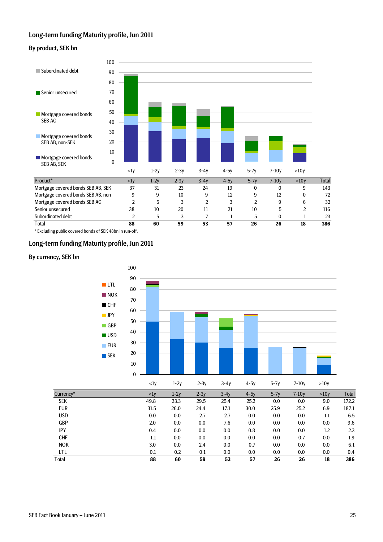### Long-term funding Maturity profile, Jun 2011

#### By product, SEK bn



\* Excluding public covered bonds of SEK 48bn in run-off.

#### Long-term funding Maturity profile, Jun 2011

#### By currency, SEK bn

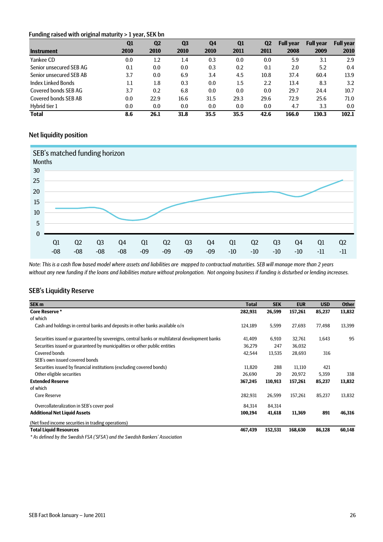#### Funding raised with original maturity > 1 year, SEK bn

| ີ<br>ັ                  | Q1   | Q <sub>2</sub> | Q <sub>3</sub> | Q4   | Q <sub>1</sub> | Q <sub>2</sub> | <b>Full year</b> | <b>Full year</b> | <b>Full year</b> |
|-------------------------|------|----------------|----------------|------|----------------|----------------|------------------|------------------|------------------|
| <b>Instrument</b>       | 2010 | 2010           | 2010           | 2010 | 2011           | 2011           | 2008             | 2009             | 2010             |
| Yankee CD               | 0.0  | 1.2            | 1.4            | 0.3  | 0.0            | 0.0            | 5.9              | 3.1              | 2.9              |
| Senior unsecured SEB AG | 0.1  | 0.0            | 0.0            | 0.3  | 0.2            | 0.1            | 2.0              | 5.2              | 0.4              |
| Senior unsecured SEB AB | 3.7  | 0.0            | 6.9            | 3.4  | 4.5            | 10.8           | 37.4             | 60.4             | 13.9             |
| Index Linked Bonds      | 1.1  | 1.8            | 0.3            | 0.0  | 1.5            | 2.2            | 13.4             | 8.3              | 3.2              |
| Covered bonds SEB AG    | 3.7  | 0.2            | 6.8            | 0.0  | 0.0            | 0.0            | 29.7             | 24.4             | 10.7             |
| Covered bonds SEB AB    | 0.0  | 22.9           | 16.6           | 31.5 | 29.3           | 29.6           | 72.9             | 25.6             | 71.0             |
| Hybrid tier 1           | 0.0  | 0.0            | 0.0            | 0.0  | 0.0            | 0.0            | 4.7              | 3.3              | 0.0              |
| <b>Total</b>            | 8.6  | 26.1           | 31.8           | 35.5 | 35.5           | 42.6           | 166.0            | 130.3            | 102.1            |

### Net liquidity position



*Note: This is a cash flow based model where assets and liabilities are mapped to contractual maturities. SEB will manage more than 2 years without any new funding if the loans and liabilities mature without prolongation. Not ongoing business if funding is disturbed or lending increases.* 

### SEB's Liquidity Reserve

| SEK <sub>m</sub>                                                                               | <b>Total</b> | <b>SEK</b> | <b>EUR</b> | <b>USD</b> | <b>Other</b> |
|------------------------------------------------------------------------------------------------|--------------|------------|------------|------------|--------------|
| <b>Core Reserve*</b>                                                                           | 282,931      | 26,599     | 157,261    | 85,237     | 13,832       |
| of which                                                                                       |              |            |            |            |              |
| Cash and holdings in central banks and deposits in other banks available o/n                   | 124,189      | 5,599      | 27,693     | 77,498     | 13,399       |
| Securities issued or guaranteed by sovereigns, central banks or multilateral development banks | 41,409       | 6,910      | 32,761     | 1,643      | 95           |
| Securities issued or guaranteed by municipalities or other public entities                     | 36,279       | 247        | 36,032     |            |              |
| <b>Covered bonds</b>                                                                           | 42,544       | 13,535     | 28,693     | 316        |              |
| SEB's own issued covered bonds                                                                 |              |            |            |            |              |
| Securities issued by financial institutions (excluding covered bonds)                          | 11,820       | 288        | 11,110     | 421        |              |
| Other eligible securities                                                                      | 26,690       | 20         | 20,972     | 5,359      | 338          |
| <b>Extended Reserve</b>                                                                        | 367,245      | 110,913    | 157,261    | 85,237     | 13,832       |
| of which                                                                                       |              |            |            |            |              |
| <b>Core Reserve</b>                                                                            | 282,931      | 26,599     | 157,261    | 85,237     | 13,832       |
| Overcollateralization in SEB's cover pool                                                      | 84,314       | 84,314     |            |            |              |
| <b>Additional Net Liquid Assets</b>                                                            | 100,194      | 41,618     | 11,369     | 891        | 46,316       |
| (Net fixed income securities in trading operations)                                            |              |            |            |            |              |
| <b>Total Liquid Resources</b>                                                                  | 467,439      | 152,531    | 168,630    | 86,128     | 60,148       |

*\* As defined by the Swedish FSA ('SFSA') and the Swedish Bankers' Association*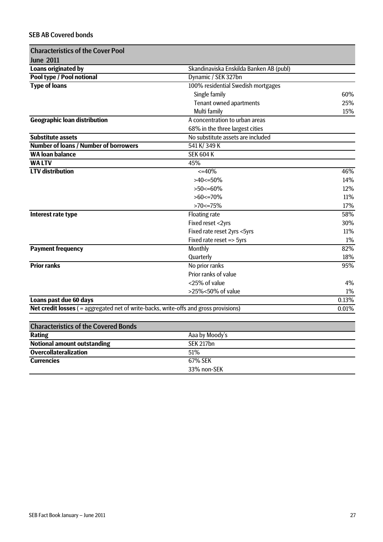### SEB AB Covered bonds

| <b>Characteristics of the Cover Pool</b>                                              |                                         |       |
|---------------------------------------------------------------------------------------|-----------------------------------------|-------|
| <b>June 2011</b>                                                                      |                                         |       |
| <b>Loans originated by</b>                                                            | Skandinaviska Enskilda Banken AB (publ) |       |
| Pool type / Pool notional                                                             | Dynamic / SEK 327bn                     |       |
| <b>Type of loans</b>                                                                  | 100% residential Swedish mortgages      |       |
|                                                                                       | Single family                           | 60%   |
|                                                                                       | Tenant owned apartments                 | 25%   |
|                                                                                       | Multi family                            | 15%   |
| <b>Geographic loan distribution</b>                                                   | A concentration to urban areas          |       |
|                                                                                       | 68% in the three largest cities         |       |
| <b>Substitute assets</b>                                                              | No substitute assets are included       |       |
| <b>Number of loans / Number of borrowers</b>                                          | 541 K/349 K                             |       |
| <b>WA loan balance</b>                                                                | <b>SEK 604 K</b>                        |       |
| <b>WALTV</b>                                                                          | 45%                                     |       |
| <b>LTV</b> distribution                                                               | $<=40\%$                                | 46%   |
|                                                                                       | $>40<=50\%$                             | 14%   |
|                                                                                       | $>50<=60\%$                             | 12%   |
|                                                                                       | $>60$ <= 70%                            | 11%   |
|                                                                                       | $>70$ <= 75%                            | 17%   |
| Interest rate type                                                                    | <b>Floating rate</b>                    | 58%   |
|                                                                                       | Fixed reset <2yrs                       | 30%   |
|                                                                                       | Fixed rate reset 2yrs <5yrs             | 11%   |
|                                                                                       | Fixed rate reset => 5yrs                | $1\%$ |
| <b>Payment frequency</b>                                                              | Monthly                                 | 82%   |
|                                                                                       | Quarterly                               | 18%   |
| <b>Prior ranks</b>                                                                    | No prior ranks                          | 95%   |
|                                                                                       | Prior ranks of value                    |       |
|                                                                                       | <25% of value                           | 4%    |
|                                                                                       | $>25\% < 50\%$ of value                 | $1\%$ |
| Loans past due 60 days                                                                |                                         | 0.13% |
| Net credit losses ( = aggregated net of write-backs, write-offs and gross provisions) |                                         | 0.01% |
|                                                                                       |                                         |       |
| <b>Characteristics of the Covered Bonds</b>                                           |                                         |       |
| <b>Rating</b>                                                                         | Aaa by Moody's                          |       |
| <b>Notional amount outstanding</b>                                                    | <b>SEK 217bn</b>                        |       |
| <b>Overcollateralization</b>                                                          | 51%                                     |       |
| <b>Currencies</b>                                                                     | 67% SEK                                 |       |
|                                                                                       | 33% non-SEK                             |       |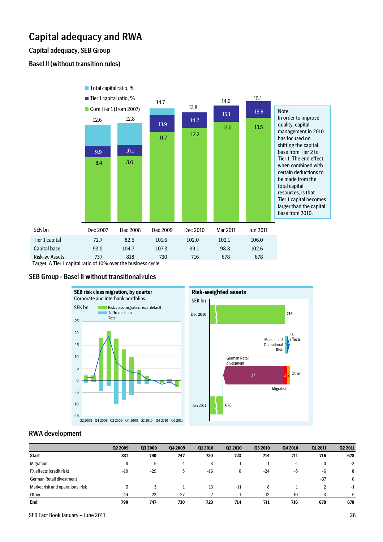## Capital adequacy and RWA

### Capital adequacy, SEB Group

### Basel II (without transition rules)



Target: A Tier 1 capital ratio of 10% over the business cycle

#### SEB Group - Basel II without transitional rules



#### RWA development

|                                  | Q2 2009 | Q3 2009 | Q4 2009 | Q1 2010 | Q <sub>2</sub> 2010 | Q3 2010 | Q4 2010 | Q1 2011  | Q2 2011      |
|----------------------------------|---------|---------|---------|---------|---------------------|---------|---------|----------|--------------|
| <b>Start</b>                     | 831     | 790     | 747     | 730     | 723                 | 714     | 711     | 716      | 678          |
| Migration                        | 8       | 5       | 4       |         |                     |         | -1      | $\bf{0}$ | $-2$         |
| FX effects (credit risk)         | $-10$   | $-29$   | 5       | $-16$   | $\bf{0}$            | $-24$   | -5      | -6       | 8            |
| German Retail divestment         |         |         |         |         |                     |         |         | $-37$    | $\mathbf{0}$ |
| Market risk and operational risk | ა       |         |         | 13      | $-11$               | 8       |         |          | $-1$         |
| Other                            | $-44$   | $-22$   | $-27$   | $-7$    |                     | 12      | 10      |          | $-5$         |
| End                              | 790     | 747     | 730     | 723     | 714                 | 711     | 716     | 678      | 678          |

SEB Fact Book January – June 2011 28 and 2012 28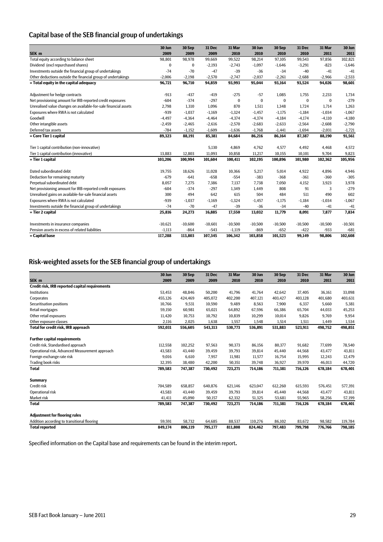### Capital base of the SEB financial group of undertakings

|                                                                 | 30 Jun    | 30 Sep    | 31 Dec    | 31 Mar      | 30 Jun       | 30 Sep    | 31 Dec    | 31 Mar    | 30 Jun    |
|-----------------------------------------------------------------|-----------|-----------|-----------|-------------|--------------|-----------|-----------|-----------|-----------|
| SEK <sub>m</sub>                                                | 2009      | 2009      | 2009      | 2010        | 2010         | 2010      | 2010      | 2011      | 2011      |
| Total equity according to balance sheet                         | 98,801    | 98,978    | 99,669    | 99,522      | 98,214       | 97,105    | 99,543    | 97,856    | 102,821   |
| Dividend (excl repurchased shares)                              | 0         | $\bf{0}$  | $-2,193$  | $-2,743$    | $-1,097$     | $-1,646$  | $-3,291$  | $-823$    | $-1,646$  |
| Investments outside the financial group of undertakings         | $-74$     | $-70$     | $-47$     | $-39$       | $-36$        | $-34$     | $-40$     | $-41$     | $-41$     |
| Other deductions outside the financial group of undertakings    | $-2,006$  | $-2,198$  | $-2,570$  | $-2,747$    | $-2,037$     | $-2,261$  | $-2,688$  | $-2,966$  | $-2,533$  |
| = Total equity in the capital adequacy                          | 96,721    | 96,710    | 94,859    | 93,993      | 95,044       | 93,164    | 93,524    | 94,026    | 98,601    |
| Adjustment for hedge contracts                                  | $-913$    | $-437$    | $-419$    | $-275$      | $-57$        | 1.085     | 1.755     | 2,233     | 1,734     |
| Net provisioning amount for IRB-reported credit exposures       | $-604$    | $-374$    | $-297$    | $\mathbf 0$ | $\mathbf{0}$ | $\bf{0}$  | $\bf{0}$  | $\bf{0}$  | $-279$    |
| Unrealised value changes on available-for-sale financial assets | 2,798     | 1,310     | 1,096     | 870         | 1,511        | 1,348     | 1,724     | 1,714     | 1,263     |
| Exposures where RWA is not calculated                           | $-939$    | $-1,037$  | $-1,169$  | $-1,324$    | $-1,457$     | $-1,175$  | $-1,184$  | $-1,034$  | $-1,067$  |
| Goodwill                                                        | $-4,497$  | $-4,364$  | $-4,464$  | $-4,374$    | $-4,374$     | $-4,184$  | $-4,174$  | $-4,110$  | $-4,180$  |
| Other intangible assets                                         | $-2,459$  | $-2,465$  | $-2.616$  | $-2,570$    | $-2,683$     | $-2,633$  | $-2,564$  | $-2,608$  | $-2,790$  |
| Deferred tax assets                                             | $-784$    | $-1,152$  | $-1,609$  | $-1,636$    | $-1,768$     | $-1,441$  | $-1,694$  | $-2,031$  | $-1,721$  |
| = Core Tier 1 capital                                           | 89,323    | 88,191    | 85,381    | 84,684      | 86,216       | 86,164    | 87,387    | 88,190    | 91,561    |
| Tier 1 capital contribution (non-innovative)                    |           |           | 5.130     | 4,869       | 4,762        | 4,577     | 4,492     | 4,468     | 4,572     |
| Tier 1 capital contribution (innovative)                        | 13,883    | 12,803    | 11,093    | 10,858      | 11,217       | 10,155    | 10,101    | 9,704     | 9,823     |
| = Tier 1 capital                                                | 103,206   | 100,994   | 101,604   | 100,411     | 102,195      | 100,896   | 101,980   | 102,362   | 105,956   |
| Dated subordinated debt                                         | 19,755    | 18,626    | 11,028    | 10,366      | 5,217        | 5.014     | 4,922     | 4,896     | 4,946     |
| Deduction for remaining maturity                                | $-679$    | $-641$    | $-658$    | $-554$      | $-383$       | $-368$    | $-361$    | $-360$    | $-305$    |
| Perpetual subordinated debt                                     | 8,057     | 7,275     | 7,386     | 7,137       | 7,738        | 7,050     | 4,152     | 3,923     | 3,978     |
| Net provisioning amount for IRB-reported credit exposures       | $-604$    | $-374$    | $-297$    | 1,349       | 1,449        | 808       | 91        | 3         | $-279$    |
| Unrealised gains on available-for-sale financial assets         | 300       | 494       | 642       | 615         | 504          | 484       | 511       | 490       | 602       |
| Exposures where RWA is not calculated                           | $-939$    | $-1,037$  | $-1,169$  | $-1,324$    | $-1,457$     | $-1,175$  | $-1,184$  | $-1,034$  | $-1,067$  |
| Investments outside the financial group of undertakings         | $-74$     | $-70$     | $-47$     | $-39$       | $-36$        | $-34$     | $-40$     | $-41$     | $-41$     |
| = Tier 2 capital                                                | 25,816    | 24,273    | 16,885    | 17,550      | 13,032       | 11,779    | 8,091     | 7,877     | 7,834     |
| Investments in insurance companies                              | $-10,621$ | $-10,600$ | $-10,601$ | $-10,500$   | $-10,500$    | $-10,500$ | $-10,500$ | $-10,500$ | $-10,501$ |
| Pension assets in excess of related liabilities                 | $-1,113$  | $-864$    | $-543$    | $-1,119$    | $-869$       | $-652$    | $-422$    | $-933$    | $-681$    |
| = Capital base                                                  | 117,288   | 113,803   | 107,345   | 106,342     | 103,858      | 101,523   | 99,149    | 98,806    | 102,608   |

### Risk-weighted assets for the SEB financial group of undertakings

|                                                 | 30 Jun  | 30 Sep  | <b>31 Dec</b> | 31 Mar  | 30 Jun  | 30 Sep  | 31 Dec  | 31 Mar  | 30 Jun  |
|-------------------------------------------------|---------|---------|---------------|---------|---------|---------|---------|---------|---------|
| SEK <sub>m</sub>                                | 2009    | 2009    | 2009          | 2010    | 2010    | 2010    | 2010    | 2011    | 2011    |
| Credit risk, IRB reported capital requirements  |         |         |               |         |         |         |         |         |         |
| Institutions                                    | 53,453  | 48,846  | 50,200        | 41,796  | 41,764  | 42,642  | 37,405  | 36,161  | 33,098  |
| Corporates                                      | 455,126 | 424.469 | 405.072       | 402,200 | 407,121 | 403.427 | 403,128 | 401.680 | 403,631 |
| Securitisation positions                        | 10,766  | 9,531   | 10,590        | 9,489   | 8,563   | 7,900   | 6,337   | 5,660   | 5,381   |
| Retail mortgages                                | 59,150  | 60,981  | 65,021        | 64,892  | 67,596  | 66,386  | 65,704  | 44,033  | 45,253  |
| Other retail exposures                          | 11,420  | 10,753  | 10,792        | 10,839  | 10,299  | 10,014  | 9,826   | 9,769   | 9,954   |
| Other exposure classes                          | 2,116   | 2,025   | 1,638         | 1,557   | 1,548   | 1,514   | 1,511   | 1,449   | 1,534   |
| Total for credit risk, IRB approach             | 592,031 | 556,605 | 543,313       | 530,773 | 536,891 | 531,883 | 523,911 | 498,752 | 498,851 |
| <b>Further capital requirements</b>             |         |         |               |         |         |         |         |         |         |
| Credit risk, Standardised approach              |         |         |               |         |         | 80.377  |         | 77.699  |         |
|                                                 | 112,558 | 102,252 | 97,563        | 90,373  | 86,156  |         | 91,682  |         | 78,540  |
| Operational risk, Advanced Measurement approach | 43,583  | 43,440  | 39.459        | 39.793  | 39,814  | 45,440  | 44,568  | 43.477  | 43,811  |
| Foreign exchange rate risk                      | 9,016   | 6,610   | 7,957         | 11,981  | 11,577  | 16,754  | 15,995  | 12,243  | 12,479  |
| Trading book risks                              | 32,395  | 38,480  | 42,200        | 50,351  | 39,748  | 36,927  | 39,970  | 46,013  | 44,720  |
| <b>Total</b>                                    | 789,583 | 747,387 | 730,492       | 723,271 | 714,186 | 711,381 | 716,126 | 678,184 | 678,401 |
| <b>Summary</b>                                  |         |         |               |         |         |         |         |         |         |
| Credit risk                                     | 704,589 | 658,857 | 640.876       | 621,146 | 623,047 | 612,260 | 615,593 | 576.451 | 577,391 |
| Operational risk                                | 43,583  | 43.440  | 39.459        | 39,793  | 39,814  | 45,440  | 44,568  | 43.477  | 43,811  |
| Market risk                                     | 41,411  | 45,090  | 50,157        | 62,332  | 51,325  | 53,681  | 55,965  | 58,256  | 57,199  |
| <b>Total</b>                                    | 789,583 | 747,387 | 730,492       | 723,271 | 714,186 | 711,381 | 716,126 | 678,184 | 678,401 |
| <b>Adjustment for flooring rules</b>            |         |         |               |         |         |         |         |         |         |
| Addition according to transitional flooring     | 59,591  | 58,732  | 64,685        | 88,537  | 110,276 | 86,102  | 83,672  | 98,582  | 119,784 |
| <b>Total reported</b>                           | 849,174 | 806.119 | 795.177       | 811.808 | 824.462 | 797,483 | 799.798 | 776.766 | 798,185 |

Specified information on the Capital base and requirements can be found in the interim report.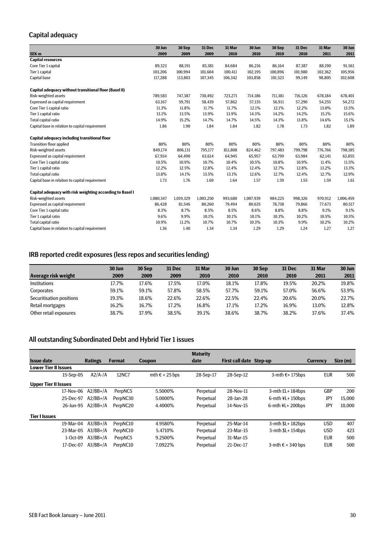### Capital adequacy

|                                                           | 30 Jun    | 30 Sep    | 31 Dec    | 31 Mar  | 30 Jun    | 30 Sep  | 31 Dec  | 31 Mar  | 30 Jun    |
|-----------------------------------------------------------|-----------|-----------|-----------|---------|-----------|---------|---------|---------|-----------|
| SEK <sub>m</sub>                                          | 2009      | 2009      | 2009      | 2010    | 2010      | 2010    | 2010    | 2011    | 2011      |
| <b>Capital resources</b>                                  |           |           |           |         |           |         |         |         |           |
| Core Tier 1 capital                                       | 89,323    | 88,191    | 85,381    | 84,684  | 86,216    | 86,164  | 87,387  | 88,190  | 91,561    |
| Tier 1 capital                                            | 103,206   | 100,994   | 101,604   | 100,411 | 102,195   | 100,896 | 101,980 | 102,362 | 105,956   |
| Capital base                                              | 117,288   | 113,803   | 107,345   | 106,342 | 103,858   | 101,523 | 99,149  | 98,805  | 102,608   |
| Capital adequacy without transitional floor (Basel II)    |           |           |           |         |           |         |         |         |           |
| Risk-weighted assets                                      | 789,583   | 747,387   | 730,492   | 723,271 | 714,186   | 711,381 | 716,126 | 678,184 | 678,401   |
| Expressed as capital requirement                          | 63,167    | 59,791    | 58,439    | 57,862  | 57,135    | 56,911  | 57,290  | 54,255  | 54,272    |
| Core Tier 1 capital ratio                                 | 11.3%     | 11.8%     | 11.7%     | 11.7%   | 12.1%     | 12.1%   | 12.2%   | 13.0%   | 13.5%     |
| Tier 1 capital ratio                                      | 13.1%     | 13.5%     | 13.9%     | 13.9%   | 14.3%     | 14.2%   | 14.2%   | 15.1%   | 15.6%     |
| Total capital ratio                                       | 14.9%     | 15.2%     | 14.7%     | 14.7%   | 14.5%     | 14.3%   | 13.8%   | 14.6%   | 15.1%     |
| Capital base in relation to capital requirement           | 1.86      | 1.90      | 1.84      | 1.84    | 1.82      | 1.78    | 1.73    | 1.82    | 1.89      |
| Capital adequacy including transitional floor             |           |           |           |         |           |         |         |         |           |
| <b>Transition floor applied</b>                           | 80%       | 80%       | 80%       | 80%     | 80%       | 80%     | 80%     | 80%     | 80%       |
| Risk-weighted assets                                      | 849,174   | 806,131   | 795,177   | 811,808 | 824,462   | 797,483 | 799,798 | 776,766 | 798,185   |
| Expressed as capital requirement                          | 67,934    | 64,490    | 63,614    | 64,945  | 65,957    | 63,799  | 63,984  | 62,141  | 63,855    |
| Core Tier 1 capital ratio                                 | 10.5%     | 10.9%     | 10.7%     | 10.4%   | 10.5%     | 10.8%   | 10.9%   | 11.4%   | 11.5%     |
| Tier 1 capital ratio                                      | 12.2%     | 12.5%     | 12.8%     | 12.4%   | 12.4%     | 12.7%   | 12.8%   | 13.2%   | 13.3%     |
| Total capital ratio                                       | 13.8%     | 14.1%     | 13.5%     | 13.1%   | 12.6%     | 12.7%   | 12.4%   | 12.7%   | 12.9%     |
| Capital base in relation to capital requirement           | 1.73      | 1.76      | 1.69      | 1.64    | 1.57      | 1.59    | 1.55    | 1.59    | 1.61      |
| Capital adequacy with risk weighting according to Basel I |           |           |           |         |           |         |         |         |           |
| Risk-weighted assets                                      | 1,080,347 | 1,019,329 | 1,003,250 | 993,680 | 1,007,939 | 984,225 | 998,326 | 970,912 | 1,006,459 |
| Expressed as capital requirement                          | 86,428    | 81,546    | 80,260    | 79,494  | 80,635    | 78,738  | 79,866  | 77,673  | 80,517    |
| Core Tier 1 capital ratio                                 | 8.3%      | 8.7%      | 8.5%      | 8.5%    | 8.6%      | 8.8%    | 8.8%    | 9.1%    | 9.1%      |
| Tier 1 capital ratio                                      | 9.6%      | 9.9%      | 10.1%     | 10.1%   | 10.1%     | 10.3%   | 10.2%   | 10.5%   | 10.5%     |
| Total capital ratio                                       | 10.9%     | 11.2%     | 10.7%     | 10.7%   | 10.3%     | 10.3%   | 9.9%    | 10.2%   | 10.2%     |
| Capital base in relation to capital requirement           | 1.36      | 1.40      | 1.34      | 1.34    | 1.29      | 1.29    | 1.24    | 1.27    | 1.27      |

### IRB reported credit exposures (less repos and securities lending)

|                          | 30 Jun | 30 Sep | <b>31 Dec</b> | 31 Mar | 30 Jun | 30 Sep | <b>31 Dec</b> | 31 Mar | 30 Jun |
|--------------------------|--------|--------|---------------|--------|--------|--------|---------------|--------|--------|
| Average risk weight      | 2009   | 2009   | 2009          | 2010   | 2010   | 2010   | 2010          | 2011   | 2011   |
| <b>Institutions</b>      | 17.7%  | 17.6%  | 17.5%         | 17.0%  | 18.1%  | 17.8%  | 19.5%         | 20.2%  | 19.8%  |
| Corporates               | 59.1%  | 59.1%  | 57.8%         | 58.5%  | 57.7%  | 59.1%  | 57.0%         | 56.6%  | 53.9%  |
| Securitisation positions | 19.3%  | 18.6%  | 22.6%         | 22.6%  | 22.5%  | 22.4%  | 20.6%         | 20.0%  | 22.7%  |
| Retail mortgages         | 16.2%  | 16.7%  | 17.2%         | 16.8%  | 17.1%  | 17.2%  | 16.9%         | 13.0%  | 12.8%  |
| Other retail exposures   | 38.7%  | 37.9%  | 38.5%         | 39.1%  | 38.6%  | 38.7%  | 38.2%         | 37.6%  | 37.4%  |

### All outstanding Subordinated Debt and Hybrid Tier 1 issues

|                             |            |                |               |                         | <b>Maturity</b> |                         |                            |                 |          |
|-----------------------------|------------|----------------|---------------|-------------------------|-----------------|-------------------------|----------------------------|-----------------|----------|
| <b>Issue date</b>           |            | <b>Ratings</b> | <b>Format</b> | <b>Coupon</b>           | date            | First call date Step-up |                            | <b>Currency</b> | Size (m) |
| <b>Lower Tier II Issues</b> |            |                |               |                         |                 |                         |                            |                 |          |
|                             | 15-Sep-05  | $A2/A$ -/A     | 12NC7         | mth $\epsilon$ + 25 bps | 28-Sep-17       | 28-Sep-12               | 3-mth $€+175$ bps          | <b>EUR</b>      | 500      |
| <b>Upper Tier II Issues</b> |            |                |               |                         |                 |                         |                            |                 |          |
|                             | 17-Nov-06  | $A2/BB+/A$     | PerpNC5       | 5.5000%                 | Perpetual       | 28-Nov-11               | 3-mth £L+184bps            | GBP             | 200      |
|                             | 25-Dec-97  | $A2/BB+/A$     | PerpNC30      | 5.0000%                 | Perpetual       | 28-Jan-28               | $6$ -mth $4L+150$ bps      | JPY             | 15,000   |
|                             | 26-Jun-95  | $A2/BB+/A$     | PerpNC20      | 4.4000%                 | Perpetual       | 14-Nov-15               | $6$ -mth $4L+200$ bps      | JPY             | 10.000   |
| <b>Tier I Issues</b>        |            |                |               |                         |                 |                         |                            |                 |          |
|                             | 19-Mar-04  | $A3/BB+/A$     | PerpNC10      | 4.9580%                 | Perpetual       | 25-Mar-14               | $3-$ mth $$L+182bps$       | <b>USD</b>      | 407      |
|                             | 23-Mar-05  | $A3/BB+/A$     | PerpNC10      | 5.4710%                 | Perpetual       | 23-Mar-15               | $3$ -mth $$L+154bps$       | <b>USD</b>      | 423      |
|                             | $1-Oct-09$ | $A3/BB+/A$     | PerpNC5       | 9.2500%                 | Perpetual       | 31-Mar-15               |                            | <b>EUR</b>      | 500      |
|                             | 17-Dec-07  | $A3/BB+/A$     | PerpNC10      | 7.0922%                 | Perpetual       | 21-Dec-17               | 3-mth $\epsilon$ + 340 bps | <b>EUR</b>      | 500      |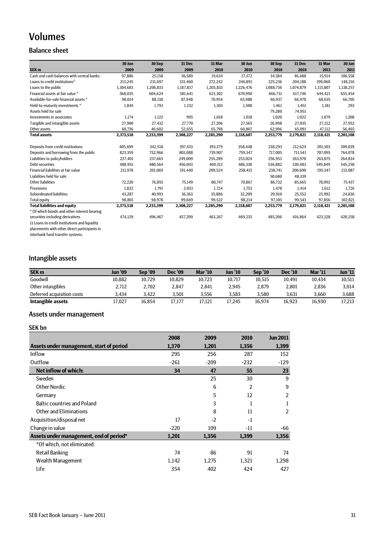## Volumes

### Balance sheet

|                                               | 30 Jun    | 30 Sep    | 31 Dec    | 31 Mar    | 30 Jun    | 30 Sep    | 31 Dec    | 31 Mar    | 30 Jun    |
|-----------------------------------------------|-----------|-----------|-----------|-----------|-----------|-----------|-----------|-----------|-----------|
| SEK <sub>m</sub>                              | 2009      | 2009      | 2009      | 2010      | 2010      | 2010      | 2010      | 2011      | 2011      |
| Cash and cash balances with central banks     | 97,886    | 25,158    | 36,589    | 19,634    | 17,372    | 34,384    | 46.488    | 15.914    | 106,558   |
| Loans to credit institutions <sup>1)</sup>    | 213,245   | 231,697   | 331,460   | 272,242   | 246,891   | 225,236   | 204,188   | 199,060   | 148,216   |
| Loans to the public                           | 1,304,683 | 1,206,833 | 1,187,837 | 1,203,833 | 1,226,476 | 1,088,736 | 1,074,879 | 1,113,807 | 1,138,257 |
| Financial assets at fair value *              | 568,035   | 604,624   | 581,641   | 623,302   | 670,990   | 666,731   | 617.746   | 644,421   | 655,454   |
| Available-for-sale financial assets *         | 98.014    | 88,138    | 87.948    | 70,954    | 65,988    | 66,937    | 66.970    | 68,635    | 66,705    |
| Held-to-maturity investments *                | 1,845     | 1,793     | 1,332     | 1,303     | 1,500     | 1,461     | 1,451     | 1,181     | 293       |
| Assets held for sale                          |           |           |           |           |           | 79,280    | 74,951    |           |           |
| Investments in associates                     | 1.174     | 1,122     | 995       | 1,018     | 1,018     | 1,020     | 1,022     | 1,079     | 1,208     |
| Tangible and intangible assets                | 27,900    | 27,432    | 27,770    | 27,206    | 27,565    | 26,998    | 27,035    | 27,212    | 27,952    |
| Other assets                                  | 60,736    | 46,602    | 52,655    | 65,798    | 60,807    | 62,996    | 65,091    | 47,112    | 56,465    |
| <b>Total assets</b>                           | 2,373,518 | 2,233,399 | 2,308,227 | 2,285,290 | 2,318,607 | 2,253,779 | 2,179,821 | 2,118,421 | 2,201,108 |
| Deposits from credit institutions             | 405.699   | 342.518   | 397.433   | 393,379   | 358.448   | 238,293   | 212.624   | 201.503   | 209,039   |
| Deposits and borrowing from the public        | 823,359   | 752,966   | 801.088   | 739,907   | 759,347   | 717,005   | 711.541   | 707.095   | 764,078   |
| Liabilities to policyholders                  | 227.401   | 237.665   | 249.009   | 255,289   | 253.024   | 256,953   | 263.970   | 263.075   | 264,834   |
| <b>Debt securities</b>                        | 488,951   | 480,564   | 456,043   | 469,312   | 486,330   | 536,882   | 530,483   | 549,849   | 545,250   |
| Financial liabilities at fair value           | 211,978   | 201,069   | 191,440   | 209,524   | 258,415   | 238,741   | 200.690   | 195,347   | 213,087   |
| Liabilities held for sale                     |           |           |           |           |           | 50,680    | 48,339    |           |           |
| <b>Other liabilities</b>                      | 72,220    | 76,855    | 75,149    | 80,747    | 70,867    | 86,732    | 85,665    | 78,092    | 75,437    |
| Provisions                                    | 1,822     | 1,791     | 2,033     | 1,724     | 1,753     | 1,478     | 1,414     | 1,612     | 1,726     |
| <b>Subordinated liabilities</b>               | 43,287    | 40,993    | 36,363    | 35,886    | 32,209    | 29,910    | 25,552    | 23,992    | 24,836    |
| <b>Total equity</b>                           | 98,801    | 98,978    | 99,669    | 99,522    | 98,214    | 97,105    | 99,543    | 97,856    | 102,821   |
| <b>Total liabilities and equity</b>           | 2,373,518 | 2,233,399 | 2,308,227 | 2,285,290 | 2,318,607 | 2,253,779 | 2,179,821 | 2,118,421 | 2,201,108 |
| * Of which bonds and other interest bearing   |           |           |           |           |           |           |           |           |           |
| securities including derivatives.             | 474,129   | 496,467   | 457,209   | 463,267   | 469,235   | 485,206   | 416,864   | 423,328   | 420,258   |
| 1) Loans to credit institutions and liquidity |           |           |           |           |           |           |           |           |           |
| placements with other direct participants in  |           |           |           |           |           |           |           |           |           |

interbank fund transfer systems.

### Intangible assets

| <b>SEK m</b>               | Jun '09 | <b>Sep '09</b> | <b>Dec</b> '09 | <b>Mar '10</b> | <b>Jun '10</b> | <b>Sep '10</b> | <b>Dec</b> '10 | <b>Mar '11</b> | Jun '11 |
|----------------------------|---------|----------------|----------------|----------------|----------------|----------------|----------------|----------------|---------|
| Goodwill                   | 10.882  | 10.729         | 10.829         | 10.723         | 10.717         | 10.515         | 10.491         | 10.434         | 10,511  |
| Other intangibles          | 2.712   | 2.702          | 2.847          | 2.841          | 2.945          | 2.879          | 2.801          | 2.836          | 3,014   |
| Deferred acquisition costs | 3.434   | 3.422          | 3.501          | 3.556          | 3.583          | 3.580          | 3.631          | 3.660          | 3,688   |
| Intangible assets          | 17.027  | 16.854         | 17.177         | 17.121         | 17.245         | 16.974         | 16.923         | 16.930         | 17.213  |

### Assets under management

### SEK bn

|                                          | 2008   | 2009   | 2010   | <b>Jun 2011</b> |
|------------------------------------------|--------|--------|--------|-----------------|
| Assets under management, start of period | 1,370  | 1,201  | 1,356  | 1,399           |
| <b>Inflow</b>                            | 295    | 256    | 287    | 152             |
| Outflow                                  | $-261$ | $-209$ | $-232$ | $-129$          |
| Net inflow of which:                     | 34     | 47     | 55     | 23              |
| Sweden                                   |        | 25     | 30     | 9               |
| Other Nordic                             |        | 6      | 2      | 9               |
| Germany                                  |        | 5      | 12     | $\overline{2}$  |
| <b>Baltic countries and Poland</b>       |        | 3      | 1      | 1               |
| Other and Eliminations                   |        | 8      | 11     | $\overline{2}$  |
| Acquisition/disposal net                 | 17     | $-2$   | $-1$   |                 |
| Change in value                          | $-220$ | 109    | -11    | -66             |
| Assets under management, end of period*  | 1,201  | 1,356  | 1,399  | 1,356           |
| *Of which, not eliminated:               |        |        |        |                 |
| <b>Retail Banking</b>                    | 74     | 86     | 91     | 74              |
| Wealth Management                        | 1,142  | 1,275  | 1,321  | 1,298           |
| Life                                     | 354    | 402    | 424    | 427             |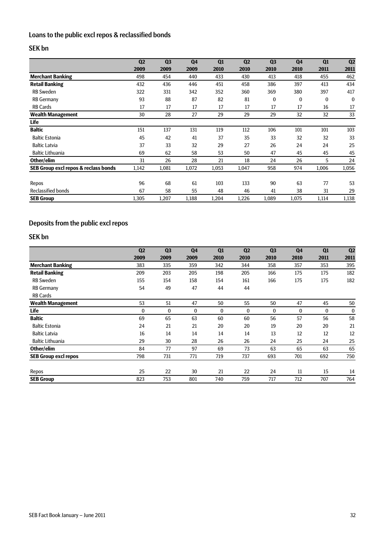### Loans to the public excl repos & reclassified bonds

### SEK bn

|                                      | Q <sub>2</sub> | Q <sub>3</sub> | Q <sub>4</sub> | Q1    | Q <sub>2</sub> | Q <sub>3</sub> | Q <sub>4</sub> | Q1       | Q <sub>2</sub> |
|--------------------------------------|----------------|----------------|----------------|-------|----------------|----------------|----------------|----------|----------------|
|                                      | 2009           | 2009           | 2009           | 2010  | 2010           | 2010           | 2010           | 2011     | 2011           |
| <b>Merchant Banking</b>              | 498            | 454            | 440            | 433   | 430            | 413            | 418            | 455      | 462            |
| <b>Retail Banking</b>                | 432            | 436            | 446            | 451   | 458            | 386            | 397            | 413      | 434            |
| <b>RB</b> Sweden                     | 322            | 331            | 342            | 352   | 360            | 369            | 380            | 397      | 417            |
| <b>RB Germany</b>                    | 93             | 88             | 87             | 82    | 81             | $\bf{0}$       | $\bf{0}$       | $\bf{0}$ | $\bf{0}$       |
| <b>RB Cards</b>                      | 17             | 17             | 17             | 17    | 17             | 17             | 17             | 16       | 17             |
| <b>Wealth Management</b>             | 30             | 28             | 27             | 29    | 29             | 29             | 32             | 32       | 33             |
| Life                                 |                |                |                |       |                |                |                |          |                |
| <b>Baltic</b>                        | 151            | 137            | 131            | 119   | 112            | 106            | 101            | 101      | 103            |
| <b>Baltic Estonia</b>                | 45             | 42             | 41             | 37    | 35             | 33             | 32             | 32       | 33             |
| <b>Baltic Latvia</b>                 | 37             | 33             | 32             | 29    | 27             | 26             | 24             | 24       | 25             |
| <b>Baltic Lithuania</b>              | 69             | 62             | 58             | 53    | 50             | 47             | 45             | 45       | 45             |
| Other/elim                           | 31             | 26             | 28             | 21    | 18             | 24             | 26             | 5        | 24             |
| SEB Group excl repos & reclass bonds | 1,142          | 1,081          | 1,072          | 1,053 | 1,047          | 958            | 974            | 1,006    | 1,056          |
| Repos                                | 96             | 68             | 61             | 103   | 133            | 90             | 63             | 77       | 53             |
| <b>Reclassified bonds</b>            | 67             | 58             | 55             | 48    | 46             | 41             | 38             | 31       | 29             |
| <b>SEB Group</b>                     | 1,305          | 1,207          | 1,188          | 1,204 | 1,226          | 1,089          | 1,075          | 1,114    | 1,138          |

### Deposits from the public excl repos

### SEK bn

|                             | Q <sub>2</sub> | Q <sub>3</sub> | Q <sub>4</sub> | Q1   | Q <sub>2</sub> | Q <sub>3</sub> | Q <sub>4</sub> | Q1   | Q <sub>2</sub> |
|-----------------------------|----------------|----------------|----------------|------|----------------|----------------|----------------|------|----------------|
|                             | 2009           | 2009           | 2009           | 2010 | 2010           | 2010           | 2010           | 2011 | 2011           |
| <b>Merchant Banking</b>     | 383            | 335            | 359            | 342  | 344            | 358            | 357            | 353  | 395            |
| <b>Retail Banking</b>       | 209            | 203            | 205            | 198  | 205            | 166            | 175            | 175  | 182            |
| <b>RB Sweden</b>            | 155            | 154            | 158            | 154  | 161            | 166            | 175            | 175  | 182            |
| <b>RB Germany</b>           | 54             | 49             | 47             | 44   | 44             |                |                |      |                |
| <b>RB Cards</b>             |                |                |                |      |                |                |                |      |                |
| <b>Wealth Management</b>    | 53             | 51             | 47             | 50   | 55             | 50             | 47             | 45   | 50             |
| Life                        | $\bf{0}$       | $\bf{0}$       | 0              | 0    | 0              | $\bf{0}$       | $\bf{0}$       | 0    | 0              |
| <b>Baltic</b>               | 69             | 65             | 63             | 60   | 60             | 56             | 57             | 56   | 58             |
| <b>Baltic Estonia</b>       | 24             | 21             | 21             | 20   | 20             | 19             | 20             | 20   | 21             |
| <b>Baltic Latvia</b>        | 16             | 14             | 14             | 14   | 14             | 13             | 12             | 12   | 12             |
| <b>Baltic Lithuania</b>     | 29             | 30             | 28             | 26   | 26             | 24             | 25             | 24   | 25             |
| Other/elim                  | 84             | 77             | 97             | 69   | 73             | 63             | 65             | 63   | 65             |
| <b>SEB Group excl repos</b> | 798            | 731            | 771            | 719  | 737            | 693            | 701            | 692  | 750            |
| Repos                       | 25             | 22             | 30             | 21   | 22             | 24             | 11             | 15   | 14             |
| <b>SEB Group</b>            | 823            | 753            | 801            | 740  | 759            | 717            | 712            | 707  | 764            |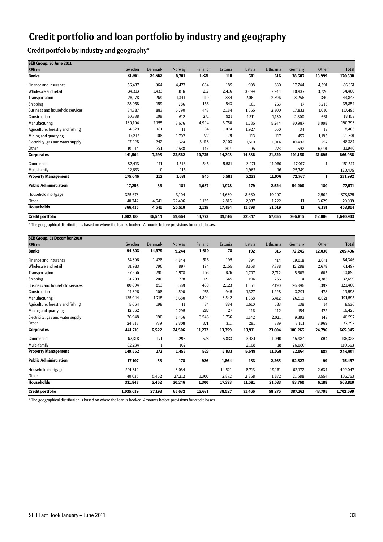## Credit portfolio and loan portfolio by industry and geography

Credit portfolio by industry and geography\*

| SEB Group, 30 June 2011                |           |                |        |         |         |        |           |         |        |              |
|----------------------------------------|-----------|----------------|--------|---------|---------|--------|-----------|---------|--------|--------------|
| SEK <sub>m</sub>                       | Sweden    | <b>Denmark</b> | Norway | Finland | Estonia | Latvia | Lithuania | Germany | Other  | <b>Total</b> |
| <b>Banks</b>                           | 81,961    | 24,562         | 8,781  | 1,321   | 110     | 501    | 616       | 38,687  | 13,999 | 170,538      |
| Finance and insurance                  | 56,437    | 964            | 4,477  | 664     | 185     | 908    | 380       | 17,744  | 4,591  | 86,351       |
| Wholesale and retail                   | 34,313    | 1,433          | 1,016  | 217     | 2,416   | 3,099  | 7,244     | 10.937  | 3,726  | 64,400       |
| Transportation                         | 28,178    | 269            | 1,341  | 119     | 884     | 2,061  | 2,396     | 8,256   | 340    | 43,845       |
| Shipping                               | 28,058    | 159            | 786    | 156     | 543     | 161    | 263       | 17      | 5,713  | 35,854       |
| <b>Business and household services</b> | 84,387    | 883            | 6,790  | 443     | 2,184   | 1,665  | 2,300     | 17,833  | 1,010  | 117,495      |
| Construction                           | 10,338    | 109            | 612    | 271     | 921     | 1,311  | 1,130     | 2,800   | 661    | 18,153       |
| Manufacturing                          | 130,104   | 2,155          | 3,676  | 4,994   | 3,750   | 1,785  | 5,244     | 30,987  | 8,098  | 190,793      |
| Agriculture, forestry and fishing      | 4,629     | 181            | 11     | 34      | 1,074   | 1,927  | 560       | 34      | 13     | 8,463        |
| Mining and quarrying                   | 17,217    | 108            | 1,792  | 272     | 29      | 113    | 117       | 457     | 1,195  | 21,301       |
| Electricity, gas and water supply      | 27,928    | 242            | 524    | 3,418   | 2,103   | 1,510  | 1,914     | 10.492  | 257    | 48,387       |
| Other                                  | 19,914    | 791            | 2,538  | 147     | 304     | 295    | 273       | 1,592   | 6,091  | 31,946       |
| <b>Corporates</b>                      | 441,504   | 7,293          | 23,562 | 10,735  | 14,393  | 14,836 | 21,820    | 101,150 | 31,695 | 666,988      |
| Commercial                             | 82,413    | 111            | 1,516  | 545     | 5,581   | 3,271  | 11,060    | 47,017  | 1      | 151,517      |
| Multi-family                           | 92,633    | $\bf{0}$       | 115    |         |         | 1,962  | 16        | 25,749  |        | 120,475      |
| <b>Property Management</b>             | 175,046   | 112            | 1,631  | 545     | 5,581   | 5,233  | 11,076    | 72,767  | 1      | 271,992      |
| <b>Public Administration</b>           | 17,256    | 36             | 181    | 1,037   | 1,978   | 179    | 2,524     | 54,200  | 180    | 77,571       |
| Household mortgage                     | 325,673   |                | 3,104  |         | 14,639  | 8,660  | 19,297    |         | 2,502  | 373,875      |
| Other                                  | 40,742    | 4,541          | 22,406 | 1,135   | 2,815   | 2,937  | 1,722     | 11      | 3,629  | 79,939       |
| <b>Households</b>                      | 366,415   | 4,541          | 25,510 | 1,135   | 17,454  | 11,598 | 21,019    | 11      | 6,131  | 453,814      |
| <b>Credit portfolio</b>                | 1,082,183 | 36,544         | 59,664 | 14,773  | 39,516  | 32,347 | 57,055    | 266,815 | 52,006 | 1,640,903    |

\* The geographical distribution is based on where the loan is booked. Amounts before provisions for credit losses.

| SEB Group, 31 December 2010            |           |                |        |         |         |        |           |         |        |              |
|----------------------------------------|-----------|----------------|--------|---------|---------|--------|-----------|---------|--------|--------------|
| SEK <sub>m</sub>                       | Sweden    | <b>Denmark</b> | Norway | Finland | Estonia | Latvia | Lithuania | Germany | Other  | <b>Total</b> |
| <b>Banks</b>                           | 94,803    | 14,979         | 9,244  | 1,610   | 78      | 192    | 315       | 72,245  | 12,030 | 205,496      |
| <b>Finance and insurance</b>           | 54,396    | 1,428          | 4,844  | 516     | 195     | 894    | 414       | 19,018  | 2,641  | 84,346       |
| Wholesale and retail                   | 31,983    | 796            | 897    | 194     | 2,155   | 3,168  | 7,338     | 12,288  | 2,678  | 61,497       |
| Transportation                         | 27.366    | 295            | 1,578  | 153     | 876     | 1,707  | 2,712     | 5,603   | 605    | 40,895       |
| Shipping                               | 31,209    | 200            | 778    | 121     | 545     | 194    | 255       | 14      | 4,383  | 37,699       |
| <b>Business and household services</b> | 80.894    | 853            | 5,569  | 489     | 2,123   | 1,554  | 2,190     | 26,396  | 1,392  | 121,460      |
| Construction                           | 11.326    | 108            | 590    | 255     | 945     | 1,377  | 1,228     | 3,291   | 478    | 19,598       |
| Manufacturing                          | 135,044   | 1,715          | 3,680  | 4,804   | 3,542   | 1,858  | 6,412     | 26,519  | 8,021  | 191,595      |
| Agriculture, forestry and fishing      | 5,064     | 198            | 11     | 34      | 884     | 1,610  | 583       | 138     | 14     | 8,536        |
| Mining and quarrying                   | 12,662    |                | 2,295  | 287     | 27      | 116    | 112       | 454     | 472    | 16,425       |
| Electricity, gas and water supply      | 26,948    | 190            | 1.456  | 3,548   | 1,756   | 1,142  | 2,021     | 9.393   | 143    | 46,597       |
| Other                                  | 24,818    | 739            | 2,808  | 871     | 311     | 291    | 339       | 3,151   | 3,969  | 37,297       |
| <b>Corporates</b>                      | 441,710   | 6,522          | 24,506 | 11,272  | 13,359  | 13,911 | 23,604    | 106,265 | 24,796 | 665,945      |
| Commercial                             | 67,318    | 171            | 1,296  | 523     | 5,833   | 3,481  | 11,040    | 45,984  | 682    | 136,328      |
| Multi-family                           | 82,234    | 1              | 162    |         |         | 2,168  | 18        | 26,080  |        | 110,663      |
| <b>Property Management</b>             | 149,552   | 172            | 1,458  | 523     | 5,833   | 5,649  | 11,058    | 72,064  | 682    | 246,991      |
| <b>Public Administration</b>           | 17,107    | 58             | 178    | 926     | 1,864   | 133    | 2,265     | 52,827  | 99     | 75,457       |
| Household mortgage                     | 291,812   |                | 3,034  |         | 14,521  | 8,713  | 19,161    | 62,172  | 2,634  | 402,047      |
| Other                                  | 40,035    | 5,462          | 27,212 | 1,300   | 2,872   | 2,868  | 1,872     | 21,588  | 3,554  | 106,763      |
| <b>Households</b>                      | 331,847   | 5,462          | 30,246 | 1.300   | 17,393  | 11,581 | 21,033    | 83,760  | 6,188  | 508,810      |
| <b>Credit portfolio</b>                | 1,035,019 | 27,193         | 65,632 | 15,631  | 38,527  | 31,466 | 58,275    | 387,161 | 43,795 | 1,702,699    |

\* The geographical distribution is based on where the loan is booked. Amounts before provisions for credit losses.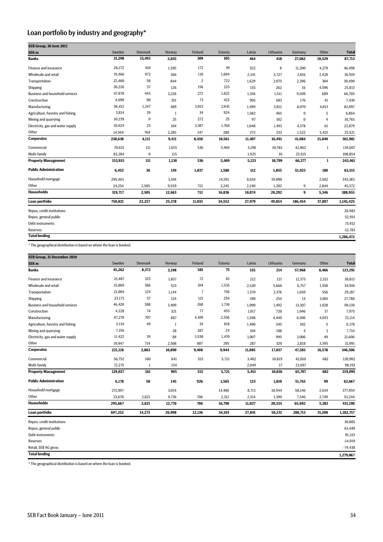### Loan portfolio by industry and geography\*

| SEB Group, 30 June 2011                |         |                |        |         |         |        |           |          |              |              |
|----------------------------------------|---------|----------------|--------|---------|---------|--------|-----------|----------|--------------|--------------|
| SEK <sub>m</sub>                       | Sweden  | <b>Denmark</b> | Norway | Finland | Estonia | Latvia | Lithuania | Germany  | Other        | <b>Total</b> |
| <b>Banks</b>                           | 31,298  | 15,493         | 2,035  | 309     | 105     | 464    | 418       | 27,062   | 10,529       | 87,713       |
| Finance and insurance                  | 28,272  | 410            | 1,595  | 172     | 39      | 522    | 8         | 11,200   | 4,279        | 46,498       |
| Wholesale and retail                   | 19.466  | 972            | 366    | 110     | 1,694   | 2,341  | 5,727     | 3,816    | 2,428        | 36,919       |
| Transportation                         | 22,460  | 58             | 844    | 2       | 722     | 1,629  | 2,075     | 2,396    | 304          | 30,490       |
| Shipping                               | 20,220  | 57             | 126    | 156     | 225     | 155    | 262       | 16       | 4,596        | 25,813       |
| <b>Business and household services</b> | 47,878  | 443            | 3,226  | 272     | 1,822   | 1,356  | 1,511     | 9,509    | 689          | 66,705       |
| Construction                           | 4,690   | 90             | 351    | 73      | 422     | 905    | 683       | 176      | 41           | 7,430        |
| Manufacturing                          | 56,412  | 1,247          | 489    | 3,815   | 2,641   | 1,499  | 3,912     | 8,070    | 4,013        | 82,097       |
| Agriculture, forestry and fishing      | 3,814   | 39             | 1      | 34      | 924     | 1,582  | 465       | $\bf{0}$ | 5            | 6,864        |
| Mining and quarrying                   | 10,239  | 0              | 25     | 272     | 25      | 97     | 102       | $\bf{0}$ | 4            | 10,765       |
| Electricity, gas and water supply      | 10,624  | 25             | 104    | 3,387   | 1,760   | 1,048  | 1,493     | 4,378    | 61           | 22,879       |
| Other                                  | 14,564  | 769            | 2,285  | 147     | 288     | 272    | 253       | 1,522    | 5,421        | 25,521       |
| <b>Corporates</b>                      | 238,638 | 4,111          | 9,411  | 8,438   | 10,561  | 11,407 | 16,491    | 41,084   | 21,840       | 361,981      |
| Commercial                             | 70,631  | 111            | 1,015  | 536     | 5,469   | 3,198  | 10,783    | 42,862   | $\mathbf{1}$ | 134,607      |
| Multi-family                           | 83,284  | $\pmb{0}$      | 115    |         |         | 1,925  | 16        | 23,515   |              | 108,854      |
| <b>Property Management</b>             | 153,915 | 111            | 1,130  | 536     | 5,469   | 5,123  | 10,799    | 66,377   | $\mathbf{1}$ | 243,461      |
| <b>Public Administration</b>           | 6,452   | 36             | 139    | 1,037   | 1,580   | 112    | 1,855     | 51,923   | 180          | 63,315       |
| Household mortgage                     | 295,463 |                | 3,104  |         | 14,591  | 8,634  | 19,090    |          | 2,502        | 343,383      |
| Other                                  | 24,254  | 2,505          | 9,559  | 713     | 2,245   | 2,240  | 1,202     | 9        | 2,844        | 45,572       |
| <b>Households</b>                      | 319,717 | 2,505          | 12,663 | 713     | 16,836  | 10,874 | 20,292    | 9        | 5,346        | 388,955      |
| Loan portfolio                         | 750,021 | 22,257         | 25,378 | 11,033  | 34,552  | 27,979 | 49,854    | 186,454  | 37,897       | 1,145,425    |
| Repos, credit institutions             |         |                |        |         |         |        |           |          |              | 26,983       |
| Repos, general public                  |         |                |        |         |         |        |           |          |              | 52,915       |
| Debt instruments                       |         |                |        |         |         |        |           |          |              | 73,932       |
| <b>Reserves</b>                        |         |                |        |         |         |        |           |          |              | $-12,783$    |
| <b>Total lending</b>                   |         |                |        |         |         |        |           |          |              | 1,286,472    |

\* The geographical distribution is based on where the loan is booked.

| SEB Group, 31 December 2010            |         |              |        |                |         |        |           |                |        |              |
|----------------------------------------|---------|--------------|--------|----------------|---------|--------|-----------|----------------|--------|--------------|
| SEK <sub>m</sub>                       | Sweden  | Denmark      | Norway | Finland        | Estonia | Latvia | Lithuania | Germany        | Other  | <b>Total</b> |
| <b>Banks</b>                           | 45,262  | 8,372        | 2,198  | 581            | 75      | 155    | 214       | 57,968         | 8,466  | 123,291      |
| Finance and insurance                  | 21,487  | 325          | 1,857  | 72             | 45      | 212    | 121       | 12,373         | 2,321  | 38,813       |
| Wholesale and retail                   | 15,869  | 386          | 523    | 104            | 1,535   | 2,520  | 5,666     | 6,757          | 1,550  | 34,910       |
| Transportation                         | 21,004  | 124          | 1,144  | $\overline{7}$ | 756     | 1,570  | 2,376     | 1,650          | 556    | 29,187       |
| Shipping                               | 23,173  | 57           | 124    | 121            | 254     | 190    | 254       | 14             | 3,601  | 27,788       |
| <b>Business and household services</b> | 46,420  | 388          | 3,409  | 260            | 1,736   | 1,090  | 1,492     | 13,307         | 1,028  | 69,130       |
| Construction                           | 4,228   | 74           | 321    | 77             | 455     | 1,017  | 720       | 1,046          | 37     | 7,975        |
| Manufacturing                          | 47,278  | 707          | 887    | 4,109          | 2,556   | 1,598  | 4,440     | 6,506          | 4,033  | 72,114       |
| Agriculture, forestry and fishing      | 3,134   | 49           | -1     | 34             | 818     | 1,490  | 545       | 102            | 5      | 6,178        |
| Mining and quarrying                   | 7,156   |              | 28     | 287            | 24      | 104    | 108       | $\overline{4}$ | 3      | 7,714        |
| Electricity, gas and water supply      | 11,422  | 39           | 88     | 3,530          | 1,470   | 1,007  | 995       | 3,006          | 49     | 21,606       |
| Other                                  | 19,947  | 714          | 2,508  | 807            | 295     | 287    | 320       | 2,818          | 3,395  | 31,091       |
| <b>Corporates</b>                      | 221,118 | 2,863        | 10,890 | 9,408          | 9,944   | 11,085 | 17,037    | 47,583         | 16,578 | 346,506      |
| Commercial                             | 56,752  | 160          | 841    | 515            | 5,721   | 3,402  | 10,819    | 42,010         | 682    | 120,902      |
| Multi-family                           | 72,275  | $\mathbf{1}$ | 154    |                |         | 2,049  | 17        | 23,697         |        | 98,193       |
| <b>Property Management</b>             | 129,027 | 161          | 995    | 515            | 5,721   | 5,451  | 10,836    | 65,707         | 682    | 219,095      |
| <b>Public Administration</b>           | 6,178   | 58           | 145    | 926            | 1,565   | 123    | 1,810     | 51,763         | 99     | 62,667       |
| Household mortgage                     | 271,997 |              | 3,034  |                | 14,486  | 8,713  | 18,944    | 58,146         | 2,634  | 377,954      |
| Other                                  | 23,670  | 2,821        | 9,736  | 706            | 2,312   | 2,314  | 1,390     | 7,546          | 2,749  | 53,244       |
| <b>Households</b>                      | 295,667 | 2,821        | 12,770 | 706            | 16,798  | 11,027 | 20,334    | 65,692         | 5,383  | 431,198      |
| Loan portfolio                         | 697,252 | 14,275       | 26,998 | 12,136         | 34,103  | 27,841 | 50,231    | 288,713        | 31,208 | 1,182,757    |
| Repos, credit institutions             |         |              |        |                |         |        |           |                |        | 30,885       |
| Repos, general public                  |         |              |        |                |         |        |           |                |        | 63,449       |
| Debt instruments                       |         |              |        |                |         |        |           |                |        | 91,333       |
| <b>Reserves</b>                        |         |              |        |                |         |        |           |                |        | $-14,919$    |
| Retail, SEB AG gross                   |         |              |        |                |         |        |           |                |        | $-74,438$    |
| <b>Total lending</b>                   |         |              |        |                |         |        |           |                |        | 1,279,067    |

\* The geographical distribution is based on where the loan is booked.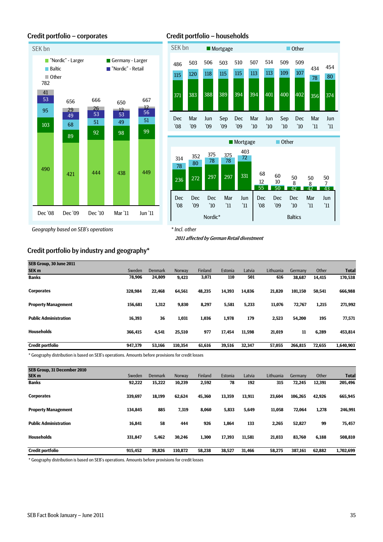

Credit portfolio – corporates Credit portfolio – households



*Geography based on SEB's operations*

*\* Incl. other*

2011 affected by German Retail divestment

### Credit portfolio by industry and geography\*

| SEB Group, 30 June 2011      |         |                |         |                |         |        |           |         |        |              |
|------------------------------|---------|----------------|---------|----------------|---------|--------|-----------|---------|--------|--------------|
| SEK <sub>m</sub>             | Sweden  | <b>Denmark</b> | Norway  | <b>Finland</b> | Estonia | Latvia | Lithuania | Germany | Other  | <b>Total</b> |
| <b>Banks</b>                 | 78,906  | 24,809         | 9,423   | 3,071          | 110     | 501    | 616       | 38,687  | 14,415 | 170,538      |
| <b>Corporates</b>            | 328.984 | 22.468         | 64,561  | 48.235         | 14,393  | 14.836 | 21,820    | 101.150 | 50.541 | 666,988      |
| <b>Property Management</b>   | 156.681 | 1,312          | 9,830   | 8,297          | 5,581   | 5,233  | 11,076    | 72,767  | 1,215  | 271,992      |
| <b>Public Administration</b> | 16,393  | 36             | 1,031   | 1,036          | 1,978   | 179    | 2,523     | 54,200  | 195    | 77,571       |
| <b>Households</b>            | 366.415 | 4,541          | 25,510  | 977            | 17.454  | 11.598 | 21,019    | 11      | 6,289  | 453,814      |
| <b>Credit portfolio</b>      | 947.379 | 53,166         | 110.354 | 61.616         | 39,516  | 32,347 | 57.055    | 266.815 | 72,655 | 1,640,903    |

\* Geography distribution is based on SEB's operations. Amounts before provisions for credit losses

| SEB Group, 31 December 2010  |         |                |         |         |         |        |           |         |        |              |
|------------------------------|---------|----------------|---------|---------|---------|--------|-----------|---------|--------|--------------|
| SEK <sub>m</sub>             | Sweden  | <b>Denmark</b> | Norway  | Finland | Estonia | Latvia | Lithuania | Germany | Other  | <b>Total</b> |
| <b>Banks</b>                 | 92,222  | 15,222         | 10,239  | 2,592   | 78      | 192    | 315       | 72,245  | 12,391 | 205,496      |
| <b>Corporates</b>            | 339,697 | 18.199         | 62.624  | 45.360  | 13.359  | 13.911 | 23.604    | 106.265 | 42.926 | 665,945      |
| <b>Property Management</b>   | 134,845 | 885            | 7,319   | 8,060   | 5,833   | 5,649  | 11,058    | 72.064  | 1,278  | 246,991      |
| <b>Public Administration</b> | 16,841  | 58             | 444     | 926     | 1,864   | 133    | 2,265     | 52,827  | 99     | 75,457       |
| <b>Households</b>            | 331.847 | 5,462          | 30,246  | 1,300   | 17,393  | 11,581 | 21,033    | 83,760  | 6,188  | 508,810      |
| <b>Credit portfolio</b>      | 915.452 | 39.826         | 110.872 | 58.238  | 38,527  | 31.466 | 58,275    | 387,161 | 62.882 | 1,702,699    |

\* Geography distribution is based on SEB's operations. Amounts before provisions for credit losses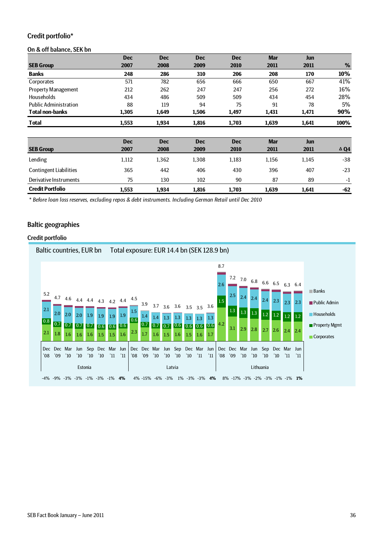### Credit portfolio\*

#### On & off balance, SEK bn

|                               | <b>Dec</b> | <b>Dec</b> | <b>Dec</b> | <b>Dec</b> | <b>Mar</b> | <b>Jun</b> |                |
|-------------------------------|------------|------------|------------|------------|------------|------------|----------------|
| <b>SEB Group</b>              | 2007       | 2008       | 2009       | 2010       | 2011       | 2011       | %              |
| <b>Banks</b>                  | 248        | 286        | 310        | 206        | 208        | 170        | 10%            |
| Corporates                    | 571        | 782        | 656        | 666        | 650        | 667        | 41%            |
| Property Management           | 212        | 262        | 247        | 247        | 256        | 272        | 16%            |
| <b>Households</b>             | 434        | 486        | 509        | 509        | 434        | 454        | 28%            |
| <b>Public Administration</b>  | 88         | 119        | 94         | 75         | 91         | 78         | 5%             |
| <b>Total non-banks</b>        | 1,305      | 1,649      | 1,506      | 1,497      | 1,431      | 1,471      | 90%            |
| <b>Total</b>                  | 1,553      | 1,934      | 1,816      | 1,703      | 1,639      | 1,641      | 100%           |
|                               |            |            |            |            |            |            |                |
|                               | <b>Dec</b> | <b>Dec</b> | <b>Dec</b> | <b>Dec</b> | <b>Mar</b> | <b>Jun</b> |                |
| <b>SEB Group</b>              | 2007       | 2008       | 2009       | 2010       | 2011       | 2011       | $\triangle$ Q4 |
| Lending                       | 1,112      | 1,362      | 1,308      | 1,183      | 1,156      | 1,145      | $-38$          |
| <b>Contingent Liabilities</b> | 365        | 442        | 406        | 430        | 396        | 407        | $-23$          |
| Derivative Instruments        | 75         | 130        | 102        | 90         | 87         | 89         | $-1$           |
| <b>Credit Portfolio</b>       | 1,553      | 1,934      | 1,816      | 1,703      | 1,639      | 1,641      | $-62$          |

*\* Before loan loss reserves, excluding repos & debt instruments. Including German Retail until Dec 2010*

### Baltic geographies

#### Credit portfolio

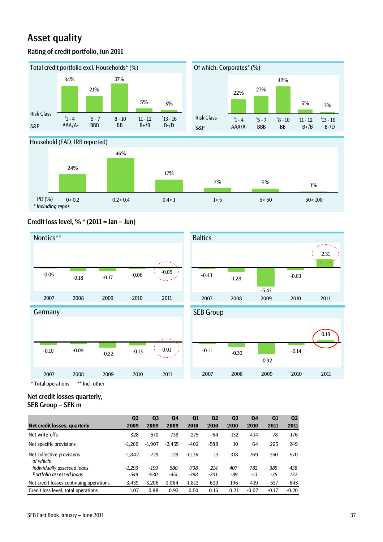# Asset quality

# Rating of credit portfolio, Jun 2011







# Credit loss level, % \* (2011 = Jan – Jun)



Net credit losses quarterly, SEB Group – SEK m

|                                         | Q <sub>2</sub> | Q <sub>3</sub> | Q <sub>4</sub> | Q <sub>1</sub> | Q <sub>2</sub> | Q <sub>3</sub> | Q4      | Q <sub>1</sub> | Q <sub>2</sub> |
|-----------------------------------------|----------------|----------------|----------------|----------------|----------------|----------------|---------|----------------|----------------|
| Net credit losses, quarterly            | 2009           | 2009           | 2009           | 2010           | 2010           | 2010           | 2010    | 2011           | 2011           |
| Net write-offs                          | $-328$         | $-570$         | $-738$         | $-275$         | $-64$          | $-132$         | $-414$  | $-78$          | $-176$         |
| Net specific provisions                 | $-1.269$       | $-1.907$       | $-2.455$       | $-402$         | $-588$         | 10             | 64      | 265            | 249            |
| Net collective provisions<br>of which:  | $-1.842$       | $-729$         | 129            | $-1.136$       | 13             | 318            | 769     | 350            | 570            |
| Individually assessed loans             | $-1.293$       | $-199$         | 580            | $-738$         | 214            | 407            | 782     | 385            | 438            |
| Portfolio assessed loans                | $-549$         | $-530$         | $-451$         | $-398$         | $-201$         | -89            | $-13$   | -35            | 132            |
| Net credit losses continuing operations | $-3.439$       | $-3.206$       | $-3.064$       | $-1.813$       | $-639$         | 196            | 419     | 537            | 643            |
| Credit loss level, total operations     | 1.07           | 0.98           | 0.93           | 0.50           | 0.16           | 0.21           | $-0.07$ | $-0.17$        | $-0.20$        |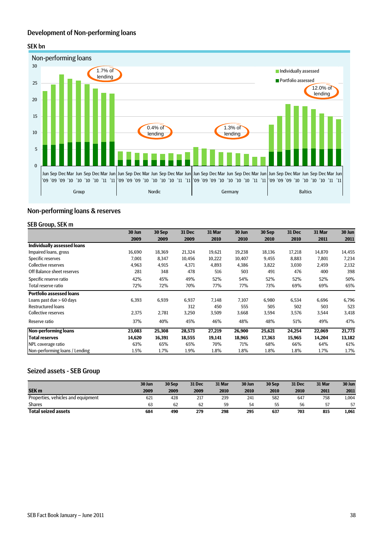# Development of Non-performing loans

## SEK bn



# Non-performing loans & reserves

#### SEB Group, SEK m

|                                    | 30 Jun | 30 Sep | 31 Dec | 31 Mar | 30 Jun | 30 Sep | 31 Dec | 31 Mar | 30 Jun |
|------------------------------------|--------|--------|--------|--------|--------|--------|--------|--------|--------|
|                                    | 2009   | 2009   | 2009   | 2010   | 2010   | 2010   | 2010   | 2011   | 2011   |
| <b>Individually assessed loans</b> |        |        |        |        |        |        |        |        |        |
| Impaired loans, gross              | 16,690 | 18,369 | 21,324 | 19,621 | 19,238 | 18,136 | 17,218 | 14,870 | 14,455 |
| Specific reserves                  | 7,001  | 8,347  | 10,456 | 10,222 | 10,407 | 9,455  | 8,883  | 7,801  | 7,234  |
| Collective reserves                | 4,963  | 4,915  | 4,371  | 4,893  | 4,386  | 3,822  | 3,030  | 2,459  | 2,132  |
| Off Balance sheet reserves         | 281    | 348    | 478    | 516    | 503    | 491    | 476    | 400    | 398    |
| Specific reserve ratio             | 42%    | 45%    | 49%    | 52%    | 54%    | 52%    | 52%    | 52%    | 50%    |
| Total reserve ratio                | 72%    | 72%    | 70%    | 77%    | 77%    | 73%    | 69%    | 69%    | 65%    |
| <b>Portfolio assessed loans</b>    |        |        |        |        |        |        |        |        |        |
| Loans past due > 60 days           | 6,393  | 6,939  | 6,937  | 7,148  | 7,107  | 6,980  | 6,534  | 6,696  | 6,796  |
| <b>Restructured loans</b>          |        |        | 312    | 450    | 555    | 505    | 502    | 503    | 523    |
| Collective reserves                | 2,375  | 2,781  | 3,250  | 3,509  | 3,668  | 3,594  | 3,576  | 3,544  | 3,418  |
| Reserve ratio                      | 37%    | 40%    | 45%    | 46%    | 48%    | 48%    | 51%    | 49%    | 47%    |
| <b>Non-performing loans</b>        | 23,083 | 25,308 | 28,573 | 27,219 | 26,900 | 25,621 | 24,254 | 22,069 | 21,773 |
| <b>Total reserves</b>              | 14,620 | 16,391 | 18,555 | 19,141 | 18,965 | 17,363 | 15,965 | 14,204 | 13,182 |
| NPL coverage ratio                 | 63%    | 65%    | 65%    | 70%    | 71%    | 68%    | 66%    | 64%    | 61%    |
| Non-performing loans / Lending     | 1.5%   | 1.7%   | 1.9%   | 1.8%   | 1.8%   | 1.8%   | 1.8%   | 1.7%   | 1.7%   |

## Seized assets - SEB Group

|                                    | 30 Jun | 30 Sep | 31 Dec | 31 Mar | 30 Jun | 30 Sep | 31 Dec | 31 Mar | 30 Jun |
|------------------------------------|--------|--------|--------|--------|--------|--------|--------|--------|--------|
| <b>SEK m</b>                       | 2009   | 2009   | 2009   | 2010   | 2010   | 2010   | 2010   | 2011   | 2011   |
| Properties, vehicles and equipment | 621    | 428    | 217    | 239    | 241    | 582    | 647    | 758    | 1,004  |
| <b>Shares</b>                      | 63     | 62     | 62     | 59     | 54     | 55     | 56     | 57     | 57     |
| <b>Total seized assets</b>         | 684    | 490    | 279    | 298    | 295    | 637    | 703    | 815    | 1,061  |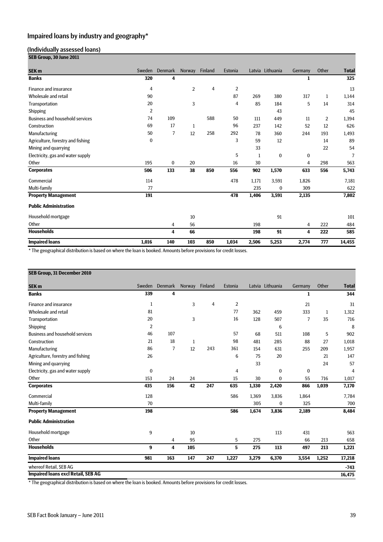# Impaired loans by industry and geography\*

# (Individually assessed loans)

| SEB Group, 30 June 2011                |                |          |                |                |                |       |                  |          |                |              |
|----------------------------------------|----------------|----------|----------------|----------------|----------------|-------|------------------|----------|----------------|--------------|
| <b>SEK m</b>                           | Sweden         | Denmark  | Norway         | <b>Finland</b> | Estonia        |       | Latvia Lithuania | Germany  | Other          | <b>Total</b> |
| <b>Banks</b>                           | 320            | 4        |                |                |                |       |                  | 1        |                | 325          |
| Finance and insurance                  | 4              |          | $\overline{2}$ | 4              | $\overline{2}$ |       |                  |          |                | 13           |
| Wholesale and retail                   | 90             |          |                |                | 87             | 269   | 380              | 317      | 1              | 1,144        |
| Transportation                         | 20             |          | 3              |                | 4              | 85    | 184              | 5        | 14             | 314          |
| Shipping                               | $\overline{2}$ |          |                |                |                |       | 43               |          |                | 45           |
| <b>Business and household services</b> | 74             | 109      |                | 588            | 50             | 111   | 449              | 11       | $\overline{2}$ | 1,394        |
| Construction                           | 69             | 17       | 1              |                | 96             | 237   | 142              | 52       | 12             | 626          |
| Manufacturing                          | 50             | 7        | 12             | 258            | 292            | 78    | 360              | 244      | 193            | 1,493        |
| Agriculture, forestry and fishing      | 0              |          |                |                | 3              | 59    | 12               |          | 14             | 89           |
| Mining and quarrying                   |                |          |                |                |                | 33    |                  |          | 22             | 54           |
| Electricity, gas and water supply      |                |          |                |                | 5              | 1     | $\bf{0}$         | $\bf{0}$ |                | 7            |
| Other                                  | 195            | $\bf{0}$ | 20             |                | 16             | 30    |                  | 4        | 298            | 563          |
| <b>Corporates</b>                      | 506            | 133      | 38             | 850            | 556            | 902   | 1,570            | 633      | 556            | 5,743        |
| Commercial                             | 114            |          |                |                | 478            | 1,171 | 3,591            | 1,826    |                | 7,181        |
| Multi-family                           | 77             |          |                |                |                | 235   | $\bf{0}$         | 309      |                | 622          |
| <b>Property Management</b>             | 191            |          |                |                | 478            | 1,406 | 3,591            | 2,135    |                | 7,802        |
| <b>Public Administration</b>           |                |          |                |                |                |       |                  |          |                |              |
| Household mortgage                     |                |          | 10             |                |                |       | 91               |          |                | 101          |
| Other                                  |                | 4        | 56             |                |                | 198   |                  | 4        | 222            | 484          |
| <b>Households</b>                      |                | 4        | 66             |                |                | 198   | 91               | 4        | 222            | 585          |
| <b>Impaired loans</b>                  | 1,016          | 140      | 103            | 850            | 1,034          | 2,506 | 5,253            | 2,774    | 777            | 14,455       |

\* The geographical distribution is based on where the loan is booked. Amounts before provisions for credit losses.

| SEB Group, 31 December 2010               |                  |         |              |                |         |       |                  |         |       |                |
|-------------------------------------------|------------------|---------|--------------|----------------|---------|-------|------------------|---------|-------|----------------|
| SEK <sub>m</sub>                          | Sweden           | Denmark |              | Norway Finland | Estonia |       | Latvia Lithuania | Germany | Other | <b>Total</b>   |
| <b>Banks</b>                              | 339              | 4       |              |                |         |       |                  | 1       |       | 344            |
| Finance and insurance                     | 1                |         | 3            | 4              | 2       |       |                  | 21      |       | 31             |
| Wholesale and retail                      | 81               |         |              |                | 77      | 362   | 459              | 333     | 1     | 1,312          |
| Transportation                            | 20               |         | 3            |                | 16      | 128   | 507              | 7       | 35    | 716            |
| Shipping                                  | $\overline{2}$   |         |              |                |         |       | 6                |         |       | 8              |
| <b>Business and household services</b>    | 46               | 107     |              |                | 57      | 68    | 511              | 108     | 5     | 902            |
| Construction                              | 21               | 18      | $\mathbf{1}$ |                | 98      | 481   | 285              | 88      | 27    | 1,018          |
| Manufacturing                             | 86               | 7       | 12           | 243            | 361     | 154   | 631              | 255     | 209   | 1,957          |
| Agriculture, forestry and fishing         | 26               |         |              |                | 6       | 75    | 20               |         | 21    | 147            |
| Mining and quarrying                      |                  |         |              |                |         | 33    |                  |         | 24    | 57             |
| Electricity, gas and water supply         | $\boldsymbol{0}$ |         |              |                | 4       |       | $\mathbf{0}$     | 0       |       | $\overline{4}$ |
| Other                                     | 153              | 24      | 24           |                | 15      | 30    | $\bf{0}$         | 55      | 716   | 1,017          |
| <b>Corporates</b>                         | 435              | 156     | 42           | 247            | 635     | 1,330 | 2,420            | 866     | 1,039 | 7,170          |
| Commercial                                | 128              |         |              |                | 586     | 1,369 | 3,836            | 1,864   |       | 7,784          |
| Multi-family                              | 70               |         |              |                |         | 305   | $\bf{0}$         | 325     |       | 700            |
| <b>Property Management</b>                | 198              |         |              |                | 586     | 1,674 | 3,836            | 2,189   |       | 8,484          |
| <b>Public Administration</b>              |                  |         |              |                |         |       |                  |         |       |                |
| Household mortgage                        | 9                |         | 10           |                |         |       | 113              | 431     |       | 563            |
| Other                                     |                  | 4       | 95           |                | 5       | 275   |                  | 66      | 213   | 658            |
| <b>Households</b>                         | 9                | 4       | 105          |                | 5       | 275   | 113              | 497     | 213   | 1,221          |
| <b>Impaired loans</b>                     | 981              | 163     | 147          | 247            | 1,227   | 3,279 | 6,370            | 3,554   | 1,252 | 17,218         |
| whereof Retail, SEB AG                    |                  |         |              |                |         |       |                  |         |       | $-743$         |
| <b>Impaired loans excl Retail, SEB AG</b> |                  |         |              |                |         |       |                  |         |       | 16,475         |

\* The geographical distribution is based on where the loan is booked. Amounts before provisions for credit losses.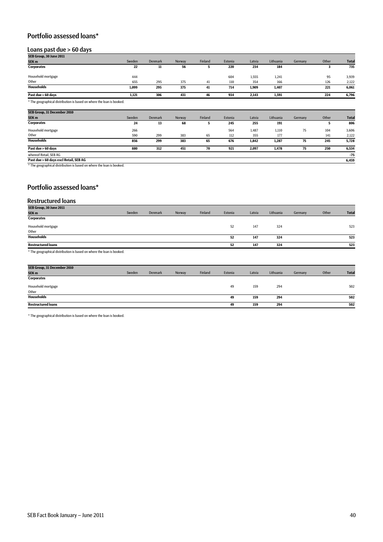# Portfolio assessed loans\*

#### Loans past due > 60 days

| SEB Group, 30 June 2011                                               |        |                |        |         |         |        |           |         |       |              |
|-----------------------------------------------------------------------|--------|----------------|--------|---------|---------|--------|-----------|---------|-------|--------------|
| SEK <sub>m</sub>                                                      | Sweden | <b>Denmark</b> | Norway | Finland | Estonia | Latvia | Lithuania | Germany | Other | <b>Total</b> |
| <b>Corporates</b>                                                     | 22     | 11             | 56     | 5.      | 220     | 234    | 184       |         | з     | 735          |
| Household mortgage                                                    | 444    |                |        |         | 604     | 1,555  | 1,241     |         | 95    | 3,939        |
| Other                                                                 | 655    | 295            | 375    | 41      | 110     | 354    | 166       |         | 126   | 2,122        |
| <b>Households</b>                                                     | 1,099  | 295            | 375    | 41      | 714     | 1,909  | 1,407     |         | 221   | 6,061        |
| Past due > 60 days                                                    | 1,121  | 306            | 431    | 46      | 934     | 2,143  | 1,591     |         | 224   | 6,796        |
| * The geographical distribution is based on where the loan is booked. |        |                |        |         |         |        |           |         |       |              |
| SEB Group, 31 December 2010                                           |        |                |        |         |         |        |           |         |       |              |
| SEK <sub>m</sub>                                                      | Sweden | <b>Denmark</b> | Norway | Finland | Estonia | Latvia | Lithuania | Germany | Other | <b>Total</b> |
| <b>Corporates</b>                                                     | 24     | 13             | 68     | h       | 245     | 255    | 191       |         |       | 806          |

| corporates                             | -4  | IJ  | υo  |    | - 240 | 233   | 131   |    |     | ovv   |
|----------------------------------------|-----|-----|-----|----|-------|-------|-------|----|-----|-------|
| Household mortgage                     | 266 |     |     |    | 564   | 1,487 | 1,110 | 75 | 104 | 3,606 |
| Other                                  | 590 | 299 | 383 | 65 | 112   | 355   | 177   |    | 141 | 2,122 |
| <b>Households</b>                      | 856 | 299 | 383 | 65 | 676   | 1,842 | 1,287 | 75 | 245 | 5,728 |
| Past due > 60 days                     | 880 | 312 | 451 | 70 | 921   | 2.097 | 1,478 | 75 | 250 | 6,534 |
| whereof Retail, SEB AG                 |     |     |     |    |       |       |       |    |     | $-75$ |
| Past due > 60 days excl Retail, SEB AG |     |     |     |    |       |       |       |    |     | 6,459 |

\* The geographical distribution is based on where the loan is booked.

# Portfolio assessed loans\*

#### Restructured loans

| SEB Group, 30 June 2011                                                                                                                                                                                                        |        |                |        |         |         |        |           |         |       |              |
|--------------------------------------------------------------------------------------------------------------------------------------------------------------------------------------------------------------------------------|--------|----------------|--------|---------|---------|--------|-----------|---------|-------|--------------|
| SEK <sub>m</sub>                                                                                                                                                                                                               | Sweden | <b>Denmark</b> | Norway | Finland | Estonia | Latvia | Lithuania | Germany | Other | <b>Total</b> |
| <b>Corporates</b>                                                                                                                                                                                                              |        |                |        |         |         |        |           |         |       |              |
| Household mortgage                                                                                                                                                                                                             |        |                |        |         | 52      | 147    | 324       |         |       | 523          |
| Other                                                                                                                                                                                                                          |        |                |        |         |         |        |           |         |       |              |
| <b>Households</b>                                                                                                                                                                                                              |        |                |        |         | 52      | 147    | 324       |         |       | 523          |
| <b>Restructured loans</b>                                                                                                                                                                                                      |        |                |        |         | 52      | 147    | 324       |         |       | 523          |
| when the contract the contract of the contract of the contract of the contract of the contract of the contract of the contract of the contract of the contract of the contract of the contract of the contract of the contract |        |                |        |         |         |        |           |         |       |              |

The geographical distribution is based on where the loan is booked.

| SEB Group, 31 December 2010 |        |                |        |         |         |        |           |         |       |              |
|-----------------------------|--------|----------------|--------|---------|---------|--------|-----------|---------|-------|--------------|
| SEK <sub>m</sub>            | Sweden | <b>Denmark</b> | Norway | Finland | Estonia | Latvia | Lithuania | Germany | Other | <b>Total</b> |
| <b>Corporates</b>           |        |                |        |         |         |        |           |         |       |              |
| Household mortgage          |        |                |        |         | 49      | 159    | 294       |         |       | 502          |
| Other                       |        |                |        |         |         |        |           |         |       |              |
| <b>Households</b>           |        |                |        |         | 49      | 159    | 294       |         |       | 502          |
| <b>Restructured loans</b>   |        |                |        |         | 49      | 159    | 294       |         |       | 502          |
|                             |        |                |        |         |         |        |           |         |       |              |

\* The geographical distribution is based on where the loan is booked.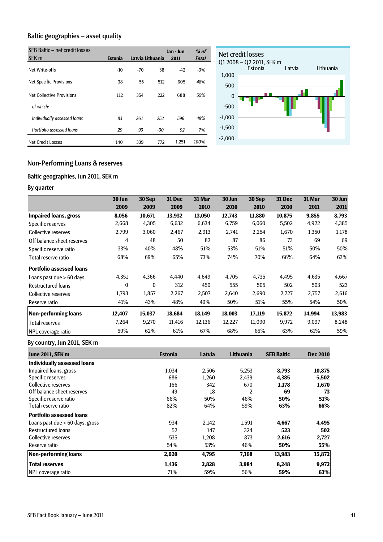# Baltic geographies – asset quality

| SEB Baltic - net credit losses |                |                  |       | Jan - Jun | $%$ of       |
|--------------------------------|----------------|------------------|-------|-----------|--------------|
| SEK <sub>m</sub>               | <b>Estonia</b> | Latvia Lithuania |       | 2011      | <b>Total</b> |
| Net Write-offs                 | $-10$          | $-70$            | 38    | $-42$     | $-3%$        |
| <b>Net Specific Provisions</b> | 38             | 55               | 512   | 605       | 48%          |
| Net Collective Provisions      | 112            | 354              | 222   | 688       | 55%          |
| of which:                      |                |                  |       |           |              |
| Individually assessed loans    | 83             | 261              | 252   | 596       | 48%          |
| Portfolio assessed loans       | 29             | 93               | $-30$ | 92        | 7%           |
| <b>Net Credit Losses</b>       | 140            | 339              | 772   | 1,251     | 100%         |



# Non-Performing Loans & reserves

# Baltic geographies, Jun 2011, SEK m

# By quarter

|                                 | 30 Jun       | 30 Sep   | <b>31 Dec</b> | 31 Mar | 30 Jun | 30 Sep | <b>31 Dec</b> | 31 Mar | 30 Jun |
|---------------------------------|--------------|----------|---------------|--------|--------|--------|---------------|--------|--------|
|                                 | 2009         | 2009     | 2009          | 2010   | 2010   | 2010   | 2010          | 2011   | 2011   |
| <b>Impaired loans, gross</b>    | 8,056        | 10,671   | 13,932        | 13,050 | 12,743 | 11,880 | 10,875        | 9,855  | 8,793  |
| Specific reserves               | 2,668        | 4,305    | 6,632         | 6,634  | 6,759  | 6,060  | 5,502         | 4,922  | 4,385  |
| Collective reserves             | 2,799        | 3,060    | 2,467         | 2,913  | 2,741  | 2,254  | 1,670         | 1,350  | 1,178  |
| Off balance sheet reserves      | 4            | 48       | 50            | 82     | 87     | 86     | 73            | 69     | 69     |
| Specific reserve ratio          | 33%          | 40%      | 48%           | 51%    | 53%    | 51%    | 51%           | 50%    | 50%    |
| Total reserve ratio             | 68%          | 69%      | 65%           | 73%    | 74%    | 70%    | 66%           | 64%    | 63%    |
| <b>Portfolio assessed loans</b> |              |          |               |        |        |        |               |        |        |
| Loans past due > 60 days        | 4,351        | 4,366    | 4,440         | 4,649  | 4,705  | 4,735  | 4,495         | 4,635  | 4,667  |
| <b>Restructured loans</b>       | $\mathbf{0}$ | $\bf{0}$ | 312           | 450    | 555    | 505    | 502           | 503    | 523    |
| Collective reserves             | 1,793        | 1,857    | 2,267         | 2,507  | 2,640  | 2,690  | 2,727         | 2,757  | 2,616  |
| Reserve ratio                   | 41%          | 43%      | 48%           | 49%    | 50%    | 51%    | 55%           | 54%    | 50%    |
| Non-performing loans            | 12,407       | 15.037   | 18,684        | 18,149 | 18,003 | 17,119 | 15,872        | 14,994 | 13,983 |
| <b>Total reserves</b>           | 7,264        | 9,270    | 11,416        | 12,136 | 12,227 | 11,090 | 9,972         | 9,097  | 8,248  |
| NPL coverage ratio              | 59%          | 62%      | 61%           | 67%    | 68%    | 65%    | 63%           | 61%    | 59%    |

# By country, Jun 2011, SEK m

| <b>June 2011, SEK m</b>           | <b>Estonia</b> | Latvia | Lithuania      | <b>SEB Baltic</b> | <b>Dec 2010</b> |
|-----------------------------------|----------------|--------|----------------|-------------------|-----------------|
| Individually assessed loans       |                |        |                |                   |                 |
| Impaired loans, gross             | 1.034          | 2.506  | 5,253          | 8,793             | 10,875          |
| Specific reserves                 | 686            | 1,260  | 2,439          | 4,385             | 5,502           |
| Collective reserves               | 166            | 342    | 670            | 1,178             | 1,670           |
| Off balance sheet reserves        | 49             | 18     | $\overline{2}$ | 69                | 73              |
| Specific reserve ratio            | 66%            | 50%    | 46%            | 50%               | 51%             |
| Total reserve ratio               | 82%            | 64%    | 59%            | 63%               | 66%             |
| <b>Portfolio assessed loans</b>   |                |        |                |                   |                 |
| Loans past due $> 60$ days, gross | 934            | 2.142  | 1.591          | 4,667             | 4,495           |
| <b>Restructured loans</b>         | 52             | 147    | 324            | 523               | 502             |
| Collective reserves               | 535            | 1.208  | 873            | 2,616             | 2,727           |
| Reserve ratio                     | 54%            | 53%    | 46%            | 50%               | 55%             |
| <b>Non-performing loans</b>       | 2,020          | 4,795  | 7,168          | 13,983            | 15,872          |
| <b>Total reserves</b>             | 1,436          | 2,828  | 3,984          | 8,248             | 9,972           |
| NPL coverage ratio                | 71%            | 59%    | 56%            | 59%               | 63%             |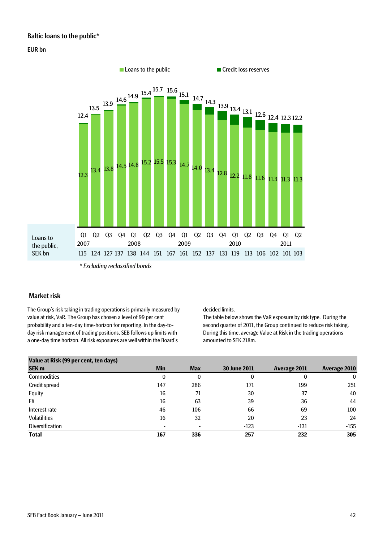# Baltic loans to the public\*

## EUR bn



## Market risk

The Group's risk taking in trading operations is primarily measured by value at risk, VaR. The Group has chosen a level of 99 per cent probability and a ten-day time-horizon for reporting. In the day-today risk management of trading positions, SEB follows up limits with a one-day time horizon. All risk exposures are well within the Board's

decided limits.

The table below shows the VaR exposure by risk type. During the second quarter of 2011, the Group continued to reduce risk taking. During this time, average Value at Risk in the trading operations amounted to SEK 218m.

| Value at Risk (99 per cent, ten days) |                          |            |                     |              |              |
|---------------------------------------|--------------------------|------------|---------------------|--------------|--------------|
| <b>SEK m</b>                          | <b>Min</b>               | <b>Max</b> | <b>30 June 2011</b> | Average 2011 | Average 2010 |
| Commodities                           | 0                        | 0          | 0                   | O            | 0            |
| Credit spread                         | 147                      | 286        | 171                 | 199          | 251          |
| Equity                                | 16                       | 71         | 30                  | 37           | 40           |
| <b>FX</b>                             | 16                       | 63         | 39                  | 36           | 44           |
| Interest rate                         | 46                       | 106        | 66                  | 69           | 100          |
| Volatilities                          | 16                       | 32         | 20                  | 23           | 24           |
| <b>Diversification</b>                | $\overline{\phantom{a}}$ |            | $-123$              | -131         | $-155$       |
| <b>Total</b>                          | 167                      | 336        | 257                 | 232          | 305          |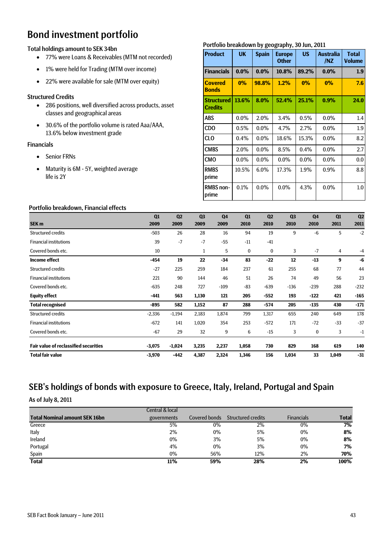# Bond investment portfolio

# Total holdings amount to SEK 34bn

- 77% were Loans & Receivables (MTM not recorded)
- 1% were held for Trading (MTM over income)
- 22% were available for sale (MTM over equity)

# Structured Credits

- 286 positions, well diversified across products, asset classes and geographical areas
- 30.6% of the portfolio volume is rated Aaa/AAA, 13.6% below investment grade

# Financials

- Senior FRNs
- Maturity is 6M 5Y, weighted average life is 2Y

# Portfolio breakdown by geography, 30 Jun, 2011

| <b>Product</b>                      | <b>UK</b> | <b>Spain</b> | <b>Europe</b><br><b>Other</b> | <b>US</b> | <b>Australia</b><br>/NZ | <b>Total</b><br><b>Volume</b> |
|-------------------------------------|-----------|--------------|-------------------------------|-----------|-------------------------|-------------------------------|
| <b>Financials</b>                   | $0.0\%$   | $0.0\%$      | 10.8%                         | 89.2%     | $0.0\%$                 | 1.9                           |
| <b>Covered</b><br><b>Bonds</b>      | $0\%$     | 98.8%        | 1.2%                          | 0%        | $0\%$                   | 7.6                           |
| <b>Structured</b><br><b>Credits</b> | 13.6%     | 8.0%         | 52.4%                         | 25.1%     | $0.9\%$                 | 24.0                          |
| <b>ABS</b>                          | $0.0\%$   | 2.0%         | 3.4%                          | 0.5%      | $0.0\%$                 | 1.4                           |
| CD <sub>O</sub>                     | $0.5\%$   | $0.0\%$      | 4.7%                          | 2.7%      | $0.0\%$                 | 1.9                           |
| CLO                                 | 0.4%      | $0.0\%$      | 18.6%                         | 15.3%     | $0.0\%$                 | 8.2                           |
| <b>CMBS</b>                         | 2.0%      | $0.0\%$      | 8.5%                          | $0.4\%$   | $0.0\%$                 | 2.7                           |
| <b>CMO</b>                          | $0.0\%$   | $0.0\%$      | $0.0\%$                       | $0.0\%$   | $0.0\%$                 | 0.0                           |
| <b>RMBS</b><br>prime                | 10.5%     | 6.0%         | 17.3%                         | 1.9%      | 0.9%                    | 8.8                           |
| <b>RMBS</b> non-<br>prime           | 0.1%      | $0.0\%$      | $0.0\%$                       | 4.3%      | $0.0\%$                 | 1.0                           |

# Portfolio breakdown, Financial effects

| ortrollo breakdown, i mancial cricetto       |          |                |                |                |             |                |                |                |       |                |
|----------------------------------------------|----------|----------------|----------------|----------------|-------------|----------------|----------------|----------------|-------|----------------|
|                                              | Q1       | Q <sub>2</sub> | Q <sub>3</sub> | Q <sub>4</sub> | Q1          | Q <sub>2</sub> | Q <sub>3</sub> | Q <sub>4</sub> | Q1    | Q <sub>2</sub> |
| SEK <sub>m</sub>                             | 2009     | 2009           | 2009           | 2009           | 2010        | 2010           | 2010           | 2010           | 2011  | 2011           |
| Structured credits                           | $-503$   | 26             | 28             | 16             | 94          | 19             | 9              | $-6$           | 5     | $-2$           |
| <b>Financial institutions</b>                | 39       | $-7$           | $-7$           | $-55$          | $-11$       | $-41$          |                |                |       |                |
| Covered bonds etc.                           | 10       |                | 1              | 5              | $\mathbf 0$ | 0              | 3              | $-7$           | 4     | -4             |
| <b>Income effect</b>                         | $-454$   | 19             | 22             | $-34$          | 83          | $-22$          | 12             | $-13$          | 9     | -6             |
| Structured credits                           | $-27$    | 225            | 259            | 184            | 237         | 61             | 255            | 68             | 77    | 44             |
| <b>Financial institutions</b>                | 221      | 90             | 144            | 46             | 51          | 26             | 74             | 49             | 56    | 23             |
| Covered bonds etc.                           | $-635$   | 248            | 727            | $-109$         | $-83$       | $-639$         | $-136$         | $-239$         | 288   | $-232$         |
| <b>Equity effect</b>                         | $-441$   | 563            | 1,130          | 121            | 205         | $-552$         | 193            | -122           | 421   | $-165$         |
| <b>Total recognised</b>                      | $-895$   | 582            | 1,152          | 87             | 288         | $-574$         | 205            | $-135$         | 430   | $-171$         |
| <b>Structured credits</b>                    | $-2,336$ | $-1,194$       | 2,183          | 1,874          | 799         | 1,317          | 655            | 240            | 649   | 178            |
| <b>Financial institutions</b>                | $-672$   | 141            | 1,020          | 354            | 253         | $-572$         | 171            | $-72$          | $-33$ | $-37$          |
| Covered bonds etc.                           | $-67$    | 29             | 32             | 9              | 6           | $-15$          | 3              | 0              | 3     | $-1$           |
| <b>Fair value of reclassified securities</b> | $-3,075$ | $-1,024$       | 3,235          | 2,237          | 1,058       | 730            | 829            | 168            | 619   | 140            |
| <b>Total fair value</b>                      | $-3,970$ | $-442$         | 4,387          | 2,324          | 1,346       | 156            | 1,034          | 33             | 1,049 | $-31$          |

# SEB's holdings of bonds with exposure to Greece, Italy, Ireland, Portugal and Spain

As of July 8, 2011

|                                      | <b>Central &amp; local</b> |               |                           |                   |              |
|--------------------------------------|----------------------------|---------------|---------------------------|-------------------|--------------|
| <b>Total Nominal amount SEK 16bn</b> | governments                | Covered bonds | <b>Structured credits</b> | <b>Financials</b> | <b>Total</b> |
| Greece                               | 5%                         | $0\%$         | 2%                        | $0\%$             | 7%           |
| Italy                                | 2%                         | $0\%$         | 5%                        | 0%                | 8%           |
| Ireland                              | 0%                         | 3%            | 5%                        | $0\%$             | 8%           |
| Portugal                             | 4%                         | $0\%$         | 3%                        | $0\%$             | 7%           |
| Spain                                | $0\%$                      | 56%           | 12%                       | 2%                | 70%          |
| <b>Total</b>                         | <b>11%</b>                 | 59%           | 28%                       | 2%                | 100%         |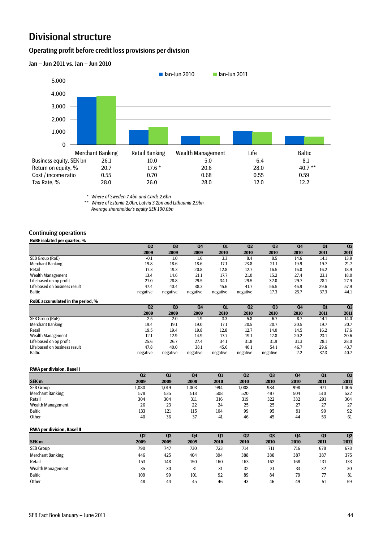# Divisional structure

# Operating profit before credit loss provisions per division



*\* Where of Sweden 7.4bn and Cards 2.6bn*

*\*\* Where of Estonia 2.0bn, Latvia 3.2bn and Lithuania 2.9bn Average shareholder's equity SEK 100.0bn*

#### Continuing operations

**RoBE isolated per quarter, %**

|                                   | Q <sub>2</sub> | Q <sub>3</sub> | Q4             | Q1       | Q2       | Q <sub>3</sub> | Q <sub>4</sub> | Q1   | Q <sub>2</sub> |
|-----------------------------------|----------------|----------------|----------------|----------|----------|----------------|----------------|------|----------------|
|                                   | 2009           | 2009           | 2009           | 2010     | 2010     | 2010           | 2010           | 2011 | 2011           |
| SEB Group (RoE)                   | $-0.1$         | 1.0            | 1.6            | 3.3      | 8.4      | 8.5            | 14.6           | 14.1 | 13.9           |
| Merchant Banking                  | 19.8           | 18.6           | 18.6           | 17.1     | 23.8     | 21.1           | 19.9           | 19.7 | 21.7           |
| Retail                            | 17.3           | 19.3           | 20.8           | 12.8     | 12.7     | 16.5           | 16.0           | 16.2 | 18.9           |
| Wealth Management                 | 13.4           | 14.6           | 21.1           | 17.7     | 21.0     | 15.2           | 27.4           | 23.1 | 18.0           |
| Life based on op profit           | 27.0           | 28.8           | 29.5           | 34.1     | 29.5     | 32.0           | 29.7           | 28.1 | 27.9           |
| Life based on business result     | 47.4           | 40.4           | 38.3           | 45.6     | 41.7     | 56.5           | 46.9           | 29.6 | 57.9           |
| <b>Baltic</b>                     | negative       | negative       | negative       | negative | negative | 17.3           | 25.7           | 37.3 | 44.1           |
| RoBE accumulated in the period, % |                |                |                |          |          |                |                |      |                |
|                                   | Q <sub>2</sub> | Q <sub>3</sub> | Q <sub>4</sub> | Q1       | Q2       | Q <sub>3</sub> | Q <sub>4</sub> | Q1   | Q2             |
|                                   | 2009           | 2009           |                |          | 2010     |                |                |      | 2011           |
|                                   |                |                | 2009           | 2010     |          | 2010           | 2010           | 2011 |                |
| SEB Group (RoE)                   | 2.5            | 2.0            | 1.9            | 3.3      | 5.8      | 6.7            | 8.7            | 14.1 | 14.0           |
| Merchant Banking                  | 19.4           | 19.1           | 19.0           | 17.1     | 20.5     | 20.7           | 20.5           | 19.7 | 20.7           |
| Retail                            | 19.5           | 19.4           | 19.8           | 12.8     | 12.7     | 14.0           | 14.5           | 16.2 | 17.6           |
| Wealth Management                 | 12.1           | 12.9           | 14.9           | 17.7     | 19.1     | 17.8           | 20.2           | 23.1 | 20.6           |
| Life based on op profit           | 25.6           | 26.7           | 27.4           | 34.1     | 31.8     | 31.9           | 31.3           | 28.1 | 28.0           |
| Life based on business result     | 47.8           | 40.0           | 38.1           | 45.6     | 40.1     | 54.1           | 46.7           | 29.6 | 43.7           |

#### **RWA per division, Basel I**

|                         | Q2    | Q3    | Q4    | Q1   | Q <sub>2</sub> | Q <sub>3</sub> | Q <sub>4</sub> | Q1   | Q <sub>2</sub> |
|-------------------------|-------|-------|-------|------|----------------|----------------|----------------|------|----------------|
| SEK <sub>m</sub>        | 2009  | 2009  | 2009  | 2010 | 2010           | 2010           | 2010           | 2011 | 2011           |
| <b>SEB Group</b>        | 1,080 | 1,019 | 1,003 | 994  | 1,008          | 984            | 998            | 971  | 1,006          |
| <b>Merchant Banking</b> | 578   | 535   | 518   | 508  | 520            | 497            | 504            | 510  | 522            |
| Retail                  | 304   | 304   | 311   | 316  | 319            | 322            | 332            | 291  | 304            |
| Wealth Management       | 26    | 23    | 22    | 24   | 25             | 25             | 27             | 27   | 27             |
| <b>Baltic</b>           | 133   | 121   | 115   | 104  | 99             | 95             | 91             | 90   | 92             |
| Other                   | 40    | 36    | 37    | 41   | 46             | 45             | 44             | 53   | 61             |

#### **RWA per division, Basel II**

|                         | Q <sub>2</sub> | Q3   | Q4   | Q1   | Q <sub>2</sub> | Q <sub>3</sub> | Q <sub>4</sub> | Q1   | Q <sub>2</sub> |
|-------------------------|----------------|------|------|------|----------------|----------------|----------------|------|----------------|
| SEK <sub>m</sub>        | 2009           | 2009 | 2009 | 2010 | 2010           | 2010           | 2010           | 2011 | 2011           |
| <b>SEB Group</b>        | 790            | 747  | 730  | 723  | 714            | 711            | 716            | 678  | 678            |
| <b>Merchant Banking</b> | 446            | 425  | 404  | 394  | 388            | 388            | 387            | 387  | 375            |
| Retail                  | 153            | 148  | 150  | 160  | 163            | 162            | 168            | 131  | 133            |
| Wealth Management       | 35             | 30   | 31   | 31   | 32             | 31             | 33             | 32   | 30             |
| <b>Baltic</b>           | 109            | 99   | 101  | 92   | 89             | 84             | 79             | 77   | 81             |
| Other                   | 48             | 44   | 45   | 46   | 43             | 46             | 49             | 51   | 59             |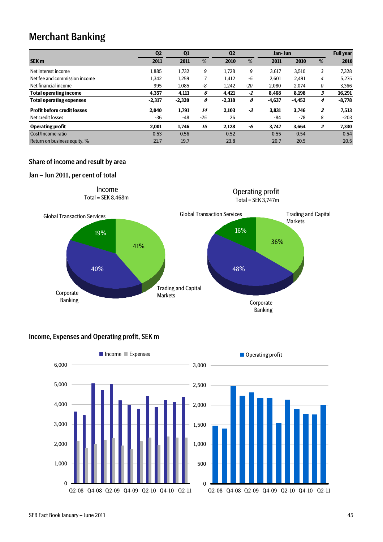# Merchant Banking

|                                    | Q <sub>2</sub> | Q1       |       | Q <sub>2</sub> |       | Jan- Jun |          |                | <b>Full year</b> |
|------------------------------------|----------------|----------|-------|----------------|-------|----------|----------|----------------|------------------|
| <b>SEK m</b>                       | 2011           | 2011     | %     | 2010           | %     | 2011     | 2010     | %              | 2010             |
| Net interest income                | 1,885          | 1,732    | 9     | 1.728          | 9     | 3,617    | 3,510    | 3              | 7,328            |
| Net fee and commission income      | 1,342          | 1,259    |       | 1,412          | $-5$  | 2,601    | 2,491    | $\overline{4}$ | 5,275            |
| Net financial income               | 995            | 1.085    | -8    | 1,242          | $-20$ | 2,080    | 2,074    | 0              | 3,366            |
| <b>Total operating income</b>      | 4,357          | 4,111    | 6     | 4.421          | -1    | 8,468    | 8,198    | 3              | 16,291           |
| <b>Total operating expenses</b>    | $-2,317$       | $-2,320$ | 0     | $-2,318$       | 0     | $-4,637$ | $-4,452$ | 4              | $-8,778$         |
| <b>Profit before credit losses</b> | 2,040          | 1,791    | 14    | 2,103          | -3    | 3,831    | 3,746    | $\overline{2}$ | 7,513            |
| Net credit losses                  | -36            | $-48$    | $-25$ | 26             |       | $-84$    | -78      | 8              | $-203$           |
| <b>Operating profit</b>            | 2,001          | 1.746    | 15    | 2.128          | -6    | 3,747    | 3.664    | $\overline{z}$ | 7,330            |
| Cost/Income ratio                  | 0.53           | 0.56     |       | 0.52           |       | 0.55     | 0.54     |                | 0.54             |
| Return on business equity, %       | 21.7           | 19.7     |       | 23.8           |       | 20.7     | 20.5     |                | 20.5             |

# Share of income and result by area

## Jan – Jun 2011, per cent of total



# Income, Expenses and Operating profit, SEK m



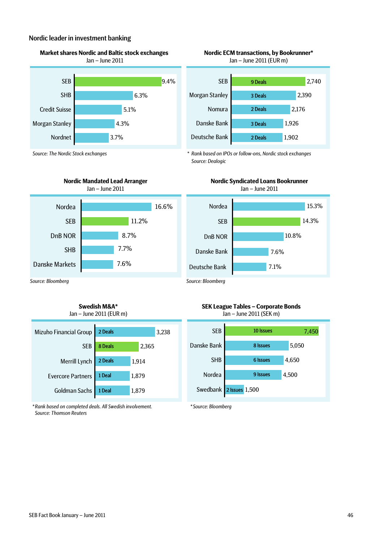### Nordic leader in investment banking





*Source: The Nordic Stock exchanges*





#### **Swedish M&A\*** Jan – June 2011 (EUR m)

| Mizuho Financial Group   | 2 Deals | 3,238 | <b>SEB</b>  | 10                      |
|--------------------------|---------|-------|-------------|-------------------------|
| <b>SEB</b>               | 8 Deals | 2,365 | Danske Bank | 8 <sub>l</sub>          |
| Merrill Lynch            | 2 Deals | 1,914 | <b>SHB</b>  | 61                      |
| <b>Evercore Partners</b> | 1 Deal  | 1,879 | Nordea      | 91                      |
| Goldman Sachs            | 1 Deal  | 1,879 |             | Swedbank 2 Issues 1,500 |
|                          |         |       |             |                         |

*\* Rank based on completed deals. All Swedish involvement. Source: Thomson Reuters*



*\* Rank based on IPOs or follow-ons, Nordic stock exchanges Source: Dealogic*



**SEK League Tables – Corporate Bonds** Jan – June 2011 (SEK m)



*\* Source: Bloomberg*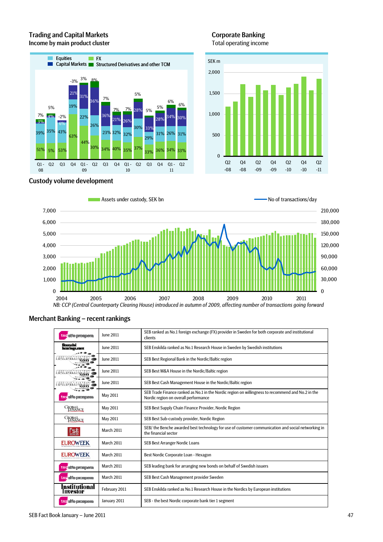# Trading and Capital Markets **Community** Corporate Banking Income by main product cluster Total operating income





# Custody volume development



# Merchant Banking – recent rankings

| tns sife prospera         | June 2011     | SEB ranked as No.1 foreign exchange (FX) provider in Sweden for both corporate and institutional<br>clients                               |
|---------------------------|---------------|-------------------------------------------------------------------------------------------------------------------------------------------|
| financial<br>kearings.com | June 2011     | SEB Enskilda ranked as No.1 Research House in Sweden by Swedish institutions                                                              |
| guitu                     | June 2011     | SEB Best Regional Bank in the Nordic/Baltic region                                                                                        |
| 141111                    | June 2011     | SEB Best M&A House in the Nordic/Baltic region                                                                                            |
| allit                     | June 2011     | SEB Best Cash Management House in the Nordic/Baltic region                                                                                |
| tns sito prospera         | May 2011      | SEB Trade Finance ranked as No.1 in the Nordic region on willingness to recommend and No.2 in the<br>Nordic region on overall performance |
| <b>GIORANCE</b>           | May 2011      | SEB Best Supply Chain Finance Provider, Nordic Region                                                                                     |
| <b>CIORAKCE</b>           | May 2011      | SEB Best Sub-custody provider, Nordic Region                                                                                              |
| 區                         | March 2011    | SEB/ the Benche awarded best technology for use of customer communication and social networking in<br>the financial sector                |
| <b>EUROWEEK</b>           | March 2011    | SEB Best Arranger Nordic Loans                                                                                                            |
| <b>EUROWEEK</b>           | March 2011    | Best Nordic Corporate Loan - Hexagon                                                                                                      |
| tns sife prospera.        | March 2011    | SEB leading bank for arranging new bonds on behalf of Swedish issuers                                                                     |
| tris alfo prospera        | March 2011    | SEB Best Cash Management provider Sweden                                                                                                  |
| Institutional<br>Investor | February 2011 | SEB Enskilda ranked as No.1 Research House in the Nordics by European institutions                                                        |
| tns alfo prospera         | January 2011  | SEB - the best Nordic corporate bank tier 1 segment                                                                                       |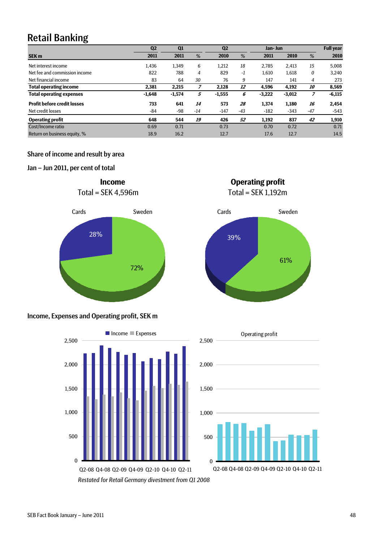# Retail Banking

|                                    | Q <sub>2</sub> | Q <sub>1</sub> |                | Q <sub>2</sub> |       | Jan- Jun |          |           | <b>Full year</b> |
|------------------------------------|----------------|----------------|----------------|----------------|-------|----------|----------|-----------|------------------|
| <b>SEK m</b>                       | 2011           | 2011           | %              | 2010           | %     | 2011     | 2010     | %         | 2010             |
| Net interest income                | 1,436          | 1,349          | 6              | 1.212          | 18    | 2.785    | 2.413    | 15        | 5.008            |
| Net fee and commission income      | 822            | 788            | $\overline{4}$ | 829            | $-1$  | 1,610    | 1,618    | 0         | 3,240            |
| Net financial income               | 83             | 64             | 30             | 76             | 9     | 147      | 141      | 4         | 273              |
| <b>Total operating income</b>      | 2,381          | 2,215          |                | 2.128          | 12    | 4.596    | 4.192    | <i>10</i> | 8,569            |
| <b>Total operating expenses</b>    | $-1,648$       | $-1,574$       | 5              | $-1,555$       | 6     | $-3,222$ | $-3,012$ | 7         | $-6,115$         |
| <b>Profit before credit losses</b> | 733            | 641            | 14             | 573            | 28    | 1,374    | 1,180    | 16        | 2,454            |
| Net credit losses                  | -84            | -98            | $-14$          | $-147$         | $-43$ | $-182$   | $-343$   | $-47$     | $-543$           |
| <b>Operating profit</b>            | 648            | 544            | 19             | 426            | 52    | 1,192    | 837      | 42        | 1,910            |
| Cost/Income ratio                  | 0.69           | 0.71           |                | 0.73           |       | 0.70     | 0.72     |           | 0.71             |
| Return on business equity, %       | 18.9           | 16.2           |                | 12.7           |       | 17.6     | 12.7     |           | 14.5             |

# Share of income and result by area

# Jan – Jun 2011, per cent of total



# Income, Expenses and Operating profit, SEK m







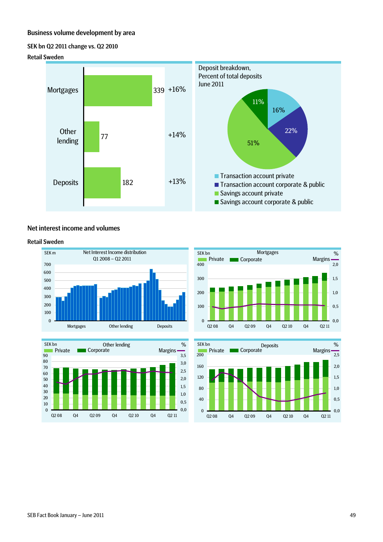# Business volume development by area

#### SEK bn Q2 2011 change vs. Q2 2010

#### Retail Sweden



#### Net interest income and volumes

#### Retail Sweden







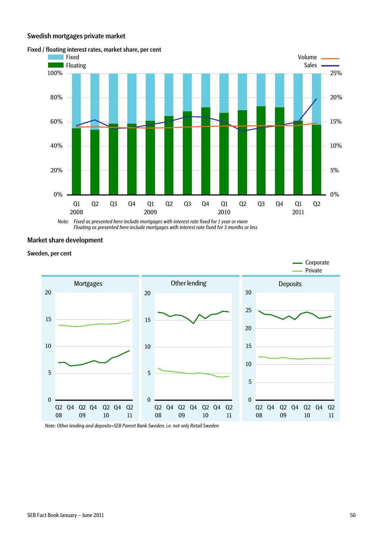#### Swedish mortgages private market



#### Fixed / floating interest rates, market share, per cent

*Note: Fixed as presented here include mortgages with interest rate fixed for 1 year or more Floating as presented here include mortgages with interest rate fixed for 3 months or less*

## Market share development

Sweden, per cent



*Note: Other lending and deposits=SEB Parent Bank Sweden, i.e. not only Retail Sweden*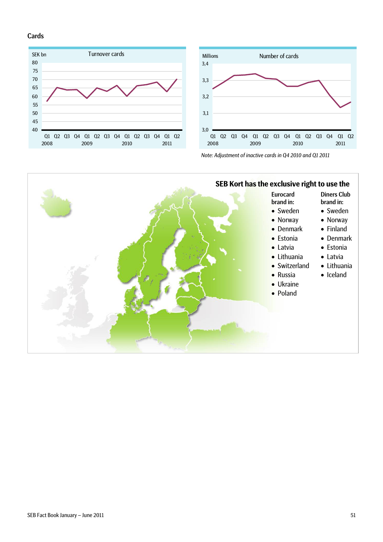### Cards







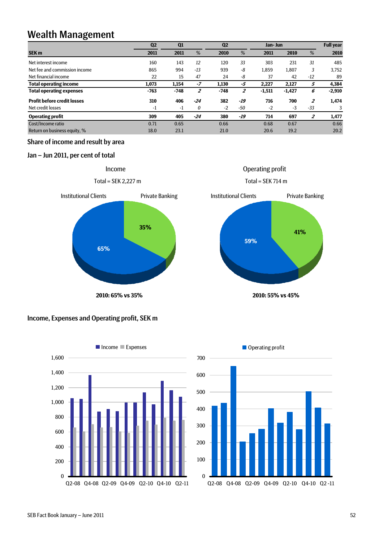# Wealth Management

|                                    | Q <sub>2</sub> | Q1     |                | Q <sub>2</sub> |     | Jan- Jun |          |                | <b>Full year</b> |
|------------------------------------|----------------|--------|----------------|----------------|-----|----------|----------|----------------|------------------|
| SEK <sub>m</sub>                   | 2011           | 2011   | %              | 2010           | %   | 2011     | 2010     | %              | 2010             |
| Net interest income                | 160            | 143    | 12             | 120            | 33  | 303      | 231      | 31             | 485              |
| Net fee and commission income      | 865            | 994    | $-13$          | 939            | -8  | 1,859    | 1,807    | 3              | 3,752            |
| Net financial income               | 22             | 15     | 47             | 24             | -8  | 37       | 42       | $-12$          | 89               |
| <b>Total operating income</b>      | 1,073          | 1.154  | $-7$           | 1.130          | -5  | 2.227    | 2.127    | 5              | 4,384            |
| <b>Total operating expenses</b>    | $-763$         | $-748$ | $\overline{2}$ | $-748$         | 2   | $-1,511$ | $-1,427$ | 6              | $-2,910$         |
| <b>Profit before credit losses</b> | 310            | 406    | $-24$          | 382            | -19 | 716      | 700      | $\overline{2}$ | 1,474            |
| Net credit losses                  | $-1$           | -1     | 0              | $-2$           | -50 | $-2$     | $-3$     | $-33$          | 3                |
| <b>Operating profit</b>            | 309            | 405    | $-24$          | 380            | -19 | 714      | 697      | $\overline{2}$ | 1,477            |
| Cost/Income ratio                  | 0.71           | 0.65   |                | 0.66           |     | 0.68     | 0.67     |                | 0.66             |
| Return on business equity, %       | 18.0           | 23.1   |                | 21.0           |     | 20.6     | 19.2     |                | 20.2             |

# Share of income and result by area

# Jan – Jun 2011, per cent of total



Income







Operating profit

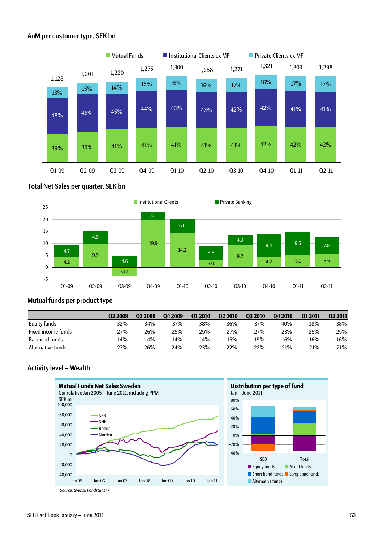# AuM per customer type, SEK bn



#### Total Net Sales per quarter, SEK bn



# Mutual funds per product type

|                           | 02 2009 | 03 2009 | 04 2009 | 01 2010 | 02 2010 | <b>Q3 2010</b> | 04 2010 | 01 2011 | 02 2011 |
|---------------------------|---------|---------|---------|---------|---------|----------------|---------|---------|---------|
| Equity funds              | 32%     | 34%     | 37%     | 38%     | 36%     | 37%            | 40%     | 38%     | 38%     |
| <b>Fixed income funds</b> | 27%     | 26%     | 25%     | 25%     | 27%     | 27%            | 23%     | 25%     | 25%     |
| <b>Balanced funds</b>     | 14%     | 14%     | 14%     | 14%     | 15%     | 15%            | 16%     | 16%     | 16%     |
| Alternative funds         | 27%     | 26%     | 24%     | 23%     | 22%     | 22%            | 21%     | 21%     | 21%     |

#### Activity level – Wealth



*Source: Svensk Fondstatistik*

SEB Total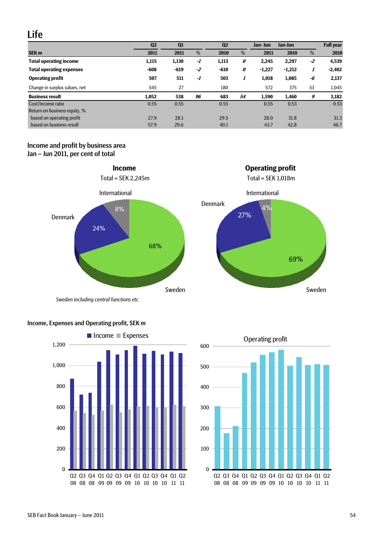# Life

|                                 | Q <sub>2</sub> | Q <sub>1</sub> |      | Q <sub>2</sub> |    | Jan- Jun | Jan-Jun  |      | <b>Full year</b> |
|---------------------------------|----------------|----------------|------|----------------|----|----------|----------|------|------------------|
| <b>SEK m</b>                    | 2011           | 2011           | %    | 2010           | %  | 2011     | 2010     | %    | 2010             |
| <b>Total operating income</b>   | 1,115          | 1,130          | -1   | 1,113          | 0  | 2,245    | 2,297    | $-2$ | 4,539            |
| <b>Total operating expenses</b> | $-608$         | -619           | $-2$ | $-610$         | 0  | $-1,227$ | $-1,212$ | 1    | $-2,402$         |
| <b>Operating profit</b>         | 507            | 511            | -1   | 503            | 1  | 1,018    | 1,085    | -6   | 2,137            |
| Change in surplus values, net   | 545            | 27             |      | 180            |    | 572      | 375      | 53   | 1,045            |
| <b>Business result</b>          | 1,052          | 538            | 96   | 683            | 54 | 1,590    | 1,460    | 9    | 3,182            |
| Cost/Income ratio               | 0.55           | 0.55           |      | 0.55           |    | 0.55     | 0.53     |      | 0.53             |
| Return on business equity, %    |                |                |      |                |    |          |          |      |                  |
| based on operating profit       | 27.9           | 28.1           |      | 29.5           |    | 28.0     | 31.8     |      | 31.3             |
| based on business result        | 57.9           | 29.6           |      | 40.1           |    | 43.7     | 42.8     |      | 46.7             |

# Income and profit by business area Jan – Jun 2011, per cent of total



*Sweden including central functions etc*







**Income Operating profit** 

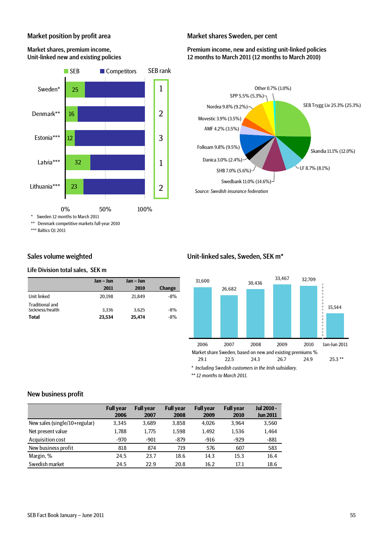# Market position by profit area

Market shares, premium income,

# Unit-linked new and existing policies 32 12 16 25 Latvia\*\*\* Estonia\*\*\* Denmark\*\* Sweden\* SEB Competitors SEB rank 1 2 3 1

#### Market shares Sweden, per cent

### Premium income, new and existing unit-linked policies 12 months to March 2011 (12 months to March 2010)



## Sales volume weighted

Lithuania\*\*\*

\*\*\* Baltics Q1 2011

#### Life Division total sales, SEK m

\* Sweden 12 months to March 2011 \*\* Denmark competitive markets full-year 2010

23

|                                                           | Jan – Jun       | Jan – Jun       |                |
|-----------------------------------------------------------|-----------------|-----------------|----------------|
|                                                           | 2011            | 2010            | <b>Change</b>  |
| Unit linked                                               | 20.198          | 21.849          | $-8%$          |
| <b>Traditional and</b><br>Sickness/health<br><b>Total</b> | 3.336<br>23.534 | 3.625<br>25.474 | $-8%$<br>$-8%$ |

0% 50% 100%

#### Unit-linked sales, Sweden, SEK m\*



*\*\* 12 months to March 2011.* 

#### New business profit

|                               | <b>Full year</b><br>2006 | <b>Full year</b><br>2007 | <b>Full year</b><br>2008 | <b>Full year</b><br>2009 | <b>Full year</b><br>2010 | <b>Jul 2010 -</b><br><b>Jun 2011</b> |
|-------------------------------|--------------------------|--------------------------|--------------------------|--------------------------|--------------------------|--------------------------------------|
| New sales (single/10+regular) | 3.345                    | 3.689                    | 3.858                    | 4.026                    | 3.964                    | 3,560                                |
| Net present value             | 1.788                    | 1.775                    | 1.598                    | 1.492                    | 1.536                    | 1,464                                |
| Acquisition cost              | $-970$                   | $-901$                   | -879                     | $-916$                   | $-929$                   | $-881$                               |
| New business profit           | 818                      | 874                      | 719                      | 576                      | 607                      | 583                                  |
| Margin, %                     | 24.5                     | 23.7                     | 18.6                     | 14.3                     | 15.3                     | 16.4                                 |
| Swedish market                | 24.5                     | 22.9                     | 20.8                     | 16.2                     | 17.1                     | 18.6                                 |

2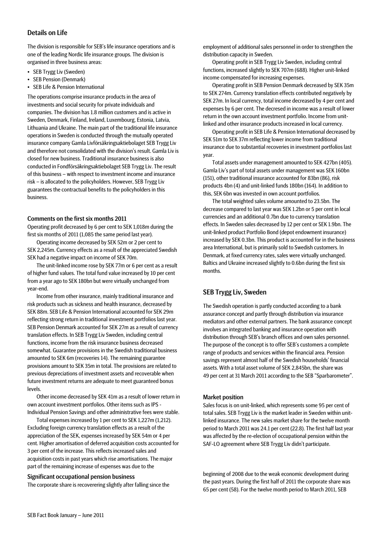# Details on Life

The division is responsible for SEB's life insurance operations and is one of the leading Nordic life insurance groups. The division is organised in three business areas:

- SEB Trygg Liv (Sweden)
- SEB Pension (Denmark)
- SEB Life & Pension International

The operations comprise insurance products in the area of investments and social security for private individuals and companies. The division has 1.8 million customers and is active in Sweden, Denmark, Finland, Ireland, Luxembourg, Estonia, Latvia, Lithuania and Ukraine. The main part of the traditional life insurance operations in Sweden is conducted through the mutually operated insurance company Gamla Livförsäkringsaktiebolaget SEB Trygg Liv and therefore not consolidated with the division's result. Gamla Liv is closed for new business. Traditional insurance business is also conducted in Fondförsäkringsaktiebolaget SEB Trygg Liv. The result of this business – with respect to investment income and insurance risk – is allocated to the policyholders. However, SEB Trygg Liv guarantees the contractual benefits to the policyholders in this business.

#### Comments on the first six months 2011

Operating profit decreased by 6 per cent to SEK 1,018m during the first six months of 2011 (1,085 the same period last year).

Operating income decreased by SEK 52m or 2 per cent to SEK 2,245m. Currency effects as a result of the appreciated Swedish SEK had a negative impact on income of SEK 70m.

The unit-linked income rose by SEK 77m or 6 per cent as a result of higher fund values. The total fund value increased by 10 per cent from a year ago to SEK 180bn but were virtually unchanged from year-end.

Income from other insurance, mainly traditional insurance and risk products such as sickness and health insurance, decreased by SEK 88m. SEB Life & Pension International accounted for SEK 29m reflecting strong return in traditional investment portfolios last year. SEB Pension Denmark accounted for SEK 27m as a result of currency translation effects. In SEB Trygg Liv Sweden, including central functions, income from the risk insurance business decreased somewhat. Guarantee provisions in the Swedish traditional business amounted to SEK 6m (recoveries 14). The remaining guarantee provisions amount to SEK 35m in total. The provisions are related to previous depreciations of investment assets and recoverable when future investment returns are adequate to meet guaranteed bonus levels.

Other income decreased by SEK 41m as a result of lower return in own account investment portfolios. Other items such as IPS - Individual Pension Savings and other administrative fees were stable.

Total expenses increased by 1 per cent to SEK 1,227m (1,212). Excluding foreign currency translation effects as a result of the appreciation of the SEK, expenses increased by SEK 54m or 4 per cent. Higher amortisation of deferred acquisition costs accounted for 3 per cent of the increase. This reflects increased sales and acquisition costs in past years which rise amortisations. The major part of the remaining increase of expenses was due to the

#### Significant occupational pension business

The corporate share is recoverering slightly after falling since the

employment of additional sales personnel in order to strengthen the distribution capacity in Sweden.

Operating profit in SEB Trygg Liv Sweden, including central functions, increased slightly to SEK 707m (688). Higher unit-linked income compensated for increasing expenses.

Operating profit in SEB Pension Denmark decreased by SEK 35m to SEK 274m. Currency translation effects contributed negatively by SEK 27m. In local currency, total income decreased by 4 per cent and expenses by 6 per cent. The decresed in income was a result of lower return in the own account investment portfolio. Income from unitlinked and other insurance products increased in local currency.

Operating profit in SEB Life & Pension International decreased by SEK 51m to SEK 37m reflecting lower income from traditional insurance due to substantial recoveries in investment portfolios last year.

Total assets under management amounted to SEK 427bn (405). Gamla Liv's part of total assets under management was SEK 160bn (151), other traditional insurance accounted for 83bn (86), risk products 4bn (4) and unit-linked funds 180bn (164). In addition to this, SEK 6bn was invested in own account portfolios.

The total weighted sales volume amounted to 23.5bn. The decrease compared to last year was SEK 1.2bn or 5 per cent in local currencies and an additional 0.7bn due to currency translation effects. In Sweden sales decreased by 12 per cent or SEK 1.9bn. The unit-linked product Portfolio Bond (depot endowment insurance) increased by SEK 0.3bn. This product is accounted for in the business area International, but is primarily sold to Swedish customers. In Denmark, at fixed currency rates, sales were virtually unchanged. Baltics and Ukraine increased slightly to 0.6bn during the first six months.

## SEB Trygg Liv, Sweden

The Swedish operation is partly conducted according to a bank assurance concept and partly through distribution via insurance mediators and other external partners. The bank assurance concept involves an integrated banking and insurance operation with distribution through SEB's branch offices and own sales personnel. The purpose of the concept is to offer SEB's customers a complete range of products and services within the financial area. Pension savings represent almost half of the Swedish households' financial assets. With a total asset volume of SEK 2,845bn, the share was 49 per cent at 31 March 2011 according to the SEB "Sparbarometer".

#### Market position

Sales focus is on unit-linked, which represents some 95 per cent of total sales. SEB Trygg Liv is the market leader in Sweden within unitlinked insurance. The new sales market share for the twelve month period to March 2011 was 24.1 per cent (22.8). The first half last year was affected by the re-election of occupational pension within the SAF-LO agreement where SEB Trygg Liv didn't participate.

beginning of 2008 due to the weak economic development during the past years. During the first half of 2011 the corporate share was 65 per cent (58). For the twelve month period to March 2011, SEB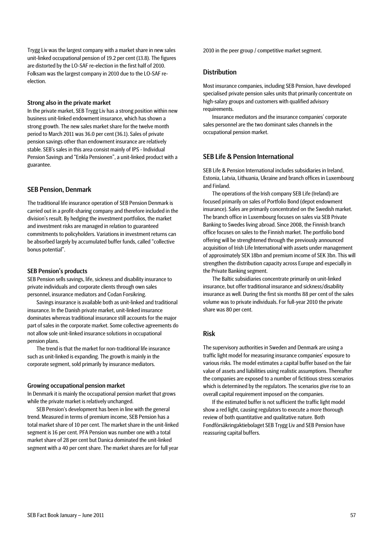Trygg Liv was the largest company with a market share in new sales unit-linked occupational pension of 19.2 per cent (13.8). The figures are distorted by the LO-SAF re-election in the first half of 2010. Folksam was the largest company in 2010 due to the LO-SAF reelection.

#### Strong also in the private market

In the private market, SEB Trygg Liv has a strong position within new business unit-linked endowment insurance, which has shown a strong growth. The new sales market share for the twelve month period to March 2011 was 36.0 per cent (36.1). Sales of private pension savings other than endowment insurance are relatively stable. SEB's sales in this area consist mainly of IPS - Individual Pension Savings and "Enkla Pensionen", a unit-linked product with a guarantee.

#### SEB Pension, Denmark

The traditional life insurance operation of SEB Pension Denmark is carried out in a profit-sharing company and therefore included in the division's result. By hedging the investment portfolios, the market and investment risks are managed in relation to guaranteed commitments to policyholders. Variations in investment returns can be absorbed largely by accumulated buffer funds, called "collective bonus potential".

#### SEB Pension's products

SEB Pension sells savings, life, sickness and disability insurance to private individuals and corporate clients through own sales personnel, insurance mediators and Codan Forsikring.

Savings insurance is available both as unit-linked and traditional insurance. In the Danish private market, unit-linked insurance dominates whereas traditional insurance still accounts for the major part of sales in the corporate market. Some collective agreements do not allow sole unit-linked insurance solutions in occupational pension plans.

The trend is that the market for non-traditional life insurance such as unit-linked is expanding. The growth is mainly in the corporate segment, sold primarily by insurance mediators.

#### Growing occupational pension market

In Denmark it is mainly the occupational pension market that grows while the private market is relatively unchanged.

SEB Pension's development has been in line with the general trend. Measured in terms of premium income, SEB Pension has a total market share of 10 per cent. The market share in the unit-linked segment is 16 per cent. PFA Pension was number one with a total market share of 28 per cent but Danica dominated the unit-linked segment with a 40 per cent share. The market shares are for full year 2010 in the peer group / competitive market segment.

#### **Distribution**

Most insurance companies, including SEB Pension, have developed specialised private pension sales units that primarily concentrate on high-salary groups and customers with qualified advisory requirements.

Insurance mediators and the insurance companies' corporate sales personnel are the two dominant sales channels in the occupational pension market.

#### SEB Life & Pension International

SEB Life & Pension International includes subsidiaries in Ireland, Estonia, Latvia, Lithuania, Ukraine and branch offices in Luxembourg and Finland.

The operations of the Irish company SEB Life (Ireland) are focused primarily on sales of Portfolio Bond (depot endowment insurance). Sales are primarily concentrated on the Swedish market. The branch office in Luxembourg focuses on sales via SEB Private Banking to Swedes living abroad. Since 2008, the Finnish branch office focuses on sales to the Finnish market. The portfolio bond offering will be strenghtened through the previously announced acquisition of Irish Life International with assets under management of approximately SEK 18bn and premium income of SEK 3bn. This will strengthen the distribution capacity across Europe and especially in the Private Banking segment.

The Baltic subsidiaries concentrate primarily on unit-linked insurance, but offer traditional insurance and sickness/disability insurance as well. During the first six months 88 per cent of the sales volume was to private individuals. For full-year 2010 the private share was 80 per cent.

## Risk

The supervisory authorities in Sweden and Denmark are using a traffic light model for measuring insurance companies' exposure to various risks. The model estimates a capital buffer based on the fair value of assets and liabilities using realistic assumptions. Thereafter the companies are exposed to a number of fictitious stress scenarios which is determined by the regulators. The scenarios give rise to an overall capital requirement imposed on the companies.

If the estimated buffer is not sufficient the traffic light model show a red light, causing regulators to execute a more thorough review of both quantitative and qualitative nature. Both Fondförsäkringaktiebolaget SEB Trygg Liv and SEB Pension have reassuring capital buffers.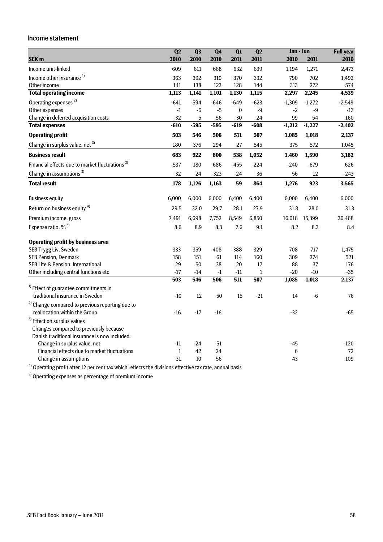#### Income statement

|                                                            | Q2                | Q3     | Q <sub>4</sub> | Q1       | Q2               | Jan - Jun |          | <b>Full year</b> |
|------------------------------------------------------------|-------------------|--------|----------------|----------|------------------|-----------|----------|------------------|
| SEK <sub>m</sub>                                           | 2010              | 2010   | 2010           | 2011     | 2011             | 2010      | 2011     | 2010             |
| Income unit-linked                                         | 609               | 611    | 668            | 632      | 639              | 1,194     | 1,271    | 2,473            |
| Income other insurance <sup>1)</sup>                       | 363               | 392    | 310            | 370      | 332              | 790       | 702      | 1,492            |
| Other income                                               | 141               | 138    | 123            | 128      | 144              | 313       | 272      | 574              |
| <b>Total operating income</b>                              | 1,113             | 1,141  | 1,101          | 1,130    | 1,115            | 2,297     | 2,245    | 4,539            |
| Operating expenses <sup>2)</sup>                           | $-641$            | $-594$ | $-646$         | $-649$   | $-623$           | $-1,309$  | $-1,272$ | $-2,549$         |
| Other expenses                                             | $\textnormal{-}1$ | $-6$   | $-5$           | $\bf{0}$ | $-9$             | $-2$      | -9       | $-13$            |
| Change in deferred acquisition costs                       | 32                | 5      | 56             | 30       | 24               | 99        | 54       | 160              |
| <b>Total expenses</b>                                      | $-610$            | $-595$ | $-595$         | $-619$   | $-608$           | $-1,212$  | $-1,227$ | $-2,402$         |
| <b>Operating profit</b>                                    | 503               | 546    | 506            | 511      | 507              | 1,085     | 1,018    | 2,137            |
| Change in surplus value, net 3)                            | 180               | 376    | 294            | 27       | 545              | 375       | 572      | 1,045            |
| <b>Business result</b>                                     | 683               | 922    | 800            | 538      | 1,052            | 1,460     | 1,590    | 3,182            |
| Financial effects due to market fluctuations <sup>3)</sup> | $-537$            | 180    | 686            | $-455$   | $-224$           | $-240$    | $-679$   | 626              |
| Change in assumptions <sup>3)</sup>                        | 32                | 24     | $-323$         | $-24$    | 36               | 56        | 12       | $-243$           |
| <b>Total result</b>                                        | 178               | 1,126  | 1,163          | 59       | 864              | 1,276     | 923      | 3,565            |
| <b>Business equity</b>                                     | 6,000             | 6,000  | 6,000          | 6,400    | 6,400            | 6,000     | 6,400    | 6,000            |
| Return on business equity <sup>4)</sup>                    | 29.5              | 32.0   | 29.7           | 28.1     | 27.9             | 31.8      | 28.0     | 31.3             |
| Premium income, gross                                      | 7,491             | 6,698  | 7,752          | 8,549    | 6,850            | 16,018    | 15,399   | 30,468           |
| Expense ratio, % <sup>5)</sup>                             | 8.6               | 8.9    | 8.3            | 7.6      | 9.1              | 8.2       | 8.3      | 8.4              |
| <b>Operating profit by business area</b>                   |                   |        |                |          |                  |           |          |                  |
| SEB Trygg Liv, Sweden                                      | 333               | 359    | 408            | 388      | 329              | 708       | 717      | 1,475            |
| SEB Pension, Denmark                                       | 158               | 151    | 61             | 114      | 160              | 309       | 274      | 521              |
| SEB Life & Pension, International                          | 29                | 50     | 38             | 20       | 17               | 88        | 37       | 176              |
| Other including central functions etc                      | $-17$             | $-14$  | $-1$           | $-11$    | $\mathbf{1}$     | $-20$     | $-10$    | $-35$            |
|                                                            | 503               | 546    | 506            | 511      | $\overline{507}$ | 1,085     | 1,018    | 2,137            |
| $1$ Effect of guarantee commitments in                     |                   |        |                |          |                  |           |          |                  |
| traditional insurance in Sweden                            | $-10$             | 12     | 50             | 15       | $-21$            | 14        | $-6$     | 76               |
| <sup>2)</sup> Change compared to previous reporting due to |                   |        |                |          |                  |           |          |                  |
| reallocation within the Group                              | $-16$             | $-17$  | $-16$          |          |                  | $-32$     |          | $-65$            |
| <sup>3)</sup> Effect on surplus values                     |                   |        |                |          |                  |           |          |                  |
| Changes compared to previously because                     |                   |        |                |          |                  |           |          |                  |
| Danish traditional insurance is now included:              |                   |        |                |          |                  |           |          |                  |
| Change in surplus value, net                               | $-11$             | $-24$  | $-51$          |          |                  | $-45$     |          | $-120$           |
| Financial effects due to market fluctuations               | $\,1\,$           | 42     | 24             |          |                  | $\,6$     |          | 72               |
| Change in assumptions                                      | 31                | 10     | 56             |          |                  | 43        |          | 109              |

4) Operating profit after 12 per cent tax which reflects the divisions effective tax rate, annual basis

5) Operating expenses as percentage of premium income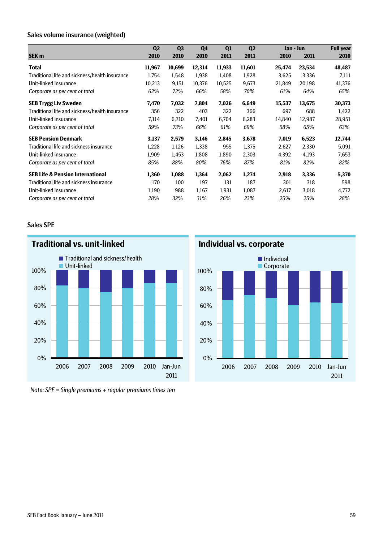# Sales volume insurance (weighted)

|                                                | Q <sub>2</sub> | Q <sub>3</sub> | Q <sub>4</sub> | Q1     | Q <sub>2</sub> |        | Jan - Jun | <b>Full year</b> |
|------------------------------------------------|----------------|----------------|----------------|--------|----------------|--------|-----------|------------------|
| <b>SEK m</b>                                   | 2010           | 2010           | 2010           | 2011   | 2011           | 2010   | 2011      | 2010             |
| <b>Total</b>                                   | 11,967         | 10,699         | 12,314         | 11,933 | 11,601         | 25,474 | 23,534    | 48,487           |
| Traditional life and sickness/health insurance | 1,754          | 1,548          | 1,938          | 1,408  | 1,928          | 3,625  | 3,336     | 7,111            |
| Unit-linked insurance                          | 10,213         | 9,151          | 10,376         | 10,525 | 9,673          | 21,849 | 20,198    | 41,376           |
| Corporate as per cent of total                 | 62%            | 72%            | 66%            | 58%    | 70%            | 61%    | 64%       | 65%              |
| <b>SEB Trygg Liv Sweden</b>                    | 7,470          | 7,032          | 7,804          | 7,026  | 6,649          | 15,537 | 13,675    | 30,373           |
| Traditional life and sickness/health insurance | 356            | 322            | 403            | 322    | 366            | 697    | 688       | 1,422            |
| Unit-linked insurance                          | 7,114          | 6,710          | 7,401          | 6,704  | 6,283          | 14,840 | 12,987    | 28,951           |
| Corporate as per cent of total                 | 59%            | 73%            | 66%            | 61%    | 69%            | 58%    | 65%       | 63%              |
| <b>SEB Pension Denmark</b>                     | 3,137          | 2,579          | 3,146          | 2,845  | 3,678          | 7,019  | 6,523     | 12,744           |
| Traditional life and sickness insurance        | 1,228          | 1,126          | 1,338          | 955    | 1,375          | 2,627  | 2,330     | 5,091            |
| Unit-linked insurance                          | 1,909          | 1,453          | 1,808          | 1,890  | 2,303          | 4,392  | 4,193     | 7,653            |
| Corporate as per cent of total                 | 85%            | 88%            | 80%            | 76%    | 87%            | 81%    | 82%       | 82%              |
| <b>SEB Life &amp; Pension International</b>    | 1,360          | 1,088          | 1,364          | 2,062  | 1,274          | 2,918  | 3,336     | 5,370            |
| Traditional life and sickness insurance        | 170            | 100            | 197            | 131    | 187            | 301    | 318       | 598              |
| Unit-linked insurance                          | 1,190          | 988            | 1,167          | 1,931  | 1,087          | 2,617  | 3,018     | 4,772            |
| Corporate as per cent of total                 | 28%            | 32%            | 31%            | 26%    | 23%            | 25%    | 25%       | 28%              |

# Sales SPE



*Note: SPE = Single premiums + regular premiums times ten*

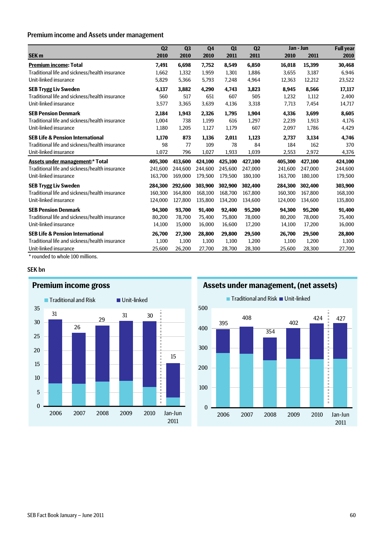# Premium income and Assets under management

| Q <sub>2</sub> | Q <sub>3</sub> | Q <sub>4</sub> | Q1      | Q <sub>2</sub> |         |         | <b>Full year</b> |
|----------------|----------------|----------------|---------|----------------|---------|---------|------------------|
| 2010           | 2010           | 2010           | 2011    | 2011           | 2010    | 2011    | 2010             |
| 7,491          | 6,698          | 7,752          | 8,549   | 6,850          | 16,018  | 15,399  | 30,468           |
| 1,662          | 1,332          | 1,959          | 1,301   | 1,886          | 3,655   | 3,187   | 6,946            |
| 5,829          | 5,366          | 5,793          | 7,248   | 4,964          | 12,363  | 12,212  | 23,522           |
| 4,137          | 3,882          | 4,290          | 4,743   | 3,823          | 8,945   | 8,566   | 17,117           |
| 560            | 517            | 651            | 607     | 505            | 1,232   | 1,112   | 2,400            |
| 3,577          | 3,365          | 3,639          | 4,136   | 3,318          | 7,713   | 7,454   | 14,717           |
| 2,184          | 1,943          | 2,326          | 1,795   | 1,904          | 4,336   | 3,699   | 8,605            |
| 1,004          | 738            | 1,199          | 616     | 1,297          | 2,239   | 1,913   | 4,176            |
| 1,180          | 1,205          | 1,127          | 1,179   | 607            | 2,097   | 1,786   | 4,429            |
| 1,170          | 873            | 1,136          | 2,011   | 1,123          | 2,737   | 3,134   | 4,746            |
| 98             | 77             | 109            | 78      | 84             | 184     | 162     | 370              |
| 1,072          | 796            | 1,027          | 1,933   | 1,039          | 2,553   | 2,972   | 4,376            |
| 405,300        | 413,600        | 424,100        | 425,100 | 427,100        | 405,300 | 427,100 | 424,100          |
| 241.600        | 244,600        | 244,600        | 245,600 | 247,000        | 241,600 | 247,000 | 244,600          |
| 163.700        | 169.000        | 179,500        | 179.500 | 180,100        | 163.700 | 180,100 | 179,500          |
| 284.300        | 292,600        | 303,900        | 302,900 | 302,400        | 284,300 | 302,400 | 303,900          |
| 160.300        | 164,800        | 168,100        | 168.700 | 167,800        | 160,300 | 167,800 | 168,100          |
| 124,000        | 127,800        | 135,800        | 134,200 | 134,600        | 124,000 | 134,600 | 135,800          |
| 94,300         | 93,700         | 91,400         | 92,400  | 95,200         | 94,300  | 95,200  | 91,400           |
| 80,200         | 78,700         | 75,400         | 75,800  | 78,000         | 80,200  | 78,000  | 75,400           |
| 14,100         | 15,000         | 16,000         | 16,600  | 17,200         | 14,100  | 17,200  | 16,000           |
| 26,700         | 27,300         | 28,800         | 29,800  | 29,500         | 26,700  | 29,500  | 28,800           |
| 1,100          | 1,100          | 1,100          | 1,100   | 1,200          | 1,100   | 1,200   | 1,100            |
| 25,600         | 26,200         | 27,700         | 28,700  | 28,300         | 25,600  | 28,300  | 27,700           |
|                |                |                |         |                |         |         | Jan - Jun        |

\* rounded to whole 100 millions.

#### SEK bn



# **Premium income gross**

**Assets under management, (net assets)**

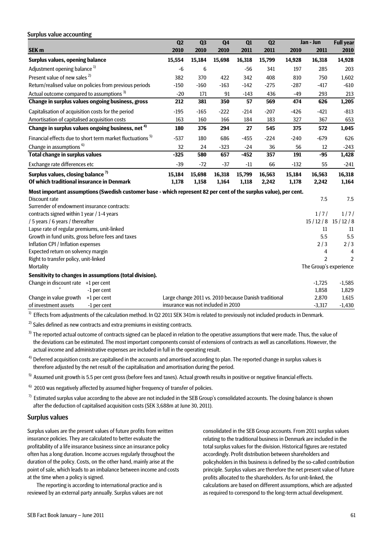| Surplus value accounting                                                                                         |                                                       |                |                |        |                |        |                                          |                     |
|------------------------------------------------------------------------------------------------------------------|-------------------------------------------------------|----------------|----------------|--------|----------------|--------|------------------------------------------|---------------------|
|                                                                                                                  | $\overline{Q2}$                                       | Q <sub>3</sub> | Q <sub>4</sub> | Q1     | Q <sub>2</sub> |        | Jan - Jun                                | <b>Full</b> year    |
| SEK <sub>m</sub>                                                                                                 | 2010                                                  | 2010           | 2010           | 2011   | 2011           | 2010   | 2011                                     | 2010                |
| <b>Surplus values, opening balance</b>                                                                           | 15,554                                                | 15,184         | 15,698         | 16,318 | 15,799         | 14,928 | 16,318                                   | 14,928              |
| Adjustment opening balance <sup>1)</sup>                                                                         | $-6$                                                  | 6              |                | $-56$  | 341            | 197    | 285                                      | 203                 |
| Present value of new sales <sup>2)</sup>                                                                         | 382                                                   | 370            | 422            | 342    | 408            | 810    | 750                                      | 1,602               |
| Return/realised value on policies from previous periods                                                          | $-150$                                                | $-160$         | $-163$         | $-142$ | $-275$         | $-287$ | $-417$                                   | $-610$              |
| Actual outcome compared to assumptions <sup>3)</sup>                                                             | $-20$                                                 | 171            | 91             | $-143$ | 436            | $-49$  | 293                                      | 213                 |
| Change in surplus values ongoing business, gross                                                                 | 212                                                   | 381            | 350            | 57     | 569            | 474    | 626                                      | 1,205               |
| Capitalisation of acquisition costs for the period                                                               | $-195$                                                | $-165$         | $-222$         | $-214$ | $-207$         | $-426$ | $-421$                                   | $-813$              |
| Amortisation of capitalised acquisition costs                                                                    | 163                                                   | 160            | 166            | 184    | 183            | 327    | 367                                      | 653                 |
| Change in surplus values ongoing business, net <sup>4)</sup>                                                     | 180                                                   | 376            | 294            | 27     | 545            | 375    | 572                                      | 1,045               |
| Financial effects due to short term market fluctuations <sup>5)</sup>                                            | $-537$                                                | 180            | 686            | $-455$ | $-224$         | $-240$ | $-679$                                   | 626                 |
| Change in assumptions <sup>6)</sup>                                                                              | 32                                                    | 24             | $-323$         | $-24$  | 36             | 56     | 12                                       | $-243$              |
| <b>Total change in surplus values</b>                                                                            | $-325$                                                | 580            | 657            | $-452$ | 357            | 191    | $-95$                                    | 1,428               |
| Exchange rate differences etc                                                                                    | $-39$                                                 | $-72$          | $-37$          | $-11$  | 66             | $-132$ | 55                                       | $-241$              |
| Surplus values, closing balance <sup>7)</sup>                                                                    | 15,184                                                | 15,698         | 16,318         | 15,799 | 16,563         | 15,184 | 16,563                                   | 16,318              |
| Of which traditional insurance in Denmark                                                                        | 1,178                                                 | 1,158          | 1,164          | 1,118  | 2,242          | 1,178  | 2,242                                    | 1,164               |
| Most important assumptions (Swedish customer base - which represent 82 per cent of the surplus value), per cent. |                                                       |                |                |        |                |        |                                          |                     |
| Discount rate                                                                                                    |                                                       |                |                |        |                |        | 7.5                                      | 7.5                 |
| Surrender of endowment insurance contracts:                                                                      |                                                       |                |                |        |                |        |                                          |                     |
| contracts signed within 1 year / 1-4 years                                                                       |                                                       |                |                |        |                |        | 1/7/                                     | 1/7/                |
| / 5 years / 6 years / thereafter                                                                                 |                                                       |                |                |        |                |        |                                          | $15/12/8$ $15/12/8$ |
| Lapse rate of regular premiums, unit-linked                                                                      |                                                       |                |                |        |                |        | 11                                       | 11                  |
| Growth in fund units, gross before fees and taxes                                                                |                                                       |                |                |        |                |        | 5.5                                      | 5.5                 |
| Inflation CPI / Inflation expenses                                                                               |                                                       |                |                |        |                |        | 2/3                                      | 2/3                 |
| Expected return on solvency margin                                                                               |                                                       |                |                |        |                |        | 4                                        | 4                   |
| Right to transfer policy, unit-linked<br>Mortality                                                               |                                                       |                |                |        |                |        | $\mathfrak{p}$<br>The Group's experience | $\mathfrak{p}$      |
|                                                                                                                  |                                                       |                |                |        |                |        |                                          |                     |
| Sensitivity to changes in assumptions (total division).                                                          |                                                       |                |                |        |                |        |                                          |                     |
| Change in discount rate +1 per cent                                                                              |                                                       |                |                |        |                |        | $-1,725$                                 | $-1,585$            |
| -1 per cent<br>Change in value growth<br>+1 per cent                                                             | Large change 2011 vs. 2010 because Danish traditional |                |                |        |                |        | 1,858<br>2,870                           | 1,829<br>1,615      |
| of investment assets<br>-1 per cent                                                                              | insurance was not included in 2010                    |                |                |        |                |        | $-3,317$                                 | $-1,430$            |
|                                                                                                                  |                                                       |                |                |        |                |        |                                          |                     |

 $1)$  Effects from adjustments of the calculation method. In Q2 2011 SEK 341m is related to previously not included products in Denmark.

 $2)$  Sales defined as new contracts and extra premiums in existing contracts.

 $3)$  The reported actual outcome of contracts signed can be placed in relation to the operative assumptions that were made. Thus, the value of the deviations can be estimated. The most important components consist of extensions of contracts as well as cancellations. However, the actual income and administrative expenses are included in full in the operating result.

 $4)$  Deferred acquisition costs are capitalised in the accounts and amortised according to plan. The reported change in surplus values is therefore adjusted by the net result of the capitalisation and amortisation during the period.

<sup>5)</sup> Assumed unit growth is 5.5 per cent gross (before fees and taxes). Actual growth results in positive or negative financial effects.

 $6)$  2010 was negatively affected by assumed higher frequency of transfer of policies.

 $7)$  Estimated surplus value according to the above are not included in the SEB Group's consolidated accounts. The closing balance is shown after the deduction of capitalised acquisition costs (SEK 3,688m at June 30, 2011).

#### Surplus values

Surplus values are the present values of future profits from written insurance policies. They are calculated to better evaluate the profitability of a life insurance business since an insurance policy often has a long duration. Income accrues regularly throughout the duration of the policy. Costs, on the other hand, mainly arise at the point of sale, which leads to an imbalance between income and costs at the time when a policy is signed.

The reporting is according to international practice and is reviewed by an external party annually. Surplus values are not consolidated in the SEB Group accounts. From 2011 surplus values relating to the traditional business in Denmark are included in the total surplus values for the division. Historical figures are restated accordingly. Profit distribution between shareholders and policyholders in this business is defined by the so-called contribution principle. Surplus values are therefore the net present value of future profits allocated to the shareholders. As for unit-linked, the calculations are based on different assumptions, which are adjusted as required to correspond to the long-term actual development.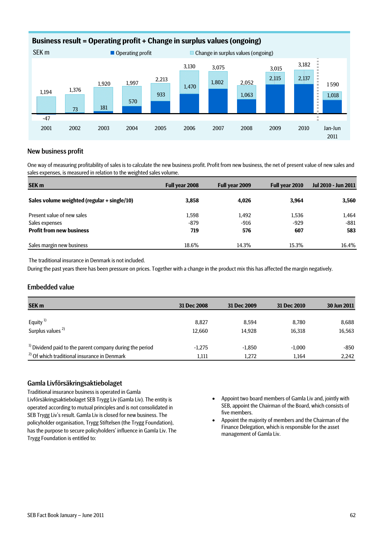

# New business profit

One way of measuring profitability of sales is to calculate the new business profit. Profit from new business, the net of present value of new sales and sales expenses, is measured in relation to the weighted sales volume.

| <b>SEK m</b>                                | Full year 2008 | Full year 2009 | Full year 2010 | Jul 2010 - Jun 2011 |
|---------------------------------------------|----------------|----------------|----------------|---------------------|
| Sales volume weighted (regular + single/10) | 3,858          | 4,026          | 3,964          | 3,560               |
| Present value of new sales                  | 1.598          | 1.492          | 1,536          | 1,464               |
| Sales expenses                              | $-879$         | $-916$         | $-929$         | -881                |
| <b>Profit from new business</b>             | 719            | 576            | 607            | 583                 |
| Sales margin new business                   | 18.6%          | 14.3%          | 15.3%          | 16.4%               |

The traditional insurance in Denmark is not included.

During the past years there has been pressure on prices. Together with a change in the product mix this has affected the margin negatively.

## Embedded value

| <b>SEK m</b>                                                        | 31 Dec 2008 | 31 Dec 2009 | 31 Dec 2010 | 30 Jun 2011 |
|---------------------------------------------------------------------|-------------|-------------|-------------|-------------|
|                                                                     |             |             |             |             |
| Equity <sup>1)</sup>                                                | 8.827       | 8.594       | 8.780       | 8,688       |
| Surplus values <sup>2)</sup>                                        | 12.660      | 14.928      | 16.318      | 16,563      |
|                                                                     |             |             |             |             |
| <sup>1)</sup> Dividend paid to the parent company during the period | $-1.275$    | $-1.850$    | $-1.000$    | -850        |
| <sup>2</sup> Of which traditional insurance in Denmark              | 1,111       | 1,272       | 1.164       | 2,242       |

### Gamla Livförsäkringsaktiebolaget

Traditional insurance business is operated in Gamla Livförsäkringsaktiebolaget SEB Trygg Liv (Gamla Liv). The entity is operated according to mutual principles and is not consolidated in SEB Trygg Liv's result. Gamla Liv is closed for new business. The policyholder organisation, Trygg Stiftelsen (the Trygg Foundation), has the purpose to secure policyholders' influence in Gamla Liv. The Trygg Foundation is entitled to:

- Appoint two board members of Gamla Liv and, jointly with SEB, appoint the Chairman of the Board, which consists of five members.
- Appoint the majority of members and the Chairman of the Finance Delegation, which is responsible for the asset management of Gamla Liv.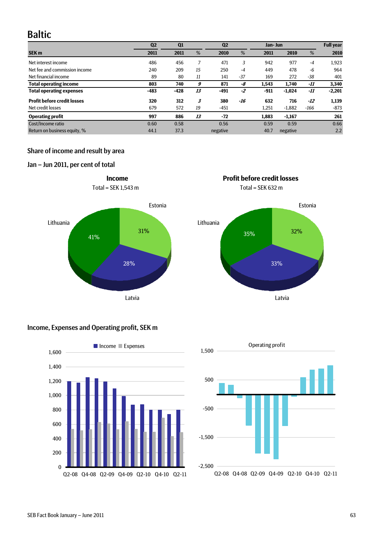# Baltic

|                                    | Q <sub>2</sub> | Q <sub>1</sub> |    | Q <sub>2</sub> |       | Jan- Jun |          |        | <b>Full year</b> |
|------------------------------------|----------------|----------------|----|----------------|-------|----------|----------|--------|------------------|
| <b>SEK m</b>                       | 2011           | 2011           | %  | 2010           | %     | 2011     | 2010     | %      | 2010             |
| Net interest income                | 486            | 456            |    | 471            | 3     | 942      | 977      | $-4$   | 1,923            |
| Net fee and commission income      | 240            | 209            | 15 | 250            | $-4$  | 449      | 478      | -6     | 964              |
| Net financial income               | 89             | 80             | 11 | 141            | $-37$ | 169      | 272      | $-38$  | 401              |
| <b>Total operating income</b>      | 803            | 740            | 9  | 871            | -8    | 1,543    | 1.740    | -11    | 3,340            |
| <b>Total operating expenses</b>    | $-483$         | $-428$         | 13 | $-491$         | -2    | -911     | $-1.024$ | -11    | $-2,201$         |
| <b>Profit before credit losses</b> | 320            | 312            | 3  | 380            | -16   | 632      | 716      | -12    | 1,139            |
| Net credit losses                  | 679            | 572            | 19 | $-451$         |       | 1,251    | $-1.882$ | $-166$ | -873             |
| <b>Operating profit</b>            | 997            | 886            | 13 | $-72$          |       | 1,883    | $-1,167$ |        | 261              |
| Cost/Income ratio                  | 0.60           | 0.58           |    | 0.56           |       | 0.59     | 0.59     |        | 0.66             |
| Return on business equity, %       | 44.1           | 37.3           |    | negative       |       | 40.7     | negative |        | 2.2              |

**Income Profit before credit losses**

# Share of income and result by area

# Jan – Jun 2011, per cent of total











Latvia

SEB Fact Book January – June 2011 63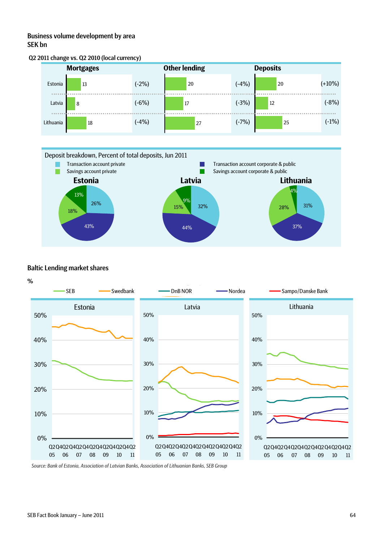# Business volume development by area SEK bn





# Baltic Lending market shares



*Source: Bank of Estonia, Association of Latvian Banks, Association of Lithuanian Banks, SEB Group*

 $(+10%)$ 

(-8%)

(-1%)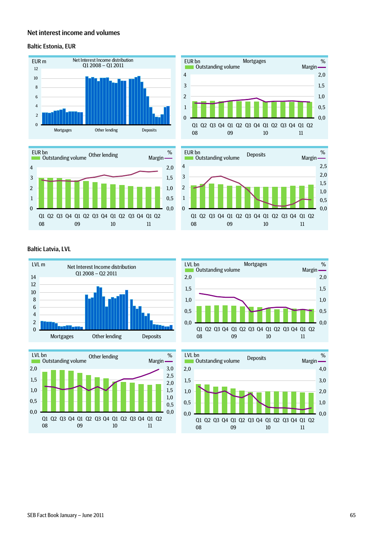# Net interest income and volumes

#### Baltic Estonia, EUR





### Baltic Latvia, LVL











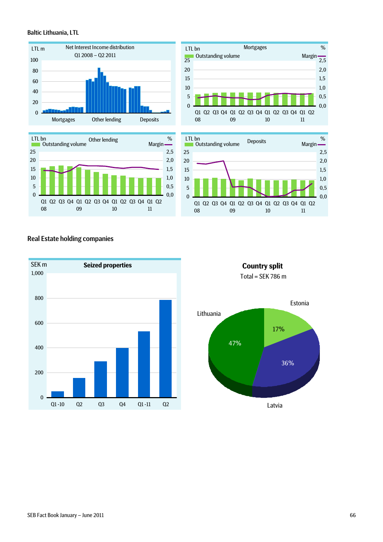#### Baltic Lithuania, LTL









# Real Estate holding companies



**Country split** Total =  $SEK$  786 m

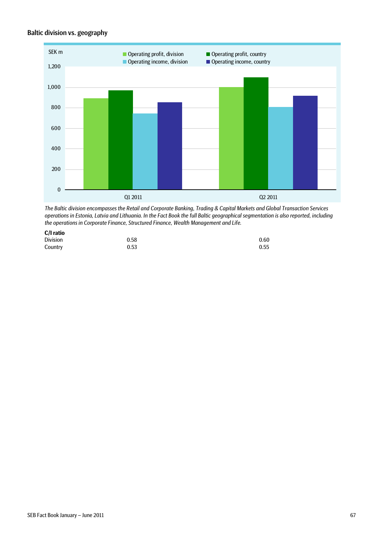# Baltic division vs. geography



*The Baltic division encompasses the Retail and Corporate Banking, Trading & Capital Markets and Global Transaction Services operations in Estonia, Latvia and Lithuania. In the Fact Book the full Baltic geographical segmentation is also reported, including the operations in Corporate Finance, Structured Finance, Wealth Management and Life.*

| C/I ratio       |      |      |
|-----------------|------|------|
| <b>Division</b> | 0.58 | 0.60 |
| Country         | 0.53 | 0.55 |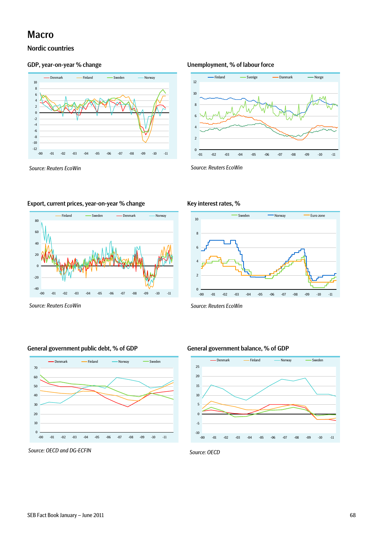# Macro

# Nordic countries



#### GDP, year-on-year % change Unemployment, % of labour force



*Source: Reuters EcoWin Source: Reuters EcoWin* 

## Export, current prices, year-on-year % change Key interest rates, %



*Source: Reuters EcoWin Source: Reuters EcoWin* 



## General government public debt, % of GDP General government balance, % of GDP



Source: OECD and DG-ECFIN Source: OECD and DG-ECFIN

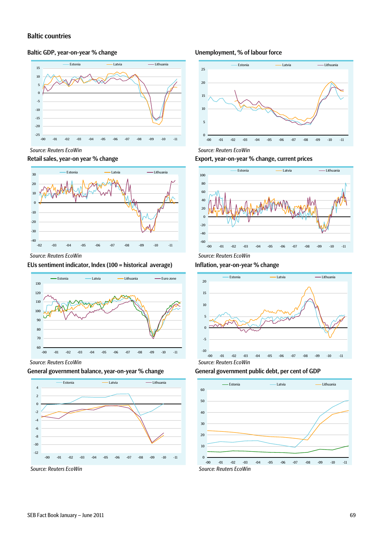## Baltic countries

### Baltic GDP, year-on-year % change



Retail sales, year-on year % change



# EUs sentiment indicator, Index (100 = historical average)



#### General government balance, year-on-year % change



#### Unemployment, % of labour force



Export, year-on-year % change, current prices



# Inflation, year-on-year % change



General government public debt, per cent of GDP

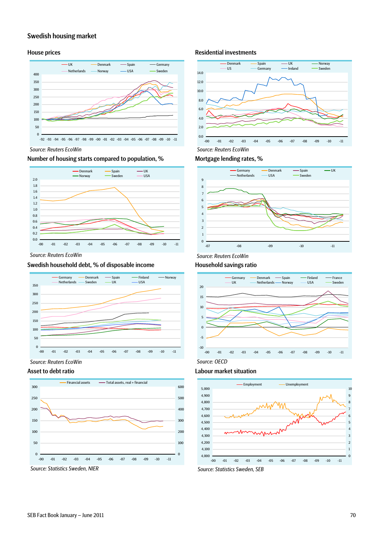# Swedish housing market



### Number of housing starts compared to population, % Mortgage lending rates, %



*Source: Reuters EcoWin Source: Reuters EcoWin* 

## Swedish household debt, % of disposable income Household savings ratio







### House prices **Residential investments**







#### Asset to debt ratio and the control of the Labour market situation



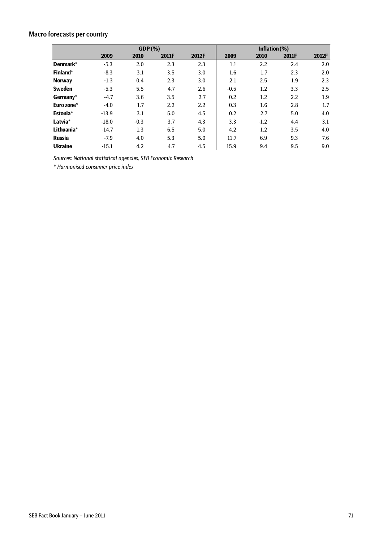# Macro forecasts per country

|                | GDP(%)  |        |       |                  | Inflation $(\%)$ |                  |       |         |
|----------------|---------|--------|-------|------------------|------------------|------------------|-------|---------|
|                | 2009    | 2010   | 2011F | 2012F            | 2009             | 2010             | 2011F | 2012F   |
| Denmark*       | $-5.3$  | 2.0    | 2.3   | 2.3              | 1.1              | $2.2\phantom{0}$ | 2.4   | 2.0     |
| Finland*       | $-8.3$  | 3.1    | 3.5   | 3.0              | 1.6              | 1.7              | 2.3   | 2.0     |
| <b>Norway</b>  | $-1.3$  | 0.4    | 2.3   | 3.0              | 2.1              | 2.5              | 1.9   | 2.3     |
| <b>Sweden</b>  | $-5.3$  | 5.5    | 4.7   | 2.6              | $-0.5$           | 1.2              | 3.3   | $2.5\,$ |
| Germany*       | $-4.7$  | 3.6    | 3.5   | 2.7              | 0.2              | 1.2              | 2.2   | 1.9     |
| Euro zone*     | $-4.0$  | 1.7    | 2.2   | $2.2\phantom{0}$ | 0.3              | 1.6              | 2.8   | 1.7     |
| Estonia*       | $-13.9$ | 3.1    | 5.0   | 4.5              | 0.2              | 2.7              | 5.0   | 4.0     |
| Latvia*        | $-18.0$ | $-0.3$ | 3.7   | 4.3              | 3.3              | $-1.2$           | 4.4   | 3.1     |
| Lithuania*     | $-14.7$ | 1.3    | 6.5   | 5.0              | 4.2              | 1.2              | 3.5   | 4.0     |
| <b>Russia</b>  | $-7.9$  | 4.0    | 5.3   | 5.0              | 11.7             | 6.9              | 9.3   | 7.6     |
| <b>Ukraine</b> | $-15.1$ | 4.2    | 4.7   | 4.5              | 15.9             | 9.4              | 9.5   | 9.0     |

*Sources: National statistical agencies, SEB Economic Research* 

*\* Harmonised consumer price index*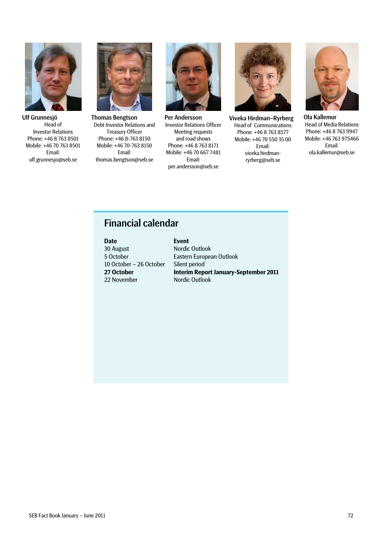

Ulf Grunnesjö Head of Investor Relations Phone: +46 8 763 8501 Mobile: +46 70 763 8501 Email: ulf.grunnesjo@seb.se



Thomas Bengtson Debt Investor Relations and Treasury Officer Phone: +46 8-763 8150 Mobile: +46 70-763 8150 Email: thomas.bengtson@seb.se



Per Andersson Investor Relations Officer Meeting requests and road shows Phone: +46 8 763 8171 Mobile: +46 70 667 7481 Email: per.andersson@seb.se



Viveka Hirdman–Ryrberg Head of Communications Phone: +46 8 763 8577 Mobile: +46 70 550 35 00 Email: viveka.hirdmanryrberg@seb.se



Ola Kallemur Head of Media Relations Phone: +46 8 763 9947 Mobile: +46 763 975466 Email: ola.kallemur@seb.se

# Financial calendar

#### **Fvent** Nordic Outlook Eastern European Outlook Silent period **Interim Report January-September 2011** Nordic Outlook